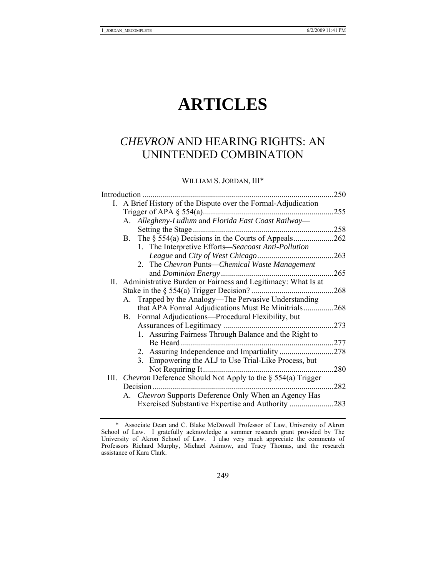# **ARTICLES**

# *CHEVRON* AND HEARING RIGHTS: AN UNINTENDED COMBINATION

WILLIAM S. JORDAN, III\*

| Introduction |                                                                   | 250 |
|--------------|-------------------------------------------------------------------|-----|
| I.           | A Brief History of the Dispute over the Formal-Adjudication       |     |
|              | Trigger of APA $\S$ 554(a)                                        | 255 |
|              | Allegheny-Ludlum and Florida East Coast Railway-<br>А.            |     |
|              | Setting the Stage                                                 | 258 |
|              | The $\S$ 554(a) Decisions in the Courts of Appeals<br>Β.          | 262 |
|              | 1. The Interpretive Efforts—Seacoast Anti-Pollution               |     |
|              | League and City of West Chicago                                   | 263 |
|              | 2. The Chevron Punts—Chemical Waste Management                    |     |
|              | and Dominion Energy.                                              | 265 |
| П.           | Administrative Burden or Fairness and Legitimacy: What Is at      |     |
|              | Stake in the $\S$ 554(a) Trigger Decision?                        | 268 |
|              | Trapped by the Analogy—The Pervasive Understanding<br>А.          |     |
|              | that APA Formal Adjudications Must Be Minitrials.                 | 268 |
|              | Formal Adjudications—Procedural Flexibility, but<br>В.            |     |
|              | Assurances of Legitimacy                                          | 273 |
|              | 1. Assuring Fairness Through Balance and the Right to             |     |
|              | Be Heard                                                          | 277 |
|              | 2. Assuring Independence and Impartiality                         | 278 |
|              | 3. Empowering the ALJ to Use Trial-Like Process, but              |     |
|              | Not Requiring It                                                  | 280 |
| III.         | <i>Chevron</i> Deference Should Not Apply to the § 554(a) Trigger |     |
|              | Decision                                                          | 282 |
|              | Chevron Supports Deference Only When an Agency Has<br>А.          |     |
|              | Exercised Substantive Expertise and Authority                     | 283 |

 <sup>\*</sup> Associate Dean and C. Blake McDowell Professor of Law, University of Akron School of Law. I gratefully acknowledge a summer research grant provided by The University of Akron School of Law. I also very much appreciate the comments of Professors Richard Murphy, Michael Asimow, and Tracy Thomas, and the research assistance of Kara Clark.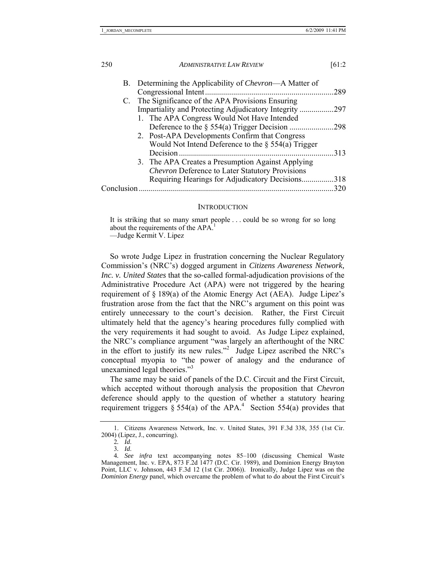|            | B. Determining the Applicability of Chevron—A Matter of |      |
|------------|---------------------------------------------------------|------|
|            |                                                         | .289 |
|            | C. The Significance of the APA Provisions Ensuring      |      |
|            | Impartiality and Protecting Adjudicatory Integrity      | .297 |
|            | 1. The APA Congress Would Not Have Intended             |      |
|            |                                                         | .298 |
|            | 2. Post-APA Developments Confirm that Congress          |      |
|            | Would Not Intend Deference to the $\S$ 554(a) Trigger   |      |
|            |                                                         | 313  |
|            | 3. The APA Creates a Presumption Against Applying       |      |
|            | <b>Chevron Deference to Later Statutory Provisions</b>  |      |
|            | Requiring Hearings for Adjudicatory Decisions318        |      |
| Conclusion |                                                         | 320  |
|            |                                                         |      |

#### **INTRODUCTION**

It is striking that so many smart people . . . could be so wrong for so long about the requirements of the APA.<sup>1</sup> —Judge Kermit V. Lipez

So wrote Judge Lipez in frustration concerning the Nuclear Regulatory Commission's (NRC's) dogged argument in *Citizens Awareness Network, Inc. v. United States* that the so-called formal-adjudication provisions of the Administrative Procedure Act (APA) were not triggered by the hearing requirement of § 189(a) of the Atomic Energy Act (AEA). Judge Lipez's frustration arose from the fact that the NRC's argument on this point was entirely unnecessary to the court's decision. Rather, the First Circuit ultimately held that the agency's hearing procedures fully complied with the very requirements it had sought to avoid. As Judge Lipez explained, the NRC's compliance argument "was largely an afterthought of the NRC in the effort to justify its new rules."<sup>2</sup> Judge Lipez ascribed the NRC's conceptual myopia to "the power of analogy and the endurance of unexamined legal theories."<sup>3</sup>

The same may be said of panels of the D.C. Circuit and the First Circuit, which accepted without thorough analysis the proposition that *Chevron* deference should apply to the question of whether a statutory hearing requirement triggers  $\S 554(a)$  of the APA.<sup>4</sup> Section 554(a) provides that

<sup>1.</sup> Citizens Awareness Network, Inc. v. United States, 391 F.3d 338, 355 (1st Cir. 2004) (Lipez, J., concurring).

<sup>2</sup>*. Id*.

<sup>3</sup>*. Id*.

<sup>4</sup>*. See infra* text accompanying notes 85–100 (discussing Chemical Waste Management, Inc. v. EPA, 873 F.2d 1477 (D.C. Cir. 1989), and Dominion Energy Brayton Point, LLC v. Johnson, 443 F.3d 12 (1st Cir. 2006)). Ironically, Judge Lipez was on the *Dominion Energy* panel, which overcame the problem of what to do about the First Circuit's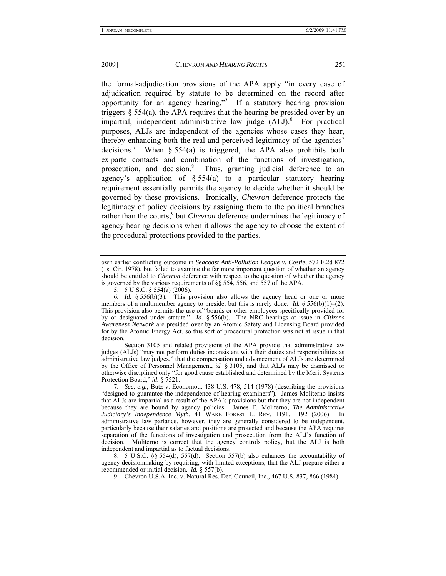the formal-adjudication provisions of the APA apply "in every case of adjudication required by statute to be determined on the record after opportunity for an agency hearing."5 If a statutory hearing provision triggers  $\S$  554(a), the APA requires that the hearing be presided over by an impartial, independent administrative law judge  $(ALJ)$ . For practical purposes, ALJs are independent of the agencies whose cases they hear, thereby enhancing both the real and perceived legitimacy of the agencies' decisions.<sup>7</sup> When § 554(a) is triggered, the APA also prohibits both ex parte contacts and combination of the functions of investigation, prosecution, and decision.<sup>8</sup> Thus, granting judicial deference to an agency's application of  $\S$  554(a) to a particular statutory hearing requirement essentially permits the agency to decide whether it should be governed by these provisions. Ironically, *Chevron* deference protects the legitimacy of policy decisions by assigning them to the political branches rather than the courts,<sup>9</sup> but *Chevron* deference undermines the legitimacy of agency hearing decisions when it allows the agency to choose the extent of the procedural protections provided to the parties.

 Section 3105 and related provisions of the APA provide that administrative law judges (ALJs) "may not perform duties inconsistent with their duties and responsibilities as administrative law judges," that the compensation and advancement of ALJs are determined by the Office of Personnel Management, *id.* § 3105, and that ALJs may be dismissed or otherwise disciplined only "for good cause established and determined by the Merit Systems Protection Board," *id.* § 7521.

7*. See, e.g.*, Butz v. Economou, 438 U.S. 478, 514 (1978) (describing the provisions "designed to guarantee the independence of hearing examiners"). James Moliterno insists that ALJs are impartial as a result of the APA's provisions but that they are not independent because they are bound by agency policies. James E. Moliterno, *The Administrative Judiciary's Independence Myth*, 41 WAKE FOREST L. REV. 1191, 1192 (2006). In administrative law parlance, however, they are generally considered to be independent, particularly because their salaries and positions are protected and because the APA requires separation of the functions of investigation and prosecution from the ALJ's function of decision. Moliterno is correct that the agency controls policy, but the ALJ is both independent and impartial as to factual decisions.

 $8.$  5 U.S.C.  $\S$ § 554(d), 557(d). Section 557(b) also enhances the accountability of agency decisionmaking by requiring, with limited exceptions, that the ALJ prepare either a recommended or initial decision. *Id.* § 557(b).

own earlier conflicting outcome in *Seacoast Anti-Pollution League v. Costle*, 572 F.2d 872 (1st Cir. 1978), but failed to examine the far more important question of whether an agency should be entitled to *Chevron* deference with respect to the question of whether the agency is governed by the various requirements of §§ 554, 556, and 557 of the APA.

 <sup>5. 5</sup> U.S.C. § 554(a) (2006).

<sup>6</sup>*. Id.* § 556(b)(3). This provision also allows the agency head or one or more members of a multimember agency to preside, but this is rarely done. *Id.* § 556(b)(1)–(2). This provision also permits the use of "boards or other employees specifically provided for by or designated under statute." *Id.* § 556(b). The NRC hearings at issue in *Citizens Awareness Network* are presided over by an Atomic Safety and Licensing Board provided for by the Atomic Energy Act, so this sort of procedural protection was not at issue in that decision.

 <sup>9.</sup> Chevron U.S.A. Inc. v. Natural Res. Def. Council, Inc., 467 U.S. 837, 866 (1984).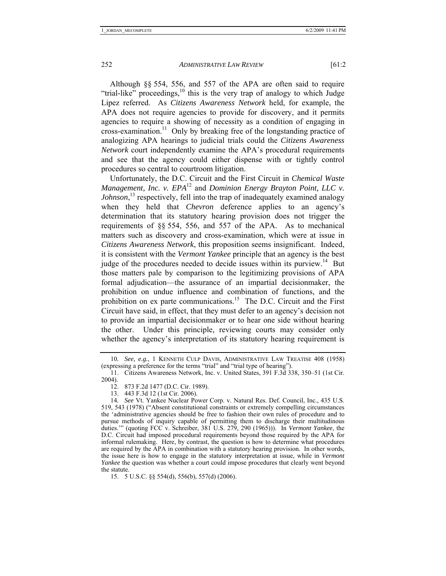Although §§ 554, 556, and 557 of the APA are often said to require "trial-like" proceedings, $^{10}$  this is the very trap of analogy to which Judge Lipez referred. As *Citizens Awareness Network* held, for example, the APA does not require agencies to provide for discovery, and it permits agencies to require a showing of necessity as a condition of engaging in cross-examination.11 Only by breaking free of the longstanding practice of analogizing APA hearings to judicial trials could the *Citizens Awareness Network* court independently examine the APA's procedural requirements and see that the agency could either dispense with or tightly control procedures so central to courtroom litigation.

Unfortunately, the D.C. Circuit and the First Circuit in *Chemical Waste Management, Inc. v. EPA*<sup>12</sup> and *Dominion Energy Brayton Point, LLC v. Johnson*, 13 respectively, fell into the trap of inadequately examined analogy when they held that *Chevron* deference applies to an agency's determination that its statutory hearing provision does not trigger the requirements of §§ 554, 556, and 557 of the APA. As to mechanical matters such as discovery and cross-examination, which were at issue in *Citizens Awareness Network*, this proposition seems insignificant. Indeed, it is consistent with the *Vermont Yankee* principle that an agency is the best judge of the procedures needed to decide issues within its purview.<sup>14</sup> But those matters pale by comparison to the legitimizing provisions of APA formal adjudication—the assurance of an impartial decisionmaker, the prohibition on undue influence and combination of functions, and the prohibition on ex parte communications.<sup>15</sup> The D.C. Circuit and the First Circuit have said, in effect, that they must defer to an agency's decision not to provide an impartial decisionmaker or to hear one side without hearing the other. Under this principle, reviewing courts may consider only whether the agency's interpretation of its statutory hearing requirement is

<sup>10</sup>*. See, e.g.*, 1 KENNETH CULP DAVIS, ADMINISTRATIVE LAW TREATISE 408 (1958) (expressing a preference for the terms "trial" and "trial type of hearing").

 <sup>11.</sup> Citizens Awareness Network, Inc. v. United States, 391 F.3d 338, 350–51 (1st Cir. 2004).

 <sup>12. 873</sup> F.2d 1477 (D.C. Cir. 1989).

 <sup>13. 443</sup> F.3d 12 (1st Cir. 2006).

<sup>14</sup>*. See* Vt. Yankee Nuclear Power Corp. v. Natural Res. Def. Council, Inc., 435 U.S. 519, 543 (1978) ("Absent constitutional constraints or extremely compelling circumstances the 'administrative agencies should be free to fashion their own rules of procedure and to pursue methods of inquiry capable of permitting them to discharge their multitudinous duties.'" (quoting FCC v. Schreiber, 381 U.S. 279, 290 (1965))). In *Vermont Yankee*, the D.C. Circuit had imposed procedural requirements beyond those required by the APA for informal rulemaking. Here, by contrast, the question is how to determine what procedures are required by the APA in combination with a statutory hearing provision. In other words, the issue here is how to engage in the statutory interpretation at issue, while in *Vermont Yankee* the question was whether a court could impose procedures that clearly went beyond the statute.

 <sup>15. 5</sup> U.S.C. §§ 554(d), 556(b), 557(d) (2006).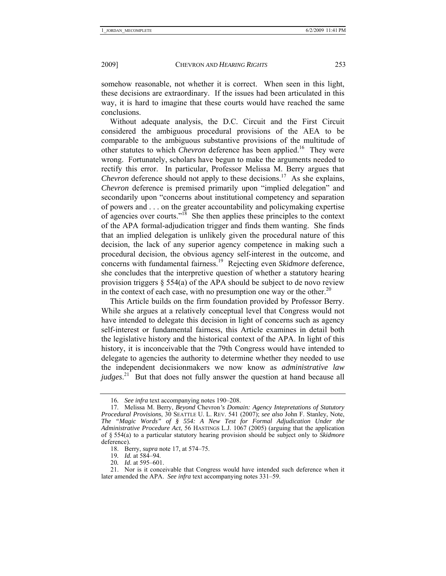somehow reasonable, not whether it is correct. When seen in this light, these decisions are extraordinary. If the issues had been articulated in this way, it is hard to imagine that these courts would have reached the same conclusions.

Without adequate analysis, the D.C. Circuit and the First Circuit considered the ambiguous procedural provisions of the AEA to be comparable to the ambiguous substantive provisions of the multitude of other statutes to which *Chevron* deference has been applied.<sup>16</sup> They were wrong. Fortunately, scholars have begun to make the arguments needed to rectify this error. In particular, Professor Melissa M. Berry argues that *Chevron* deference should not apply to these decisions.<sup>17</sup> As she explains, *Chevron* deference is premised primarily upon "implied delegation" and secondarily upon "concerns about institutional competency and separation of powers and . . . on the greater accountability and policymaking expertise of agencies over courts."18 She then applies these principles to the context of the APA formal-adjudication trigger and finds them wanting. She finds that an implied delegation is unlikely given the procedural nature of this decision, the lack of any superior agency competence in making such a procedural decision, the obvious agency self-interest in the outcome, and concerns with fundamental fairness.19 Rejecting even *Skidmore* deference, she concludes that the interpretive question of whether a statutory hearing provision triggers  $\S$  554(a) of the APA should be subject to de novo review in the context of each case, with no presumption one way or the other.<sup>20</sup>

This Article builds on the firm foundation provided by Professor Berry. While she argues at a relatively conceptual level that Congress would not have intended to delegate this decision in light of concerns such as agency self-interest or fundamental fairness, this Article examines in detail both the legislative history and the historical context of the APA. In light of this history, it is inconceivable that the 79th Congress would have intended to delegate to agencies the authority to determine whether they needed to use the independent decisionmakers we now know as *administrative law judges*. 21 But that does not fully answer the question at hand because all

<sup>16</sup>*. See infra* text accompanying notes 190–208.

 <sup>17.</sup> Melissa M. Berry, *Beyond* Chevron*'s Domain: Agency Intepretations of Statutory Procedural Provisions*, 30 SEATTLE U. L. REV. 541 (2007); *see also* John F. Stanley, Note, *The "Magic Words" of § 554: A New Test for Formal Adjudication Under the Administrative Procedure Act*, 56 HASTINGS L.J. 1067 (2005) (arguing that the application of § 554(a) to a particular statutory hearing provision should be subject only to *Skidmore* deference).

 <sup>18.</sup> Berry, *supra* note 17, at 574–75.

<sup>19</sup>*. Id.* at 584–94.

<sup>20</sup>*. Id*. at 595–601.

 <sup>21.</sup> Nor is it conceivable that Congress would have intended such deference when it later amended the APA. *See infra* text accompanying notes 331–59.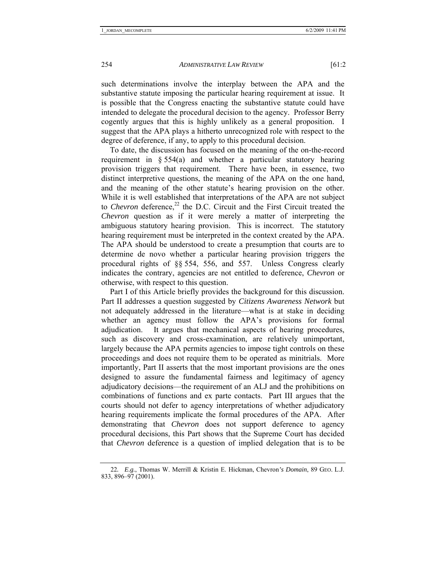such determinations involve the interplay between the APA and the substantive statute imposing the particular hearing requirement at issue. It is possible that the Congress enacting the substantive statute could have intended to delegate the procedural decision to the agency. Professor Berry

cogently argues that this is highly unlikely as a general proposition. I suggest that the APA plays a hitherto unrecognized role with respect to the degree of deference, if any, to apply to this procedural decision.

To date, the discussion has focused on the meaning of the on-the-record requirement in  $\S 554(a)$  and whether a particular statutory hearing provision triggers that requirement. There have been, in essence, two distinct interpretive questions, the meaning of the APA on the one hand, and the meaning of the other statute's hearing provision on the other. While it is well established that interpretations of the APA are not subject to *Chevron* deference,<sup>22</sup> the D.C. Circuit and the First Circuit treated the *Chevron* question as if it were merely a matter of interpreting the ambiguous statutory hearing provision. This is incorrect. The statutory hearing requirement must be interpreted in the context created by the APA. The APA should be understood to create a presumption that courts are to determine de novo whether a particular hearing provision triggers the procedural rights of §§ 554, 556, and 557. Unless Congress clearly indicates the contrary, agencies are not entitled to deference, *Chevron* or otherwise, with respect to this question.

Part I of this Article briefly provides the background for this discussion. Part II addresses a question suggested by *Citizens Awareness Network* but not adequately addressed in the literature—what is at stake in deciding whether an agency must follow the APA's provisions for formal adjudication. It argues that mechanical aspects of hearing procedures, such as discovery and cross-examination, are relatively unimportant, largely because the APA permits agencies to impose tight controls on these proceedings and does not require them to be operated as minitrials. More importantly, Part II asserts that the most important provisions are the ones designed to assure the fundamental fairness and legitimacy of agency adjudicatory decisions—the requirement of an ALJ and the prohibitions on combinations of functions and ex parte contacts. Part III argues that the courts should not defer to agency interpretations of whether adjudicatory hearing requirements implicate the formal procedures of the APA. After demonstrating that *Chevron* does not support deference to agency procedural decisions, this Part shows that the Supreme Court has decided that *Chevron* deference is a question of implied delegation that is to be

<sup>22</sup>*. E.g.*, Thomas W. Merrill & Kristin E. Hickman, Chevron*'s Domain*, 89 GEO. L.J. 833, 896–97 (2001).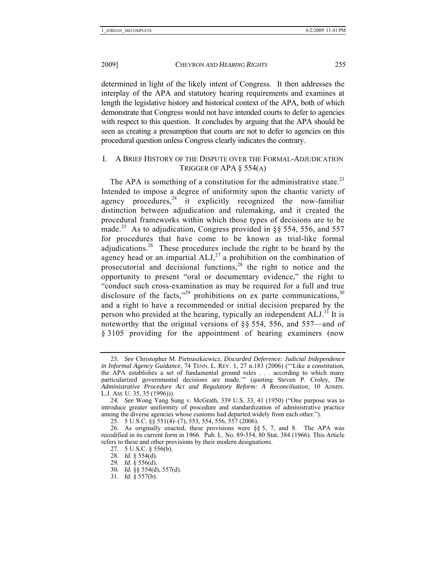determined in light of the likely intent of Congress. It then addresses the interplay of the APA and statutory hearing requirements and examines at length the legislative history and historical context of the APA, both of which demonstrate that Congress would not have intended courts to defer to agencies with respect to this question. It concludes by arguing that the APA should be seen as creating a presumption that courts are not to defer to agencies on this procedural question unless Congress clearly indicates the contrary.

#### I. A BRIEF HISTORY OF THE DISPUTE OVER THE FORMAL-ADJUDICATION TRIGGER OF APA § 554(A)

The APA is something of a constitution for the administrative state.<sup>23</sup> Intended to impose a degree of uniformity upon the chaotic variety of agency procedures, $24$  it explicitly recognized the now-familiar distinction between adjudication and rulemaking, and it created the procedural frameworks within which those types of decisions are to be made.<sup>25</sup> As to adjudication, Congress provided in §§ 554, 556, and 557 for procedures that have come to be known as trial-like formal adiudications.<sup>26</sup> These procedures include the right to be heard by the agency head or an impartial  $ALJ<sub>1</sub><sup>27</sup>$  a prohibition on the combination of prosecutorial and decisional functions,<sup>28</sup> the right to notice and the opportunity to present "oral or documentary evidence," the right to "conduct such cross-examination as may be required for a full and true disclosure of the facts,"<sup>29</sup> prohibitions on ex parte communications,  $30$ and a right to have a recommended or initial decision prepared by the person who presided at the hearing, typically an independent ALJ.<sup>31</sup> It is noteworthy that the original versions of §§ 554, 556, and 557—and of § 3105 providing for the appointment of hearing examiners (now

<sup>23</sup>*. See* Christopher M. Pietruszkiewicz, *Discarded Deference: Judicial Independence in Informal Agency Guidance*, 74 TENN. L. REV. 1, 27 n.183 (2006) ("'Like a constitution, the APA establishes a set of fundamental ground rules . . . according to which many particularized governmental decisions are made.'" (quoting Steven P. Croley, *The Administrative Procedure Act and Regulatory Reform: A Reconciliation*, 10 ADMIN. L.J. AM. U. 35, 35 (1996))).

<sup>24</sup>*. See* Wong Yang Sung v. McGrath, 339 U.S. 33, 41 (1950) ("One purpose was to introduce greater uniformity of procedure and standardization of administrative practice among the diverse agencies whose customs had departed widely from each other.").

 <sup>25. 5</sup> U.S.C. §§ 551(4)–(7), 553, 554, 556, 557 (2006).

 <sup>26.</sup> As originally enacted, these provisions were §§ 5, 7, and 8. The APA was recodified in its current form in 1966. Pub. L. No. 89-554, 80 Stat. 384 (1966). This Article refers to these and other provisions by their modern designations.

 <sup>27. 5</sup> U.S.C. § 556(b).

<sup>28</sup>*. Id.* § 554(d).

<sup>29</sup>*. Id.* § 556(d).

<sup>30</sup>*. Id.* §§ 554(d), 557(d).

<sup>31</sup>*. Id.* § 557(b).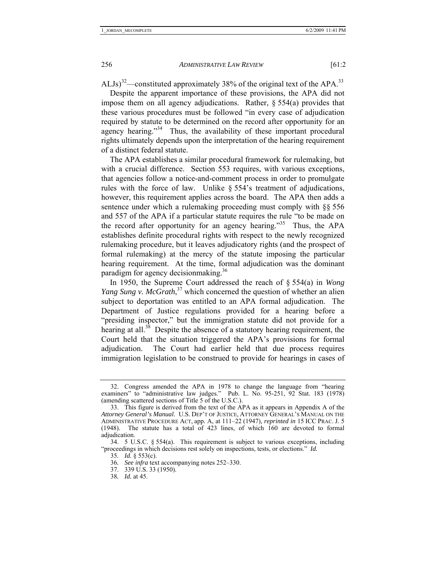ALJs)<sup>32</sup>—constituted approximately 38% of the original text of the APA.<sup>33</sup>

Despite the apparent importance of these provisions, the APA did not impose them on all agency adjudications. Rather, § 554(a) provides that these various procedures must be followed "in every case of adjudication required by statute to be determined on the record after opportunity for an agency hearing."<sup>34</sup> Thus, the availability of these important procedural rights ultimately depends upon the interpretation of the hearing requirement of a distinct federal statute.

The APA establishes a similar procedural framework for rulemaking, but with a crucial difference. Section 553 requires, with various exceptions, that agencies follow a notice-and-comment process in order to promulgate rules with the force of law. Unlike § 554's treatment of adjudications, however, this requirement applies across the board. The APA then adds a sentence under which a rulemaking proceeding must comply with §§ 556 and 557 of the APA if a particular statute requires the rule "to be made on the record after opportunity for an agency hearing."35 Thus, the APA establishes definite procedural rights with respect to the newly recognized rulemaking procedure, but it leaves adjudicatory rights (and the prospect of formal rulemaking) at the mercy of the statute imposing the particular hearing requirement. At the time, formal adjudication was the dominant paradigm for agency decisionmaking.<sup>36</sup>

In 1950, the Supreme Court addressed the reach of § 554(a) in *Wong*  Yang Sung v. McGrath,<sup>37</sup> which concerned the question of whether an alien subject to deportation was entitled to an APA formal adjudication. The Department of Justice regulations provided for a hearing before a "presiding inspector," but the immigration statute did not provide for a hearing at all. $38$  Despite the absence of a statutory hearing requirement, the Court held that the situation triggered the APA's provisions for formal adjudication. The Court had earlier held that due process requires immigration legislation to be construed to provide for hearings in cases of

 <sup>32.</sup> Congress amended the APA in 1978 to change the language from "hearing examiners" to "administrative law judges." Pub. L. No. 95-251, 92 Stat. 183 (1978) (amending scattered sections of Title 5 of the U.S.C.).

 <sup>33.</sup> This figure is derived from the text of the APA as it appears in Appendix A of the *Attorney General's Manual*. U.S. DEP'T OF JUSTICE, ATTORNEY GENERAL'S MANUAL ON THE ADMINISTRATIVE PROCEDURE ACT, app. A, at 111–22 (1947), *reprinted in* 15 ICC PRAC. J. 5 (1948). The statute has a total of 423 lines, of which 160 are devoted to formal adjudication.

 <sup>34. 5</sup> U.S.C. § 554(a). This requirement is subject to various exceptions, including "proceedings in which decisions rest solely on inspections, tests, or elections." *Id.* 

<sup>35</sup>*. Id.* § 553(c).

<sup>36</sup>*. See infra* text accompanying notes 252–330.

 <sup>37. 339</sup> U.S. 33 (1950).

<sup>38</sup>*. Id.* at 45.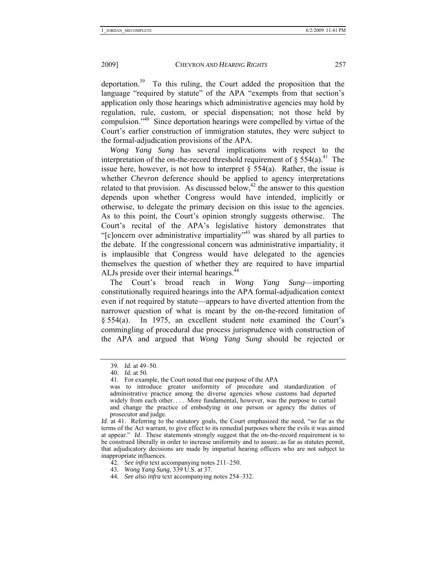deportation.39 To this ruling, the Court added the proposition that the language "required by statute" of the APA "exempts from that section's application only those hearings which administrative agencies may hold by regulation, rule, custom, or special dispensation; not those held by compulsion."40 Since deportation hearings were compelled by virtue of the Court's earlier construction of immigration statutes, they were subject to the formal-adjudication provisions of the APA.

*Wong Yang Sung* has several implications with respect to the interpretation of the on-the-record threshold requirement of  $\S 554(a)$ .<sup>41</sup> The issue here, however, is not how to interpret  $\frac{1}{2}$  554(a). Rather, the issue is whether *Chevron* deference should be applied to agency interpretations related to that provision. As discussed below,<sup>42</sup> the answer to this question depends upon whether Congress would have intended, implicitly or otherwise, to delegate the primary decision on this issue to the agencies. As to this point, the Court's opinion strongly suggests otherwise. The Court's recital of the APA's legislative history demonstrates that "[c]oncern over administrative impartiality"43 was shared by all parties to the debate. If the congressional concern was administrative impartiality, it is implausible that Congress would have delegated to the agencies themselves the question of whether they are required to have impartial ALJs preside over their internal hearings.<sup>44</sup>

The Court's broad reach in *Wong Yang Sung*—importing constitutionally required hearings into the APA formal-adjudication context even if not required by statute—appears to have diverted attention from the narrower question of what is meant by the on-the-record limitation of § 554(a). In 1975, an excellent student note examined the Court's commingling of procedural due process jurisprudence with construction of the APA and argued that *Wong Yang Sung* should be rejected or

- 42*. See infra* text accompanying notes 211–250.
- 43*. Wong Yang Sung*, 339 U.S. at 37.

<sup>39</sup>*. Id.* at 49–50.

<sup>40</sup>*. Id.* at 50.

 <sup>41.</sup> For example, the Court noted that one purpose of the APA

was to introduce greater uniformity of procedure and standardization of administrative practice among the diverse agencies whose customs had departed widely from each other. . . . More fundamental, however, was the purpose to curtail and change the practice of embodying in one person or agency the duties of prosecutor and judge.

*Id.* at 41. Referring to the statutory goals, the Court emphasized the need, "so far as the terms of the Act warrant, to give effect to its remedial purposes where the evils it was aimed at appear." *Id*. These statements strongly suggest that the on-the-record requirement is to be construed liberally in order to increase uniformity and to assure, as far as statutes permit, that adjudicatory decisions are made by impartial hearing officers who are not subject to inappropriate influences.

<sup>44</sup>*. See also infra* text accompanying notes 254–332.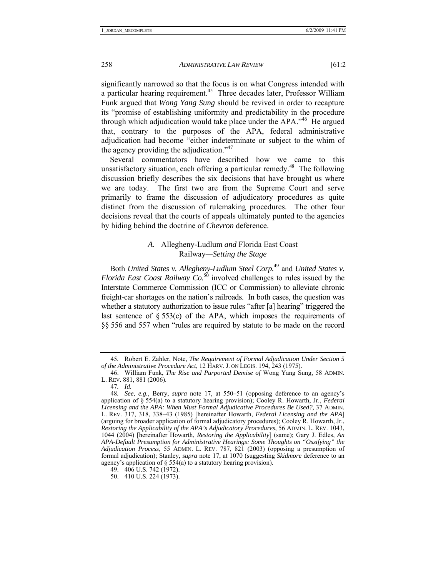significantly narrowed so that the focus is on what Congress intended with a particular hearing requirement.<sup>45</sup> Three decades later, Professor William Funk argued that *Wong Yang Sung* should be revived in order to recapture its "promise of establishing uniformity and predictability in the procedure through which adjudication would take place under the  $APA$ .<sup> $46$ </sup> He argued that, contrary to the purposes of the APA, federal administrative adjudication had become "either indeterminate or subject to the whim of the agency providing the adjudication. $147$ 

Several commentators have described how we came to this unsatisfactory situation, each offering a particular remedy.<sup>48</sup> The following discussion briefly describes the six decisions that have brought us where we are today. The first two are from the Supreme Court and serve primarily to frame the discussion of adjudicatory procedures as quite distinct from the discussion of rulemaking procedures. The other four decisions reveal that the courts of appeals ultimately punted to the agencies by hiding behind the doctrine of *Chevron* deference.

# *A.* Allegheny-Ludlum *and* Florida East Coast Railway*—Setting the Stage*

Both *United States v. Allegheny-Ludlum Steel Corp.*49 and *United States v. Florida East Coast Railway Co.*<sup>50</sup> involved challenges to rules issued by the Interstate Commerce Commission (ICC or Commission) to alleviate chronic freight-car shortages on the nation's railroads. In both cases, the question was whether a statutory authorization to issue rules "after [a] hearing" triggered the last sentence of  $\S 553(c)$  of the APA, which imposes the requirements of §§ 556 and 557 when "rules are required by statute to be made on the record

<sup>45</sup>*.* Robert E. Zahler, Note, *The Requirement of Formal Adjudication Under Section 5 of the Administrative Procedure Act*, 12 HARV. J. ON LEGIS. 194, 243 (1975).

 <sup>46.</sup> William Funk, *The Rise and Purported Demise of* Wong Yang Sung, 58 ADMIN. L. REV. 881, 881 (2006).

<sup>47</sup>*. Id.*

<sup>48</sup>*. See, e.g.*, Berry, *supra* note 17, at 550–51 (opposing deference to an agency's application of § 554(a) to a statutory hearing provision); Cooley R. Howarth, Jr., *Federal Licensing and the APA: When Must Formal Adjudicative Procedures Be Used?*, 37 ADMIN. L. REV. 317, 318, 338–43 (1985) [hereinafter Howarth, *Federal Licensing and the APA*] (arguing for broader application of formal adjudicatory procedures); Cooley R. Howarth, Jr., *Restoring the Applicability of the APA's Adjudicatory Procedures*, 56 ADMIN. L. REV. 1043, 1044 (2004) [hereinafter Howarth, *Restoring the Applicability*] (same); Gary J. Edles, *An APA-Default Presumption for Administrative Hearings: Some Thoughts on "Ossifying" the Adjudication Process*, 55 ADMIN. L. REV. 787, 821 (2003) (opposing a presumption of formal adjudication); Stanley, *supra* note 17, at 1070 (suggesting *Skidmore* deference to an agency's application of § 554(a) to a statutory hearing provision).

 <sup>49. 406</sup> U.S. 742 (1972).

 <sup>50. 410</sup> U.S. 224 (1973).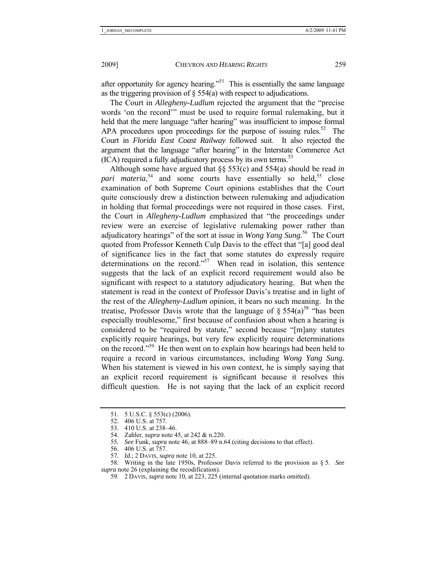after opportunity for agency hearing.<sup> $51$ </sup> This is essentially the same language as the triggering provision of  $\delta$  554(a) with respect to adjudications.

The Court in *Allegheny-Ludlum* rejected the argument that the "precise words 'on the record'" must be used to require formal rulemaking, but it held that the mere language "after hearing" was insufficient to impose formal APA procedures upon proceedings for the purpose of issuing rules.<sup>52</sup> The Court in *Florida East Coast Railway* followed suit. It also rejected the argument that the language "after hearing" in the Interstate Commerce Act (ICA) required a fully adjudicatory process by its own terms.<sup>53</sup>

Although some have argued that §§ 553(c) and 554(a) should be read *in*  pari materia,<sup>54</sup> and some courts have essentially so held,<sup>55</sup> close examination of both Supreme Court opinions establishes that the Court quite consciously drew a distinction between rulemaking and adjudication in holding that formal proceedings were not required in those cases. First, the Court in *Allegheny-Ludlum* emphasized that "the proceedings under review were an exercise of legislative rulemaking power rather than adjudicatory hearings" of the sort at issue in *Wong Yang Sung*. 56 The Court quoted from Professor Kenneth Culp Davis to the effect that "[a] good deal of significance lies in the fact that some statutes do expressly require determinations on the record."<sup>57</sup> When read in isolation, this sentence suggests that the lack of an explicit record requirement would also be significant with respect to a statutory adjudicatory hearing. But when the statement is read in the context of Professor Davis's treatise and in light of the rest of the *Allegheny-Ludlum* opinion, it bears no such meaning. In the treatise, Professor Davis wrote that the language of  $\S 554(a)^{58}$  "has been especially troublesome," first because of confusion about when a hearing is considered to be "required by statute," second because "[m]any statutes explicitly require hearings, but very few explicitly require determinations on the record."59 He then went on to explain how hearings had been held to require a record in various circumstances, including *Wong Yang Sung.*  When his statement is viewed in his own context, he is simply saying that an explicit record requirement is significant because it resolves this difficult question. He is not saying that the lack of an explicit record

55*. See* Funk, *supra* note 46, at 888–89 n.64 (citing decisions to that effect).

57*. Id.*; 2 DAVIS, *supra* note 10, at 225.

59. 2 DAVIS, *supra* note 10, at 223, 225 (internal quotation marks omitted).

 <sup>51. 5</sup> U.S.C. § 553(c) (2006).

 <sup>52. 406</sup> U.S. at 757.

 <sup>53. 410</sup> U.S. at 238–46.

 <sup>54.</sup> Zahler, *supra* note 45, at 242 & n.220.

 <sup>56. 406</sup> U.S. at 757.

 <sup>58.</sup> Writing in the late 1950s, Professor Davis referred to the provision as § 5. *See supra* note 26 (explaining the recodification).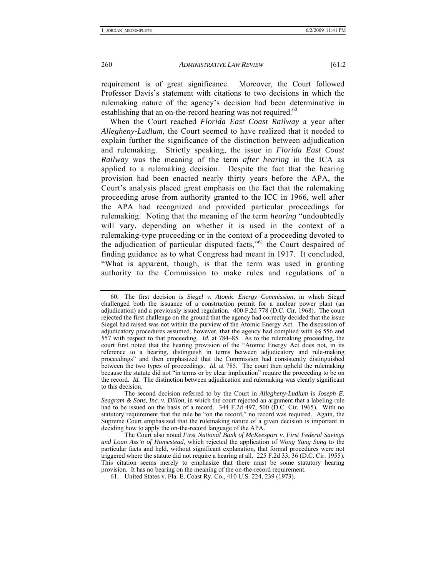requirement is of great significance. Moreover, the Court followed Professor Davis's statement with citations to two decisions in which the rulemaking nature of the agency's decision had been determinative in establishing that an on-the-record hearing was not required.<sup>60</sup>

When the Court reached *Florida East Coast Railway* a year after *Allegheny-Ludlum*, the Court seemed to have realized that it needed to explain further the significance of the distinction between adjudication and rulemaking. Strictly speaking, the issue in *Florida East Coast Railway* was the meaning of the term *after hearing* in the ICA as applied to a rulemaking decision. Despite the fact that the hearing provision had been enacted nearly thirty years before the APA, the Court's analysis placed great emphasis on the fact that the rulemaking proceeding arose from authority granted to the ICC in 1966, well after the APA had recognized and provided particular proceedings for rulemaking. Noting that the meaning of the term *hearing* "undoubtedly will vary, depending on whether it is used in the context of a rulemaking-type proceeding or in the context of a proceeding devoted to the adjudication of particular disputed facts,"61 the Court despaired of finding guidance as to what Congress had meant in 1917. It concluded, "What is apparent, though, is that the term was used in granting authority to the Commission to make rules and regulations of a

 <sup>60.</sup> The first decision is *Siegel v. Atomic Energy Commission*, in which Siegel challenged both the issuance of a construction permit for a nuclear power plant (an adjudication) and a previously issued regulation. 400 F.2d 778 (D.C. Cir. 1968). The court rejected the first challenge on the ground that the agency had correctly decided that the issue Siegel had raised was not within the purview of the Atomic Energy Act. The discussion of adjudicatory procedures assumed, however, that the agency had complied with §§ 556 and 557 with respect to that proceeding. *Id.* at 784–85. As to the rulemaking proceeding, the court first noted that the hearing provision of the "Atomic Energy Act does not, in its reference to a hearing, distinguish in terms between adjudicatory and rule-making proceedings" and then emphasized that the Commission had consistently distinguished between the two types of proceedings. *Id.* at 785. The court then upheld the rulemaking because the statute did not "in terms or by clear implication" require the proceeding to be on the record. *Id.* The distinction between adjudication and rulemaking was clearly significant to this decision.

The second decision referred to by the Court in *Allegheny-Ludlum* is *Joseph E. Seagram & Sons, Inc. v. Dillon*, in which the court rejected an argument that a labeling rule had to be issued on the basis of a record. 344 F.2d 497, 500 (D.C. Cir. 1965). With no statutory requirement that the rule be "on the record," no record was required. Again, the Supreme Court emphasized that the rulemaking nature of a given decision is important in deciding how to apply the on-the-record language of the APA.

The Court also noted *First National Bank of McKeesport v. First Federal Savings and Loan Ass'n of Homestead*, which rejected the application of *Wong Yang Sung* to the particular facts and held, without significant explanation, that formal procedures were not triggered where the statute did not require a hearing at all. 225 F.2d 33, 36 (D.C. Cir. 1955). This citation seems merely to emphasize that there must be some statutory hearing provision. It has no bearing on the meaning of the on-the-record requirement.

 <sup>61.</sup> United States v. Fla. E. Coast Ry. Co., 410 U.S. 224, 239 (1973).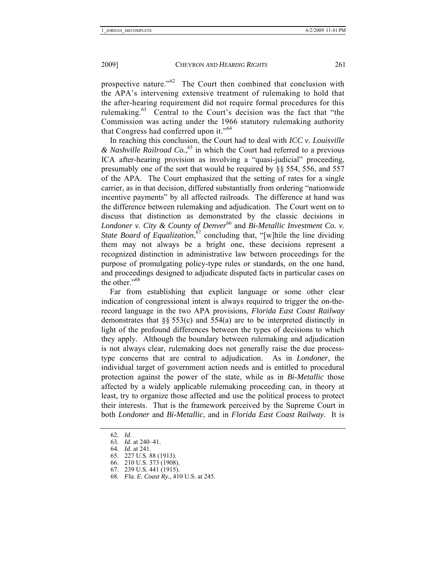prospective nature."62 The Court then combined that conclusion with the APA's intervening extensive treatment of rulemaking to hold that the after-hearing requirement did not require formal procedures for this rulemaking.63 Central to the Court's decision was the fact that "the Commission was acting under the 1966 statutory rulemaking authority that Congress had conferred upon it."<sup>64</sup>

In reaching this conclusion, the Court had to deal with *ICC v. Louisville & Nashville Railroad Co.*, 65 in which the Court had referred to a previous ICA after-hearing provision as involving a "quasi-judicial" proceeding, presumably one of the sort that would be required by §§ 554, 556, and 557 of the APA. The Court emphasized that the setting of rates for a single carrier, as in that decision, differed substantially from ordering "nationwide incentive payments" by all affected railroads. The difference at hand was the difference between rulemaking and adjudication. The Court went on to discuss that distinction as demonstrated by the classic decisions in *Londoner v. City & County of Denver*<sup>66</sup> and *Bi-Metallic Investment Co. v. State Board of Equalization*, 67 concluding that, "[w]hile the line dividing them may not always be a bright one, these decisions represent a recognized distinction in administrative law between proceedings for the purpose of promulgating policy-type rules or standards, on the one hand, and proceedings designed to adjudicate disputed facts in particular cases on the other."<sup>68</sup>

Far from establishing that explicit language or some other clear indication of congressional intent is always required to trigger the on-therecord language in the two APA provisions, *Florida East Coast Railway* demonstrates that  $\S$  553(c) and 554(a) are to be interpreted distinctly in light of the profound differences between the types of decisions to which they apply. Although the boundary between rulemaking and adjudication is not always clear, rulemaking does not generally raise the due processtype concerns that are central to adjudication. As in *Londoner*, the individual target of government action needs and is entitled to procedural protection against the power of the state, while as in *Bi-Metallic* those affected by a widely applicable rulemaking proceeding can, in theory at least, try to organize those affected and use the political process to protect their interests. That is the framework perceived by the Supreme Court in both *Londoner* and *Bi-Metallic*, and in *Florida East Coast Railway*. It is

62*. Id*.

- 64*. Id.* at 241.
- 65. 227 U.S. 88 (1913).
- 66. 210 U.S. 373 (1908).
	- 67. 239 U.S. 441 (1915).
	- 68*. Fla. E. Coast Ry.*, 410 U.S. at 245.

<sup>63</sup>*. Id.* at 240–41.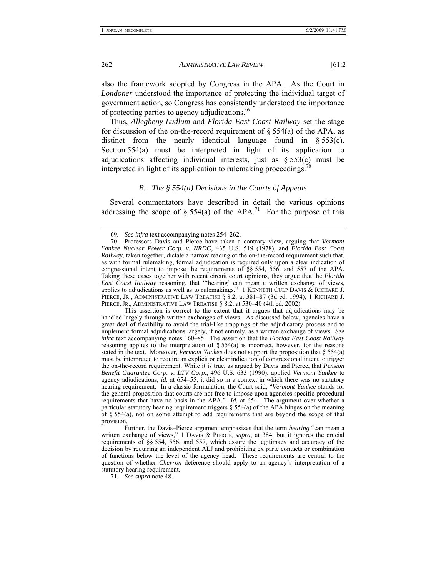also the framework adopted by Congress in the APA. As the Court in *Londoner* understood the importance of protecting the individual target of government action, so Congress has consistently understood the importance of protecting parties to agency adjudications.<sup>69</sup>

Thus, *Allegheny-Ludlum* and *Florida East Coast Railway* set the stage for discussion of the on-the-record requirement of  $\S$  554(a) of the APA, as distinct from the nearly identical language found in § 553(c). Section 554(a) must be interpreted in light of its application to adjudications affecting individual interests, just as  $§ 553(c)$  must be interpreted in light of its application to rulemaking proceedings.<sup>70</sup>

#### *B. The § 554(a) Decisions in the Courts of Appeals*

Several commentators have described in detail the various opinions addressing the scope of  $\S 554(a)$  of the APA.<sup>71</sup> For the purpose of this

 This assertion is correct to the extent that it argues that adjudications may be handled largely through written exchanges of views. As discussed below, agencies have a great deal of flexibility to avoid the trial-like trappings of the adjudicatory process and to implement formal adjudications largely, if not entirely, as a written exchange of views. *See infra* text accompanying notes 160–85. The assertion that the *Florida East Coast Railway*  reasoning applies to the interpretation of § 554(a) is incorrect, however, for the reasons stated in the text. Moreover, *Vermont Yankee* does not support the proposition that § 554(a) must be interpreted to require an explicit or clear indication of congressional intent to trigger the on-the-record requirement. While it is true, as argued by Davis and Pierce, that *Pension Benefit Guarantee Corp. v. LTV Corp.*, 496 U.S. 633 (1990), applied *Vermont Yankee* to agency adjudications,  $id$ , at  $654-55$ , it did so in a context in which there was no statutory hearing requirement. In a classic formulation, the Court said, "*Vermont Yankee* stands for the general proposition that courts are not free to impose upon agencies specific procedural requirements that have no basis in the APA." *Id.* at 654. The argument over whether a particular statutory hearing requirement triggers  $\S$  554(a) of the APA hinges on the meaning of § 554(a), not on some attempt to add requirements that are beyond the scope of that provision.

 Further, the Davis–Pierce argument emphasizes that the term *hearing* "can mean a written exchange of views," 1 DAVIS & PIERCE, *supra*, at 384, but it ignores the crucial requirements of §§ 554, 556, and 557, which assure the legitimacy and accuracy of the decision by requiring an independent ALJ and prohibiting ex parte contacts or combination of functions below the level of the agency head. These requirements are central to the question of whether *Chevron* deference should apply to an agency's interpretation of a statutory hearing requirement.

71*. See supra* note 48.

<sup>69</sup>*. See infra* text accompanying notes 254–262.

 <sup>70.</sup> Professors Davis and Pierce have taken a contrary view, arguing that *Vermont Yankee Nuclear Power Corp. v. NRDC*, 435 U.S. 519 (1978), and *Florida East Coast Railway*, taken together, dictate a narrow reading of the on-the-record requirement such that, as with formal rulemaking, formal adjudication is required only upon a clear indication of congressional intent to impose the requirements of §§ 554, 556, and 557 of the APA. Taking these cases together with recent circuit court opinions, they argue that the *Florida East Coast Railway* reasoning, that "'hearing' can mean a written exchange of views, applies to adjudications as well as to rulemakings." 1 KENNETH CULP DAVIS & RICHARD J. PIERCE, JR., ADMINISTRATIVE LAW TREATISE § 8.2, at 381–87 (3d ed. 1994); 1 RICHARD J. PIERCE, JR., ADMINISTRATIVE LAW TREATISE § 8.2, at 530–40 (4th ed. 2002).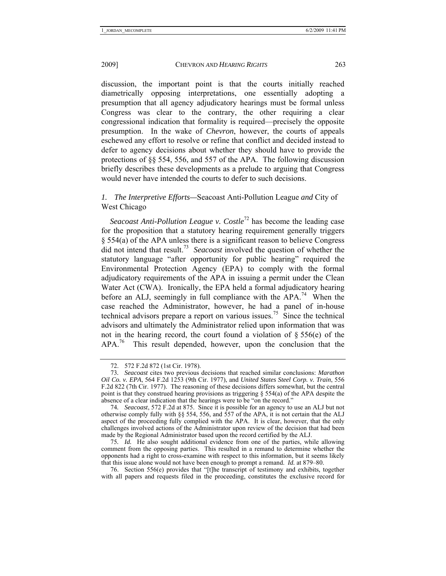discussion, the important point is that the courts initially reached diametrically opposing interpretations, one essentially adopting a presumption that all agency adjudicatory hearings must be formal unless Congress was clear to the contrary, the other requiring a clear congressional indication that formality is required—precisely the opposite presumption. In the wake of *Chevron*, however, the courts of appeals eschewed any effort to resolve or refine that conflict and decided instead to defer to agency decisions about whether they should have to provide the protections of §§ 554, 556, and 557 of the APA. The following discussion briefly describes these developments as a prelude to arguing that Congress would never have intended the courts to defer to such decisions.

# *1. The Interpretive Efforts—*Seacoast Anti-Pollution League *and* City of West Chicago

*Seacoast Anti-Pollution League v. Costle*72 has become the leading case for the proposition that a statutory hearing requirement generally triggers  $§$  554(a) of the APA unless there is a significant reason to believe Congress did not intend that result.73 *Seacoast* involved the question of whether the statutory language "after opportunity for public hearing" required the Environmental Protection Agency (EPA) to comply with the formal adjudicatory requirements of the APA in issuing a permit under the Clean Water Act (CWA). Ironically, the EPA held a formal adjudicatory hearing before an ALJ, seemingly in full compliance with the APA.<sup>74</sup> When the case reached the Administrator, however, he had a panel of in-house technical advisors prepare a report on various issues.<sup>75</sup> Since the technical advisors and ultimately the Administrator relied upon information that was not in the hearing record, the court found a violation of  $\S 556(e)$  of the APA.<sup>76</sup> This result depended, however, upon the conclusion that the

 76. Section 556(e) provides that "[t]he transcript of testimony and exhibits, together with all papers and requests filed in the proceeding, constitutes the exclusive record for

 <sup>72. 572</sup> F.2d 872 (1st Cir. 1978).

<sup>73</sup>*. Seacoast* cites two previous decisions that reached similar conclusions: *Marathon Oil Co. v. EPA*, 564 F.2d 1253 (9th Cir. 1977), and *United States Steel Corp. v. Train*, 556 F.2d 822 (7th Cir. 1977). The reasoning of these decisions differs somewhat, but the central point is that they construed hearing provisions as triggering  $\S$  554(a) of the APA despite the absence of a clear indication that the hearings were to be "on the record."

<sup>74</sup>*. Seacoast*, 572 F.2d at 875. Since it is possible for an agency to use an ALJ but not otherwise comply fully with §§ 554, 556, and 557 of the APA, it is not certain that the ALJ aspect of the proceeding fully complied with the APA. It is clear, however, that the only challenges involved actions of the Administrator upon review of the decision that had been made by the Regional Administrator based upon the record certified by the ALJ.

<sup>75</sup>*. Id.* He also sought additional evidence from one of the parties, while allowing comment from the opposing parties. This resulted in a remand to determine whether the opponents had a right to cross-examine with respect to this information, but it seems likely that this issue alone would not have been enough to prompt a remand. *Id.* at 879–80.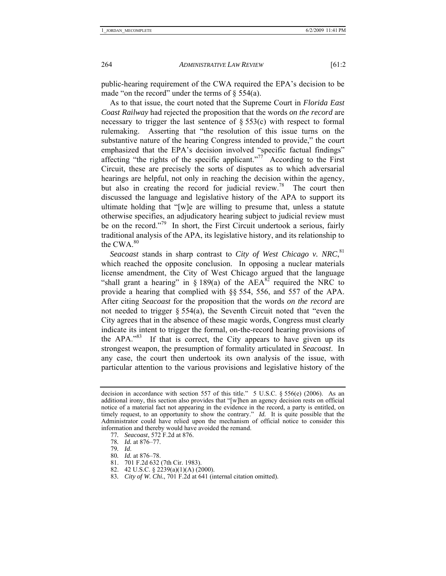public-hearing requirement of the CWA required the EPA's decision to be made "on the record" under the terms of  $\S$  554(a).

As to that issue, the court noted that the Supreme Court in *Florida East Coast Railway* had rejected the proposition that the words *on the record* are necessary to trigger the last sentence of  $\S 553(c)$  with respect to formal rulemaking. Asserting that "the resolution of this issue turns on the substantive nature of the hearing Congress intended to provide," the court emphasized that the EPA's decision involved "specific factual findings" affecting "the rights of the specific applicant."<sup>77</sup> According to the First Circuit, these are precisely the sorts of disputes as to which adversarial hearings are helpful, not only in reaching the decision within the agency, but also in creating the record for judicial review.<sup>78</sup> The court then discussed the language and legislative history of the APA to support its ultimate holding that "[w]e are willing to presume that, unless a statute otherwise specifies, an adjudicatory hearing subject to judicial review must be on the record."<sup>79</sup> In short, the First Circuit undertook a serious, fairly traditional analysis of the APA, its legislative history, and its relationship to the  $CWA$ <sup>80</sup>

Seacoast stands in sharp contrast to *City of West Chicago v. NRC*<sup>81</sup>, which reached the opposite conclusion. In opposing a nuclear materials license amendment, the City of West Chicago argued that the language "shall grant a hearing" in  $\S$  189(a) of the AEA<sup>82</sup> required the NRC to provide a hearing that complied with §§ 554, 556, and 557 of the APA. After citing *Seacoast* for the proposition that the words *on the record* are not needed to trigger § 554(a), the Seventh Circuit noted that "even the City agrees that in the absence of these magic words, Congress must clearly indicate its intent to trigger the formal, on-the-record hearing provisions of the  $APA.^{983}$  If that is correct, the City appears to have given up its strongest weapon, the presumption of formality articulated in *Seacoast*. In any case, the court then undertook its own analysis of the issue, with particular attention to the various provisions and legislative history of the

- 80*. Id.* at 876–78.
- 81. 701 F.2d 632 (7th Cir. 1983).

decision in accordance with section 557 of this title." 5 U.S.C.  $\S 556(e)$  (2006). As an additional irony, this section also provides that "[w]hen an agency decision rests on official notice of a material fact not appearing in the evidence in the record, a party is entitled, on timely request, to an opportunity to show the contrary." *Id.* It is quite possible that the Administrator could have relied upon the mechanism of official notice to consider this information and thereby would have avoided the remand.

<sup>77</sup>*. Seacoast*, 572 F.2d at 876.

<sup>78</sup>*. Id.* at 876–77.

<sup>79</sup>*. Id*.

 <sup>82. 42</sup> U.S.C. § 2239(a)(1)(A) (2000).

<sup>83</sup>*. City of W. Chi.*, 701 F.2d at 641 (internal citation omitted).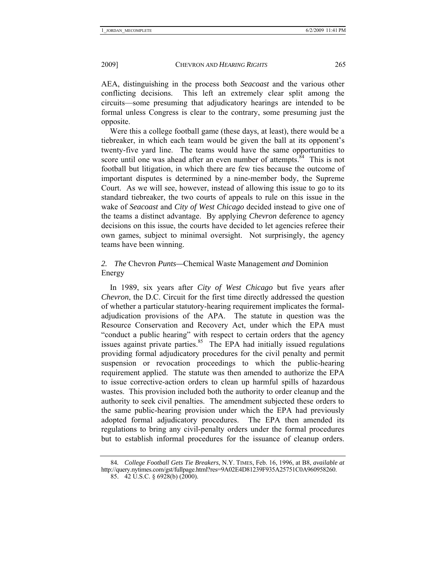AEA, distinguishing in the process both *Seacoast* and the various other conflicting decisions. This left an extremely clear split among the circuits—some presuming that adjudicatory hearings are intended to be formal unless Congress is clear to the contrary, some presuming just the opposite.

Were this a college football game (these days, at least), there would be a tiebreaker, in which each team would be given the ball at its opponent's twenty-five yard line. The teams would have the same opportunities to score until one was ahead after an even number of attempts.<sup>84</sup> This is not football but litigation, in which there are few ties because the outcome of important disputes is determined by a nine-member body, the Supreme Court. As we will see, however, instead of allowing this issue to go to its standard tiebreaker, the two courts of appeals to rule on this issue in the wake of *Seacoast* and *City of West Chicago* decided instead to give one of the teams a distinct advantage. By applying *Chevron* deference to agency decisions on this issue, the courts have decided to let agencies referee their own games, subject to minimal oversight. Not surprisingly, the agency teams have been winning.

# *2. The* Chevron *Punts—*Chemical Waste Management *and* Dominion Energy

In 1989, six years after *City of West Chicago* but five years after *Chevron*, the D.C. Circuit for the first time directly addressed the question of whether a particular statutory-hearing requirement implicates the formaladjudication provisions of the APA. The statute in question was the Resource Conservation and Recovery Act, under which the EPA must "conduct a public hearing" with respect to certain orders that the agency issues against private parties. $85$  The EPA had initially issued regulations providing formal adjudicatory procedures for the civil penalty and permit suspension or revocation proceedings to which the public-hearing requirement applied. The statute was then amended to authorize the EPA to issue corrective-action orders to clean up harmful spills of hazardous wastes. This provision included both the authority to order cleanup and the authority to seek civil penalties. The amendment subjected these orders to the same public-hearing provision under which the EPA had previously adopted formal adjudicatory procedures. The EPA then amended its regulations to bring any civil-penalty orders under the formal procedures but to establish informal procedures for the issuance of cleanup orders.

<sup>84</sup>*. College Football Gets Tie Breakers*, N.Y. TIMES, Feb. 16, 1996, at B8, *available at* http://query.nytimes.com/gst/fullpage.html?res=9A02E4D81239F935A25751C0A960958260.

<sup>85.</sup>  $\vec{42}$  U.S.C. § 6928(b) (2000).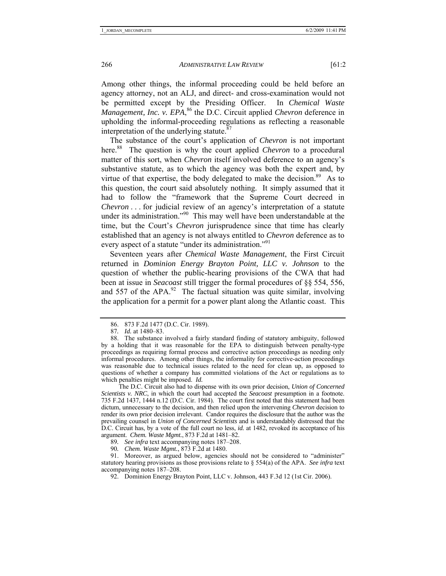Among other things, the informal proceeding could be held before an agency attorney, not an ALJ, and direct- and cross-examination would not be permitted except by the Presiding Officer. In *Chemical Waste Management, Inc. v. EPA*,<sup>86</sup> the D.C. Circuit applied *Chevron* deference in upholding the informal-proceeding regulations as reflecting a reasonable interpretation of the underlying statute. $87$ 

The substance of the court's application of *Chevron* is not important here.<sup>88</sup> The question is why the court applied *Chevron* to a procedural matter of this sort, when *Chevron* itself involved deference to an agency's substantive statute, as to which the agency was both the expert and, by virtue of that expertise, the body delegated to make the decision. $89$  As to this question, the court said absolutely nothing. It simply assumed that it had to follow the "framework that the Supreme Court decreed in *Chevron* . . . for judicial review of an agency's interpretation of a statute under its administration."<sup>90</sup> This may well have been understandable at the time, but the Court's *Chevron* jurisprudence since that time has clearly established that an agency is not always entitled to *Chevron* deference as to every aspect of a statute "under its administration."<sup>91</sup>

Seventeen years after *Chemical Waste Management*, the First Circuit returned in *Dominion Energy Brayton Point, LLC v. Johnson* to the question of whether the public-hearing provisions of the CWA that had been at issue in *Seacoast* still trigger the formal procedures of §§ 554, 556, and 557 of the APA. $^{92}$  The factual situation was quite similar, involving the application for a permit for a power plant along the Atlantic coast. This

The D.C. Circuit also had to dispense with its own prior decision, *Union of Concerned Scientists v. NRC*, in which the court had accepted the *Seacoast* presumption in a footnote. 735 F.2d 1437, 1444 n.12 (D.C. Cir. 1984). The court first noted that this statement had been dictum, unnecessary to the decision, and then relied upon the intervening *Chevron* decision to render its own prior decision irrelevant. Candor requires the disclosure that the author was the prevailing counsel in *Union of Concerned Scientists* and is understandably distressed that the D.C. Circuit has, by a vote of the full court no less, *id.* at 1482, revoked its acceptance of his argument. *Chem. Waste Mgmt.*, 873 F.2d at 1481–82.

89*. See infra* text accompanying notes 187–208.

90*. Chem. Waste Mgmt.*, 873 F.2d at 1480.

 91. Moreover, as argued below, agencies should not be considered to "administer" statutory hearing provisions as those provisions relate to § 554(a) of the APA. *See infra* text accompanying notes 187–208.

 <sup>86. 873</sup> F.2d 1477 (D.C. Cir. 1989).

<sup>87</sup>*. Id.* at 1480–83.

 <sup>88.</sup> The substance involved a fairly standard finding of statutory ambiguity, followed by a holding that it was reasonable for the EPA to distinguish between penalty-type proceedings as requiring formal process and corrective action proceedings as needing only informal procedures. Among other things, the informality for corrective-action proceedings was reasonable due to technical issues related to the need for clean up, as opposed to questions of whether a company has committed violations of the Act or regulations as to which penalties might be imposed. *Id.*

 <sup>92.</sup> Dominion Energy Brayton Point, LLC v. Johnson, 443 F.3d 12 (1st Cir. 2006).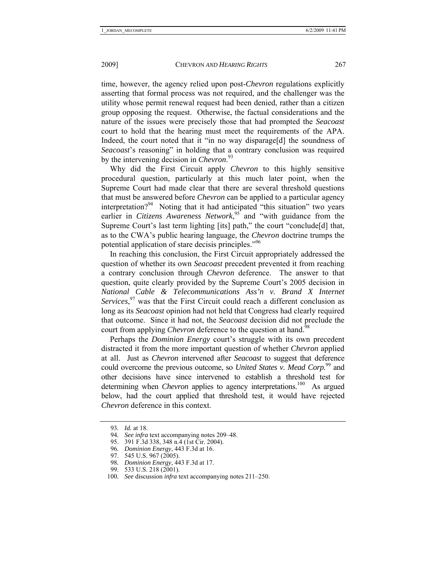time, however, the agency relied upon post-*Chevron* regulations explicitly asserting that formal process was not required, and the challenger was the utility whose permit renewal request had been denied, rather than a citizen group opposing the request. Otherwise, the factual considerations and the nature of the issues were precisely those that had prompted the *Seacoast* court to hold that the hearing must meet the requirements of the APA. Indeed, the court noted that it "in no way disparage[d] the soundness of *Seacoast*'s reasoning" in holding that a contrary conclusion was required by the intervening decision in *Chevron*. 93

Why did the First Circuit apply *Chevron* to this highly sensitive procedural question, particularly at this much later point, when the Supreme Court had made clear that there are several threshold questions that must be answered before *Chevron* can be applied to a particular agency interpretation?<sup>94</sup> Noting that it had anticipated "this situation" two years earlier in *Citizens Awareness Network*<sup>95</sup> and "with guidance from the Supreme Court's last term lighting [its] path," the court "conclude[d] that, as to the CWA's public hearing language, the *Chevron* doctrine trumps the potential application of stare decisis principles."96

In reaching this conclusion, the First Circuit appropriately addressed the question of whether its own *Seacoast* precedent prevented it from reaching a contrary conclusion through *Chevron* deference. The answer to that question, quite clearly provided by the Supreme Court's 2005 decision in *National Cable & Telecommunications Ass'n v. Brand X Internet Services*, 97 was that the First Circuit could reach a different conclusion as long as its *Seacoast* opinion had not held that Congress had clearly required that outcome. Since it had not, the *Seacoast* decision did not preclude the court from applying *Chevron* deference to the question at hand.<sup>98</sup>

Perhaps the *Dominion Energy* court's struggle with its own precedent distracted it from the more important question of whether *Chevron* applied at all. Just as *Chevron* intervened after *Seacoast* to suggest that deference could overcome the previous outcome, so *United States v. Mead Corp.*99 and other decisions have since intervened to establish a threshold test for determining when *Chevron* applies to agency interpretations.<sup>100</sup> As argued below, had the court applied that threshold test, it would have rejected *Chevron* deference in this context.

<sup>93</sup>*. Id.* at 18.

<sup>94</sup>*. See infra* text accompanying notes 209–48.

 <sup>95. 391</sup> F.3d 338, 348 n.4 (1st Cir. 2004).

<sup>96</sup>*. Dominion Energy*, 443 F.3d at 16.

 <sup>97. 545</sup> U.S. 967 (2005).

<sup>98</sup>*. Dominion Energy*, 443 F.3d at 17.

 <sup>99. 533</sup> U.S. 218 (2001).

<sup>100</sup>*. See* discussion *infra* text accompanying notes 211–250.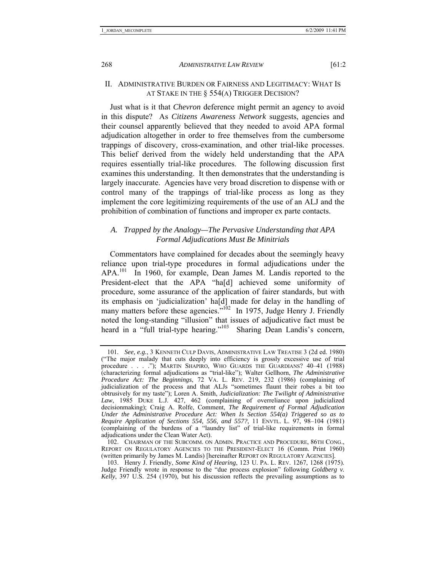## II. ADMINISTRATIVE BURDEN OR FAIRNESS AND LEGITIMACY: WHAT IS AT STAKE IN THE § 554(A) TRIGGER DECISION?

Just what is it that *Chevron* deference might permit an agency to avoid in this dispute? As *Citizens Awareness Network* suggests, agencies and their counsel apparently believed that they needed to avoid APA formal adjudication altogether in order to free themselves from the cumbersome trappings of discovery, cross-examination, and other trial-like processes. This belief derived from the widely held understanding that the APA requires essentially trial-like procedures. The following discussion first examines this understanding. It then demonstrates that the understanding is largely inaccurate. Agencies have very broad discretion to dispense with or control many of the trappings of trial-like process as long as they implement the core legitimizing requirements of the use of an ALJ and the prohibition of combination of functions and improper ex parte contacts.

#### *A. Trapped by the Analogy—The Pervasive Understanding that APA Formal Adjudications Must Be Minitrials*

Commentators have complained for decades about the seemingly heavy reliance upon trial-type procedures in formal adjudications under the APA.<sup>101</sup> In 1960, for example, Dean James M. Landis reported to the President-elect that the APA "ha[d] achieved some uniformity of procedure, some assurance of the application of fairer standards, but with its emphasis on 'judicialization' ha[d] made for delay in the handling of many matters before these agencies."<sup>102</sup> In 1975, Judge Henry J. Friendly noted the long-standing "illusion" that issues of adjudicative fact must be heard in a "full trial-type hearing."<sup>103</sup> Sharing Dean Landis's concern,

<sup>101</sup>*. See, e.g.*, 3 KENNETH CULP DAVIS, ADMINISTRATIVE LAW TREATISE 3 (2d ed. 1980) ("The major malady that cuts deeply into efficiency is grossly excessive use of trial procedure . . . ."); MARTIN SHAPIRO, WHO GUARDS THE GUARDIANS? 40–41 (1988) (characterizing formal adjudications as "trial-like"); Walter Gellhorn, *The Administrative Procedure Act: The Beginnings*, 72 VA. L. REV. 219, 232 (1986) (complaining of judicialization of the process and that ALJs "sometimes flaunt their robes a bit too obtrusively for my taste"); Loren A. Smith, *Judicialization: The Twilight of Administrative Law*, 1985 DUKE L.J. 427, 462 (complaining of overreliance upon judicialized decisionmaking); Craig A. Rolfe, Comment, *The Requirement of Formal Adjudication Under the Administrative Procedure Act: When Is Section 554(a) Triggered so as to Require Application of Sections 554, 556, and 557?*, 11 ENVTL. L. 97, 98–104 (1981) (complaining of the burdens of a "laundry list" of trial-like requirements in formal adjudications under the Clean Water Act).

 <sup>102.</sup> CHAIRMAN OF THE SUBCOMM. ON ADMIN. PRACTICE AND PROCEDURE, 86TH CONG., REPORT ON REGULATORY AGENCIES TO THE PRESIDENT-ELECT 16 (Comm. Print 1960) (written primarily by James M. Landis) [hereinafter REPORT ON REGULATORY AGENCIES].

 <sup>103.</sup> Henry J. Friendly, *Some Kind of Hearing*, 123 U. PA. L. REV. 1267, 1268 (1975). Judge Friendly wrote in response to the "due process explosion" following *Goldberg v. Kelly*, 397 U.S. 254 (1970), but his discussion reflects the prevailing assumptions as to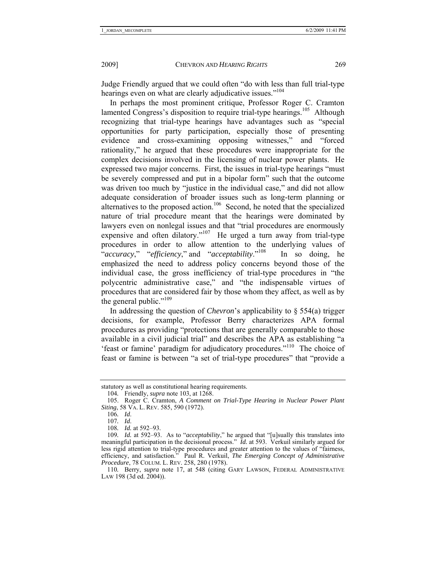Judge Friendly argued that we could often "do with less than full trial-type hearings even on what are clearly adjudicative issues."<sup>104</sup>

In perhaps the most prominent critique, Professor Roger C. Cramton lamented Congress's disposition to require trial-type hearings.<sup>105</sup> Although recognizing that trial-type hearings have advantages such as "special opportunities for party participation, especially those of presenting evidence and cross-examining opposing witnesses," and "forced rationality," he argued that these procedures were inappropriate for the complex decisions involved in the licensing of nuclear power plants. He expressed two major concerns. First, the issues in trial-type hearings "must be severely compressed and put in a bipolar form" such that the outcome was driven too much by "justice in the individual case," and did not allow adequate consideration of broader issues such as long-term planning or alternatives to the proposed action.<sup>106</sup> Second, he noted that the specialized nature of trial procedure meant that the hearings were dominated by lawyers even on nonlegal issues and that "trial procedures are enormously expensive and often dilatory."<sup>107</sup> He urged a turn away from trial-type procedures in order to allow attention to the underlying values of "*accuracy*," "*efficiency*," and "*acceptability*."108 In so doing, he emphasized the need to address policy concerns beyond those of the individual case, the gross inefficiency of trial-type procedures in "the polycentric administrative case," and "the indispensable virtues of procedures that are considered fair by those whom they affect, as well as by the general public."<sup>109</sup>

In addressing the question of *Chevron*'s applicability to § 554(a) trigger decisions, for example, Professor Berry characterizes APA formal procedures as providing "protections that are generally comparable to those available in a civil judicial trial" and describes the APA as establishing "a 'feast or famine' paradigm for adjudicatory procedures."110 The choice of feast or famine is between "a set of trial-type procedures" that "provide a

statutory as well as constitutional hearing requirements.

<sup>104</sup>*.* Friendly, *supra* note 103, at 1268.

 <sup>105.</sup> Roger C. Cramton, *A Comment on Trial-Type Hearing in Nuclear Power Plant Siting*, 58 VA. L. REV. 585, 590 (1972).

<sup>106</sup>*. Id*.

<sup>107</sup>*. Id*.

<sup>108</sup>*. Id.* at 592–93.

<sup>109</sup>*. Id.* at 592–93. As to "*acceptability*," he argued that "[u]sually this translates into meaningful participation in the decisional process." *Id.* at 593. Verkuil similarly argued for less rigid attention to trial-type procedures and greater attention to the values of "fairness, efficiency, and satisfaction." Paul R. Verkuil, *The Emerging Concept of Administrative Procedure*, 78 COLUM. L. REV. 258, 280 (1978).

<sup>110</sup>*.* Berry, *supra* note 17, at 548 (citing GARY LAWSON, FEDERAL ADMINISTRATIVE LAW 198 (3d ed. 2004)).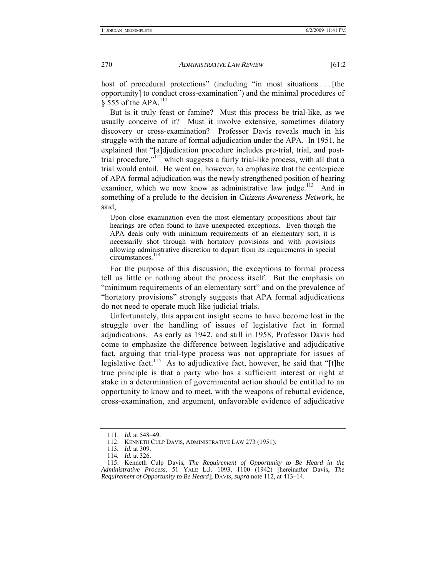host of procedural protections" (including "in most situations ... [the opportunity] to conduct cross-examination") and the minimal procedures of § 555 of the APA.111

But is it truly feast or famine? Must this process be trial-like, as we usually conceive of it? Must it involve extensive, sometimes dilatory discovery or cross-examination? Professor Davis reveals much in his struggle with the nature of formal adjudication under the APA. In 1951, he explained that "[a]djudication procedure includes pre-trial, trial, and posttrial procedure," $\frac{1}{2}$  which suggests a fairly trial-like process, with all that a trial would entail. He went on, however, to emphasize that the centerpiece of APA formal adjudication was the newly strengthened position of hearing examiner, which we now know as administrative law judge.<sup>113</sup> And in something of a prelude to the decision in *Citizens Awareness Network*, he said,

Upon close examination even the most elementary propositions about fair hearings are often found to have unexpected exceptions. Even though the APA deals only with minimum requirements of an elementary sort, it is necessarily shot through with hortatory provisions and with provisions allowing administrative discretion to depart from its requirements in special circumstances.114

For the purpose of this discussion, the exceptions to formal process tell us little or nothing about the process itself. But the emphasis on "minimum requirements of an elementary sort" and on the prevalence of "hortatory provisions" strongly suggests that APA formal adjudications do not need to operate much like judicial trials.

Unfortunately, this apparent insight seems to have become lost in the struggle over the handling of issues of legislative fact in formal adjudications. As early as 1942, and still in 1958, Professor Davis had come to emphasize the difference between legislative and adjudicative fact, arguing that trial-type process was not appropriate for issues of legislative fact.<sup>115</sup> As to adjudicative fact, however, he said that "[t]he true principle is that a party who has a sufficient interest or right at stake in a determination of governmental action should be entitled to an opportunity to know and to meet, with the weapons of rebuttal evidence, cross-examination, and argument, unfavorable evidence of adjudicative

 <sup>111.</sup> *Id.* at 548–49.

 <sup>112.</sup> KENNETH CULP DAVIS, ADMINISTRATIVE LAW 273 (1951).

<sup>113</sup>*. Id.* at 309.

<sup>114</sup>*. Id.* at 326.

 <sup>115.</sup> Kenneth Culp Davis, *The Requirement of Opportunity to Be Heard in the Administrative Process*, 51 YALE L.J. 1093, 1100 (1942) [hereinafter Davis, *The Requirement of Opportunity to Be Heard*]; DAVIS, *supra* note 112, at 413–14.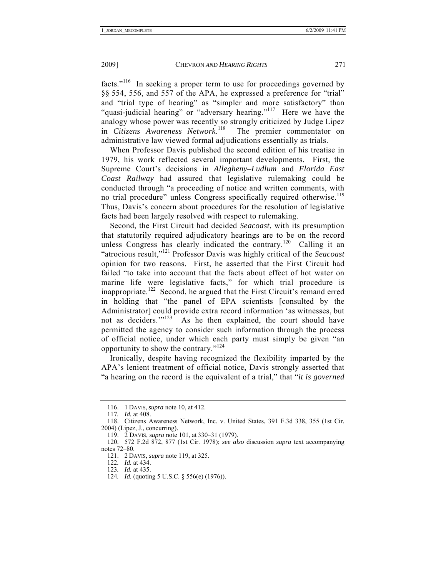facts."116 In seeking a proper term to use for proceedings governed by §§ 554, 556, and 557 of the APA, he expressed a preference for "trial" and "trial type of hearing" as "simpler and more satisfactory" than "quasi-judicial hearing" or "adversary hearing."<sup>117</sup> Here we have the analogy whose power was recently so strongly criticized by Judge Lipez in *Citizens Awareness Network*. The premier commentator on administrative law viewed formal adjudications essentially as trials.

When Professor Davis published the second edition of his treatise in 1979, his work reflected several important developments. First, the Supreme Court's decisions in *Allegheny–Ludlum* and *Florida East Coast Railway* had assured that legislative rulemaking could be conducted through "a proceeding of notice and written comments, with no trial procedure" unless Congress specifically required otherwise.<sup>119</sup> Thus, Davis's concern about procedures for the resolution of legislative facts had been largely resolved with respect to rulemaking.

Second, the First Circuit had decided *Seacoast*, with its presumption that statutorily required adjudicatory hearings are to be on the record unless Congress has clearly indicated the contrary.<sup>120</sup> Calling it an "atrocious result,"121 Professor Davis was highly critical of the *Seacoast* opinion for two reasons. First, he asserted that the First Circuit had failed "to take into account that the facts about effect of hot water on marine life were legislative facts," for which trial procedure is inappropriate.<sup>122</sup> Second, he argued that the First Circuit's remand erred in holding that "the panel of EPA scientists [consulted by the Administrator] could provide extra record information 'as witnesses, but not as deciders."<sup>123</sup> As he then explained, the court should have permitted the agency to consider such information through the process of official notice, under which each party must simply be given "an opportunity to show the contrary."<sup>124</sup>

Ironically, despite having recognized the flexibility imparted by the APA's lenient treatment of official notice, Davis strongly asserted that "a hearing on the record is the equivalent of a trial," that "*it is governed* 

 <sup>116. 1</sup> DAVIS, *supra* note 10, at 412.

<sup>117</sup>*. Id.* at 408.

 <sup>118.</sup> Citizens Awareness Network, Inc. v. United States, 391 F.3d 338, 355 (1st Cir. 2004) (Lipez, J., concurring).

 <sup>119. 2</sup> DAVIS, *supra* note 101, at 330–31 (1979).

 <sup>120. 572</sup> F.2d 872, 877 (1st Cir. 1978); *see also* discussion *supra* text accompanying notes 72–80.

 <sup>121. 2</sup> DAVIS, *supra* note 119, at 325.

<sup>122</sup>*. Id.* at 434.

<sup>123</sup>*. Id.* at 435.

<sup>124</sup>*. Id.* (quoting 5 U.S.C. § 556(e) (1976)).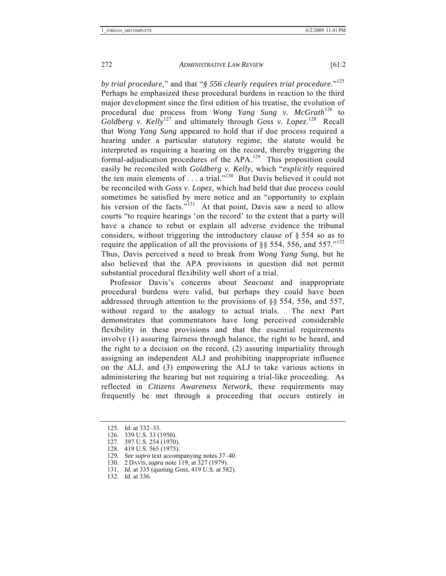*by trial procedure*," and that "*§ 556 clearly requires trial procedure.*"125 Perhaps he emphasized these procedural burdens in reaction to the third major development since the first edition of his treatise, the evolution of procedural due process from *Wong Yang Sung v. McGrath*126 to *Goldberg v. Kelly*<sup>127</sup> and ultimately through *Goss v. Lopez*.<sup>128</sup> Recall that *Wong Yang Sung* appeared to hold that if due process required a hearing under a particular statutory regime, the statute would be interpreted as requiring a hearing on the record, thereby triggering the formal-adjudication procedures of the APA.<sup>129</sup> This proposition could easily be reconciled with *Goldberg v. Kelly*, which "*explicitly* required the ten main elements of  $\ldots$  a trial."<sup>130</sup> But Davis believed it could not be reconciled with *Goss v. Lopez*, which had held that due process could sometimes be satisfied by mere notice and an "opportunity to explain his version of the facts."<sup>131</sup> At that point, Davis saw a need to allow courts "to require hearings 'on the record' to the extent that a party will have a chance to rebut or explain all adverse evidence the tribunal considers, without triggering the introductory clause of § 554 so as to require the application of all the provisions of  $\S$ § 554, 556, and 557."<sup>132</sup> Thus, Davis perceived a need to break from *Wong Yang Sung*, but he also believed that the APA provisions in question did not permit substantial procedural flexibility well short of a trial.

Professor Davis's concerns about *Seacoast* and inappropriate procedural burdens were valid, but perhaps they could have been addressed through attention to the provisions of §§ 554, 556, and 557, without regard to the analogy to actual trials. The next Part demonstrates that commentators have long perceived considerable flexibility in these provisions and that the essential requirements involve (1) assuring fairness through balance, the right to be heard, and the right to a decision on the record, (2) assuring impartiality through assigning an independent ALJ and prohibiting inappropriate influence on the ALJ, and (3) empowering the ALJ to take various actions in administering the hearing but not requiring a trial-like proceeding. As reflected in *Citizens Awareness Network*, these requirements may frequently be met through a proceeding that occurs entirely in

- 131*. Id.* at 335 (quoting *Goss*, 419 U.S. at 582).
- 132*. Id.* at 336.

<sup>125</sup>*. Id.* at 332–33.

 <sup>126. 339</sup> U.S. 33 (1950).

 <sup>127. 397</sup> U.S. 254 (1970).

 <sup>128. 419</sup> U.S. 565 (1975).

<sup>129</sup>*. See supra* text accompanying notes 37–40.

 <sup>130. 2</sup> DAVIS, *supra* note 119, at 327 (1979).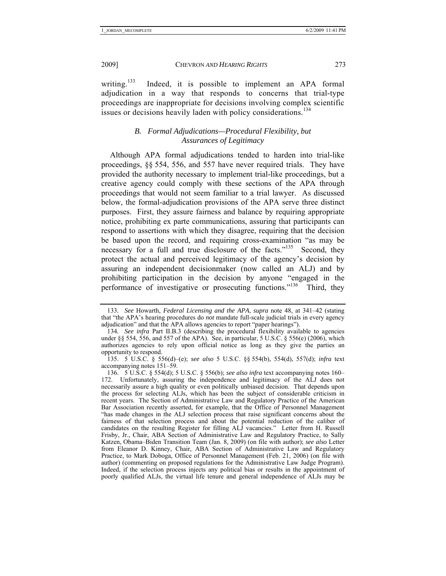writing.<sup>133</sup> Indeed, it is possible to implement an APA formal

adjudication in a way that responds to concerns that trial-type proceedings are inappropriate for decisions involving complex scientific issues or decisions heavily laden with policy considerations.<sup>134</sup>

#### *B. Formal Adjudications—Procedural Flexibility, but Assurances of Legitimacy*

Although APA formal adjudications tended to harden into trial-like proceedings, §§ 554, 556, and 557 have never required trials. They have provided the authority necessary to implement trial-like proceedings, but a creative agency could comply with these sections of the APA through proceedings that would not seem familiar to a trial lawyer. As discussed below, the formal-adjudication provisions of the APA serve three distinct purposes. First, they assure fairness and balance by requiring appropriate notice, prohibiting ex parte communications, assuring that participants can respond to assertions with which they disagree, requiring that the decision be based upon the record, and requiring cross-examination "as may be necessary for a full and true disclosure of the facts."<sup>135</sup> Second, they protect the actual and perceived legitimacy of the agency's decision by assuring an independent decisionmaker (now called an ALJ) and by prohibiting participation in the decision by anyone "engaged in the performance of investigative or prosecuting functions."<sup>136</sup> Third, they

<sup>133</sup>*. See* Howarth, *Federal Licensing and the APA*, *supra* note 48, at 341–42 (stating that "the APA's hearing procedures do *not* mandate full-scale judicial trials in every agency adjudication" and that the APA allows agencies to report "paper hearings").

<sup>134</sup>*. See infra* Part II.B.3 (describing the procedural flexibility available to agencies under §§ 554, 556, and 557 of the APA). See, in particular, 5 U.S.C. § 556(e) (2006), which authorizes agencies to rely upon official notice as long as they give the parties an opportunity to respond.

 <sup>135. 5</sup> U.S.C. § 556(d)–(e); *see also* 5 U.S.C. §§ 554(b), 554(d), 557(d); *infra* text accompanying notes 151–59.

 <sup>136. 5</sup> U.S.C. § 554(d); 5 U.S.C. § 556(b); *see also infra* text accompanying notes 160– 172. Unfortunately, assuring the independence and legitimacy of the ALJ does not necessarily assure a high quality or even politically unbiased decision. That depends upon the process for selecting ALJs, which has been the subject of considerable criticism in recent years. The Section of Administrative Law and Regulatory Practice of the American Bar Association recently asserted, for example, that the Office of Personnel Management "has made changes in the ALJ selection process that raise significant concerns about the fairness of that selection process and about the potential reduction of the caliber of candidates on the resulting Register for filling ALJ vacancies." Letter from H. Russell Frisby, Jr., Chair, ABA Section of Administrative Law and Regulatory Practice, to Sally Katzen, Obama–Biden Transition Team (Jan. 8, 2009) (on file with author); *see also* Letter from Eleanor D. Kinney, Chair, ABA Section of Administrative Law and Regulatory Practice, to Mark Doboga, Office of Personnel Management (Feb. 21, 2006) (on file with author) (commenting on proposed regulations for the Administrative Law Judge Program). Indeed, if the selection process injects any political bias or results in the appointment of poorly qualified ALJs, the virtual life tenure and general independence of ALJs may be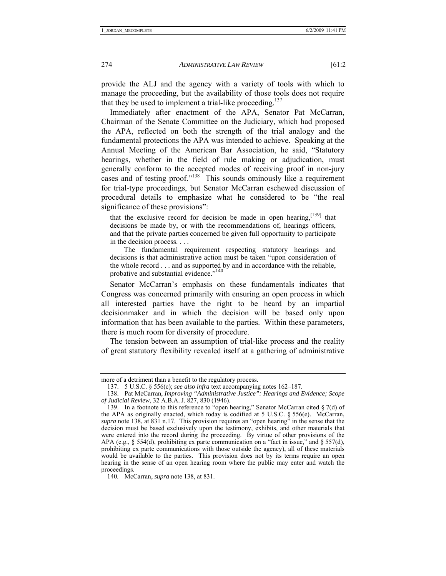provide the ALJ and the agency with a variety of tools with which to manage the proceeding, but the availability of those tools does not require that they be used to implement a trial-like proceeding.<sup>137</sup>

Immediately after enactment of the APA, Senator Pat McCarran, Chairman of the Senate Committee on the Judiciary, which had proposed the APA, reflected on both the strength of the trial analogy and the fundamental protections the APA was intended to achieve. Speaking at the Annual Meeting of the American Bar Association, he said, "Statutory hearings, whether in the field of rule making or adjudication, must generally conform to the accepted modes of receiving proof in non-jury cases and of testing proof."<sup>138</sup> This sounds ominously like a requirement for trial-type proceedings, but Senator McCarran eschewed discussion of procedural details to emphasize what he considered to be "the real significance of these provisions":

that the exclusive record for decision be made in open hearing,  $[139]$  that decisions be made by, or with the recommendations of, hearings officers, and that the private parties concerned be given full opportunity to participate in the decision process. . . .

 The fundamental requirement respecting statutory hearings and decisions is that administrative action must be taken "upon consideration of the whole record . . . and as supported by and in accordance with the reliable, probative and substantial evidence."<sup>140</sup>

Senator McCarran's emphasis on these fundamentals indicates that Congress was concerned primarily with ensuring an open process in which all interested parties have the right to be heard by an impartial decisionmaker and in which the decision will be based only upon information that has been available to the parties. Within these parameters, there is much room for diversity of procedure.

The tension between an assumption of trial-like process and the reality of great statutory flexibility revealed itself at a gathering of administrative

more of a detriment than a benefit to the regulatory process.

 <sup>137. 5</sup> U.S.C. § 556(c); *see also infra* text accompanying notes 162–187.

 <sup>138.</sup> Pat McCarran, *Improving "Administrative Justice": Hearings and Evidence; Scope of Judicial Review*, 32 A.B.A. J. 827, 830 (1946).

 <sup>139.</sup> In a footnote to this reference to "open hearing," Senator McCarran cited § 7(d) of the APA as originally enacted, which today is codified at 5 U.S.C. § 556(e). McCarran, *supra* note 138, at 831 n.17. This provision requires an "open hearing" in the sense that the decision must be based exclusively upon the testimony, exhibits, and other materials that were entered into the record during the proceeding. By virtue of other provisions of the APA (e.g.,  $\S$  554(d), prohibiting ex parte communication on a "fact in issue," and  $\S$  557(d), prohibiting ex parte communications with those outside the agency), all of these materials would be available to the parties. This provision does not by its terms require an open hearing in the sense of an open hearing room where the public may enter and watch the proceedings.

<sup>140</sup>*.* McCarran, *supra* note 138, at 831.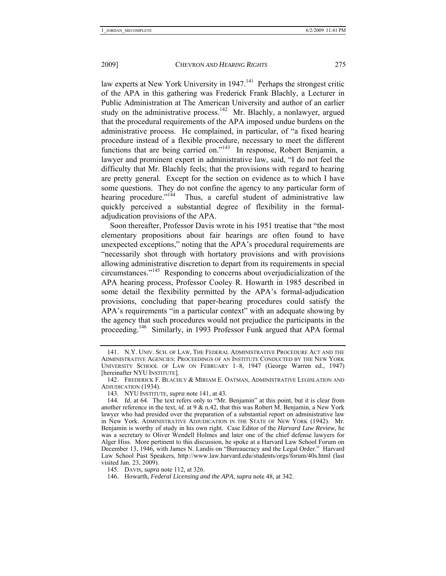law experts at New York University in  $1947<sup>141</sup>$  Perhaps the strongest critic of the APA in this gathering was Frederick Frank Blachly, a Lecturer in Public Administration at The American University and author of an earlier study on the administrative process.<sup>142</sup> Mr. Blachly, a nonlawyer, argued that the procedural requirements of the APA imposed undue burdens on the administrative process. He complained, in particular, of "a fixed hearing procedure instead of a flexible procedure, necessary to meet the different functions that are being carried on."143 In response, Robert Benjamin, a lawyer and prominent expert in administrative law, said, "I do not feel the difficulty that Mr. Blachly feels; that the provisions with regard to hearing are pretty general. Except for the section on evidence as to which I have some questions. They do not confine the agency to any particular form of hearing procedure."<sup>144</sup> Thus, a careful student of administrative law quickly perceived a substantial degree of flexibility in the formaladjudication provisions of the APA.

Soon thereafter, Professor Davis wrote in his 1951 treatise that "the most elementary propositions about fair hearings are often found to have unexpected exceptions," noting that the APA's procedural requirements are "necessarily shot through with hortatory provisions and with provisions allowing administrative discretion to depart from its requirements in special circumstances."145 Responding to concerns about overjudicialization of the APA hearing process, Professor Cooley R. Howarth in 1985 described in some detail the flexibility permitted by the APA's formal-adjudication provisions, concluding that paper-hearing procedures could satisfy the APA's requirements "in a particular context" with an adequate showing by the agency that such procedures would not prejudice the participants in the proceeding.146 Similarly, in 1993 Professor Funk argued that APA formal

 <sup>141.</sup> N.Y. UNIV. SCH. OF LAW, THE FEDERAL ADMINISTRATIVE PROCEDURE ACT AND THE ADMINISTRATIVE AGENCIES: PROCEEDINGS OF AN INSTITUTE CONDUCTED BY THE NEW YORK UNIVERSITY SCHOOL OF LAW ON FEBRUARY 1–8, 1947 (George Warren ed., 1947) [hereinafter NYU INSTITUTE].

 <sup>142.</sup> FREDERICK F. BLACHLY & MIRIAM E. OATMAN, ADMINISTRATIVE LEGISLATION AND ADJUDICATION (1934).

 <sup>143.</sup> NYU INSTITUTE, *supra* note 141, at 43.

<sup>144</sup>*. Id.* at 64. The text refers only to "Mr. Benjamin" at this point, but it is clear from another reference in the text, *id.* at 9 & n.42, that this was Robert M. Benjamin, a New York lawyer who had presided over the preparation of a substantial report on administrative law in New York. ADMINISTRATIVE ADJUDICATION IN THE STATE OF NEW YORK (1942). Mr. Benjamin is worthy of study in his own right. Case Editor of the *Harvard Law Review*, he was a secretary to Oliver Wendell Holmes and later one of the chief defense lawyers for Alger Hiss. More pertinent to this discussion, he spoke at a Harvard Law School Forum on December 13, 1946, with James N. Landis on "Bureaucracy and the Legal Order." Harvard Law School Past Speakers, http://www.law.harvard.edu/students/orgs/forum/40s.html (last visited Jan. 23, 2009).

 <sup>145.</sup> DAVIS, *supra* note 112, at 326.

 <sup>146.</sup> Howarth, *Federal Licensing and the APA*, *supra* note 48, at 342.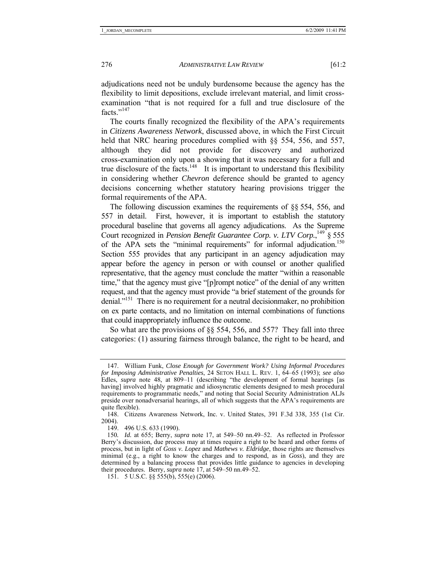adjudications need not be unduly burdensome because the agency has the flexibility to limit depositions, exclude irrelevant material, and limit crossexamination "that is not required for a full and true disclosure of the facts $"$ <sup>147</sup>

The courts finally recognized the flexibility of the APA's requirements in *Citizens Awareness Network*, discussed above, in which the First Circuit held that NRC hearing procedures complied with §§ 554, 556, and 557, although they did not provide for discovery and authorized cross-examination only upon a showing that it was necessary for a full and true disclosure of the facts.<sup>148</sup> It is important to understand this flexibility in considering whether *Chevron* deference should be granted to agency decisions concerning whether statutory hearing provisions trigger the formal requirements of the APA.

The following discussion examines the requirements of §§ 554, 556, and 557 in detail. First, however, it is important to establish the statutory procedural baseline that governs all agency adjudications. As the Supreme Court recognized in *Pension Benefit Guarantee Corp.* v. LTV Corp.,<sup>149</sup> § 555 of the APA sets the "minimal requirements" for informal adjudication.<sup>150</sup> Section 555 provides that any participant in an agency adjudication may appear before the agency in person or with counsel or another qualified representative, that the agency must conclude the matter "within a reasonable time," that the agency must give "[p]rompt notice" of the denial of any written request, and that the agency must provide "a brief statement of the grounds for denial."<sup>151</sup> There is no requirement for a neutral decisionmaker, no prohibition on ex parte contacts, and no limitation on internal combinations of functions that could inappropriately influence the outcome.

So what are the provisions of §§ 554, 556, and 557? They fall into three categories: (1) assuring fairness through balance, the right to be heard, and

 <sup>147.</sup> William Funk, *Close Enough for Government Work? Using Informal Procedures for Imposing Administrative Penalties*, 24 SETON HALL L. REV. 1, 64–65 (1993); *see also* Edles, *supra* note 48, at 809–11 (describing "the development of formal hearings [as having] involved highly pragmatic and idiosyncratic elements designed to mesh procedural requirements to programmatic needs," and noting that Social Security Administration ALJs preside over nonadversarial hearings, all of which suggests that the APA's requirements are quite flexible).

 <sup>148.</sup> Citizens Awareness Network, Inc. v. United States, 391 F.3d 338, 355 (1st Cir. 2004).

 <sup>149. 496</sup> U.S. 633 (1990).

<sup>150</sup>*. Id.* at 655; Berry, *supra* note 17, at 549–50 nn.49–52. As reflected in Professor Berry's discussion, due process may at times require a right to be heard and other forms of process, but in light of *Goss v. Lopez* and *Mathews v. Eldridge*, those rights are themselves minimal (e.g., a right to know the charges and to respond, as in *Goss*), and they are determined by a balancing process that provides little guidance to agencies in developing their procedures. Berry, *supra* note 17, at 549–50 nn.49–52.

 <sup>151. 5</sup> U.S.C. §§ 555(b), 555(e) (2006).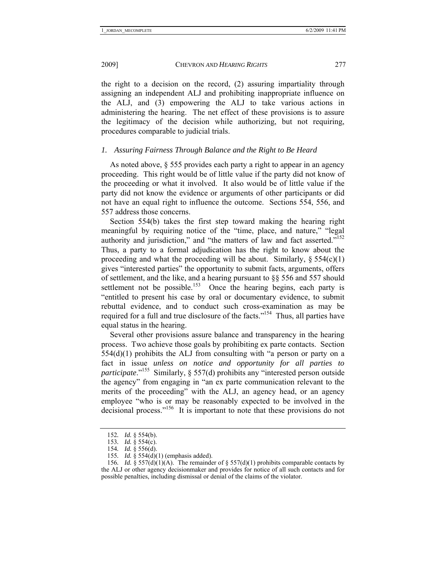the right to a decision on the record, (2) assuring impartiality through assigning an independent ALJ and prohibiting inappropriate influence on the ALJ, and (3) empowering the ALJ to take various actions in administering the hearing. The net effect of these provisions is to assure the legitimacy of the decision while authorizing, but not requiring, procedures comparable to judicial trials.

# *1. Assuring Fairness Through Balance and the Right to Be Heard*

As noted above, § 555 provides each party a right to appear in an agency proceeding. This right would be of little value if the party did not know of the proceeding or what it involved. It also would be of little value if the party did not know the evidence or arguments of other participants or did not have an equal right to influence the outcome. Sections 554, 556, and 557 address those concerns.

Section 554(b) takes the first step toward making the hearing right meaningful by requiring notice of the "time, place, and nature," "legal authority and jurisdiction," and "the matters of law and fact asserted."<sup>152</sup> Thus, a party to a formal adjudication has the right to know about the proceeding and what the proceeding will be about. Similarly,  $\S 554(c)(1)$ gives "interested parties" the opportunity to submit facts, arguments, offers of settlement, and the like, and a hearing pursuant to §§ 556 and 557 should settlement not be possible.<sup>153</sup> Once the hearing begins, each party is "entitled to present his case by oral or documentary evidence, to submit rebuttal evidence, and to conduct such cross-examination as may be required for a full and true disclosure of the facts."154 Thus, all parties have equal status in the hearing.

Several other provisions assure balance and transparency in the hearing process. Two achieve those goals by prohibiting ex parte contacts. Section 554(d)(1) prohibits the ALJ from consulting with "a person or party on a fact in issue *unless on notice and opportunity for all parties to participate*."<sup>155</sup> Similarly, § 557(d) prohibits any "interested person outside the agency" from engaging in "an ex parte communication relevant to the merits of the proceeding" with the ALJ, an agency head, or an agency employee "who is or may be reasonably expected to be involved in the decisional process."156 It is important to note that these provisions do not

<sup>152</sup>*. Id.* § 554(b).

<sup>153</sup>*. Id.* § 554(c).

<sup>154</sup>*. Id.* § 556(d).

<sup>155</sup>*. Id.* § 554(d)(1) (emphasis added).

<sup>156</sup>*. Id.* § 557(d)(1)(A). The remainder of § 557(d)(1) prohibits comparable contacts by the ALJ or other agency decisionmaker and provides for notice of all such contacts and for possible penalties, including dismissal or denial of the claims of the violator.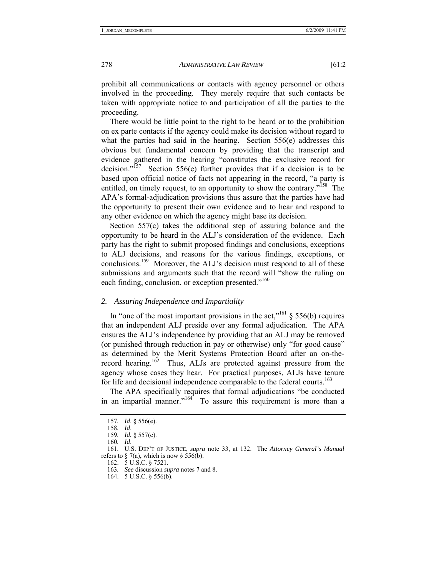prohibit all communications or contacts with agency personnel or others involved in the proceeding. They merely require that such contacts be taken with appropriate notice to and participation of all the parties to the proceeding.

There would be little point to the right to be heard or to the prohibition on ex parte contacts if the agency could make its decision without regard to what the parties had said in the hearing. Section 556(e) addresses this obvious but fundamental concern by providing that the transcript and evidence gathered in the hearing "constitutes the exclusive record for decision."<sup>157</sup> Section 556(e) further provides that if a decision is to be Section  $556(e)$  further provides that if a decision is to be based upon official notice of facts not appearing in the record, "a party is entitled, on timely request, to an opportunity to show the contrary."<sup>158</sup> The APA's formal-adjudication provisions thus assure that the parties have had the opportunity to present their own evidence and to hear and respond to any other evidence on which the agency might base its decision.

Section 557(c) takes the additional step of assuring balance and the opportunity to be heard in the ALJ's consideration of the evidence. Each party has the right to submit proposed findings and conclusions, exceptions to ALJ decisions, and reasons for the various findings, exceptions, or conclusions.159 Moreover, the ALJ's decision must respond to all of these submissions and arguments such that the record will "show the ruling on each finding, conclusion, or exception presented."<sup>160</sup>

#### *2. Assuring Independence and Impartiality*

In "one of the most important provisions in the act,"<sup>161</sup>  $\frac{8}{3}$  556(b) requires that an independent ALJ preside over any formal adjudication. The APA ensures the ALJ's independence by providing that an ALJ may be removed (or punished through reduction in pay or otherwise) only "for good cause" as determined by the Merit Systems Protection Board after an on-therecord hearing.<sup>162</sup> Thus, ALJs are protected against pressure from the agency whose cases they hear. For practical purposes, ALJs have tenure for life and decisional independence comparable to the federal courts.<sup>163</sup>

The APA specifically requires that formal adjudications "be conducted in an impartial manner." $164$  To assure this requirement is more than a

<sup>157</sup>*. Id*. § 556(e).

<sup>158</sup>*. Id*.

<sup>159</sup>*. Id.* § 557(c).

<sup>160</sup>*. Id*.

 <sup>161.</sup> U.S. DEP'T OF JUSTICE, *supra* note 33, at 132. The *Attorney General's Manual* refers to  $\S$  7(a), which is now  $\S$  556(b).

 <sup>162. 5</sup> U.S.C. § 7521.

<sup>163</sup>*. See* discussion *supra* notes 7 and 8.

 <sup>164. 5</sup> U.S.C. § 556(b).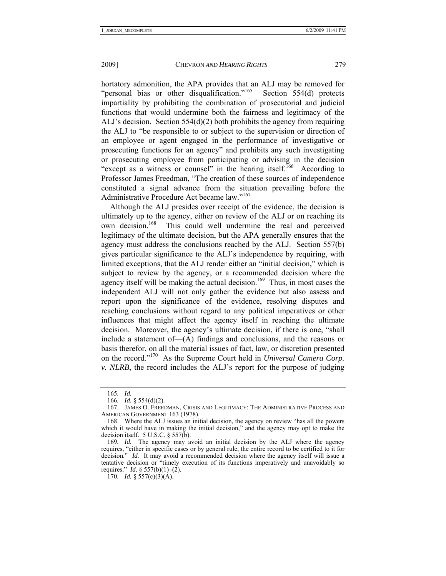hortatory admonition, the APA provides that an ALJ may be removed for "personal bias or other disqualification."<sup>165</sup> Section 554(d) protects impartiality by prohibiting the combination of prosecutorial and judicial functions that would undermine both the fairness and legitimacy of the ALJ's decision. Section  $554(d)(2)$  both prohibits the agency from requiring the ALJ to "be responsible to or subject to the supervision or direction of an employee or agent engaged in the performance of investigative or prosecuting functions for an agency" and prohibits any such investigating or prosecuting employee from participating or advising in the decision "except as a witness or counsel" in the hearing itself.<sup>166</sup> According to Professor James Freedman, "The creation of these sources of independence constituted a signal advance from the situation prevailing before the Administrative Procedure Act became law."<sup>167</sup>

Although the ALJ presides over receipt of the evidence, the decision is ultimately up to the agency, either on review of the ALJ or on reaching its own decision.<sup>168</sup> This could well undermine the real and perceived legitimacy of the ultimate decision, but the APA generally ensures that the agency must address the conclusions reached by the ALJ. Section 557(b) gives particular significance to the ALJ's independence by requiring, with limited exceptions, that the ALJ render either an "initial decision," which is subject to review by the agency, or a recommended decision where the agency itself will be making the actual decision.<sup>169</sup> Thus, in most cases the independent ALJ will not only gather the evidence but also assess and report upon the significance of the evidence, resolving disputes and reaching conclusions without regard to any political imperatives or other influences that might affect the agency itself in reaching the ultimate decision. Moreover, the agency's ultimate decision, if there is one, "shall include a statement of—(A) findings and conclusions, and the reasons or basis therefor, on all the material issues of fact, law, or discretion presented on the record."170 As the Supreme Court held in *Universal Camera Corp. v. NLRB*, the record includes the ALJ's report for the purpose of judging

<sup>165</sup>*. Id.*

<sup>166</sup>*. Id.* § 554(d)(2).

 <sup>167.</sup> JAMES O. FREEDMAN, CRISIS AND LEGITIMACY: THE ADMINISTRATIVE PROCESS AND AMERICAN GOVERNMENT 163 (1978).

 <sup>168.</sup> Where the ALJ issues an initial decision, the agency on review "has all the powers which it would have in making the initial decision," and the agency may opt to make the decision itself. 5 U.S.C. § 557(b).

<sup>169</sup>*. Id.* The agency may avoid an initial decision by the ALJ where the agency requires, "either in specific cases or by general rule, the entire record to be certified to it for decision." *Id.* It may avoid a recommended decision where the agency itself will issue a tentative decision or "timely execution of its functions imperatively and unavoidably so requires." *Id*. § 557(b)(1)–(2).

<sup>170</sup>*. Id.* § 557(c)(3)(A).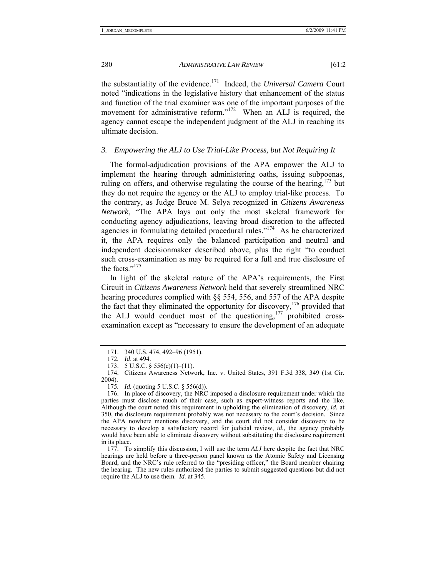the substantiality of the evidence.171 Indeed, the *Universal Camera* Court noted "indications in the legislative history that enhancement of the status and function of the trial examiner was one of the important purposes of the movement for administrative reform."<sup>172</sup> When an ALJ is required, the agency cannot escape the independent judgment of the ALJ in reaching its ultimate decision.

#### *3. Empowering the ALJ to Use Trial-Like Process, but Not Requiring It*

The formal-adjudication provisions of the APA empower the ALJ to implement the hearing through administering oaths, issuing subpoenas, ruling on offers, and otherwise regulating the course of the hearing,  $173$  but they do not require the agency or the ALJ to employ trial-like process. To the contrary, as Judge Bruce M. Selya recognized in *Citizens Awareness Network*, "The APA lays out only the most skeletal framework for conducting agency adjudications, leaving broad discretion to the affected agencies in formulating detailed procedural rules."174 As he characterized it, the APA requires only the balanced participation and neutral and independent decisionmaker described above, plus the right "to conduct such cross-examination as may be required for a full and true disclosure of the facts."175

In light of the skeletal nature of the APA's requirements, the First Circuit in *Citizens Awareness Network* held that severely streamlined NRC hearing procedures complied with §§ 554, 556, and 557 of the APA despite the fact that they eliminated the opportunity for discovery,<sup>176</sup> provided that the ALJ would conduct most of the questioning,  $177$  prohibited crossexamination except as "necessary to ensure the development of an adequate

 <sup>171. 340</sup> U.S. 474, 492–96 (1951).

<sup>172</sup>*. Id*. at 494.

 <sup>173. 5</sup> U.S.C. § 556(c)(1)–(11).

 <sup>174.</sup> Citizens Awareness Network, Inc. v. United States, 391 F.3d 338, 349 (1st Cir. 2004).

<sup>175</sup>*. Id.* (quoting 5 U.S.C. § 556(d)).

 <sup>176.</sup> In place of discovery, the NRC imposed a disclosure requirement under which the parties must disclose much of their case, such as expert-witness reports and the like. Although the court noted this requirement in upholding the elimination of discovery, *id.* at 350, the disclosure requirement probably was not necessary to the court's decision. Since the APA nowhere mentions discovery, and the court did not consider discovery to be necessary to develop a satisfactory record for judicial review, *id.*, the agency probably would have been able to eliminate discovery without substituting the disclosure requirement in its place.

 <sup>177.</sup> To simplify this discussion, I will use the term *ALJ* here despite the fact that NRC hearings are held before a three-person panel known as the Atomic Safety and Licensing Board, and the NRC's rule referred to the "presiding officer," the Board member chairing the hearing. The new rules authorized the parties to submit suggested questions but did not require the ALJ to use them. *Id.* at 345.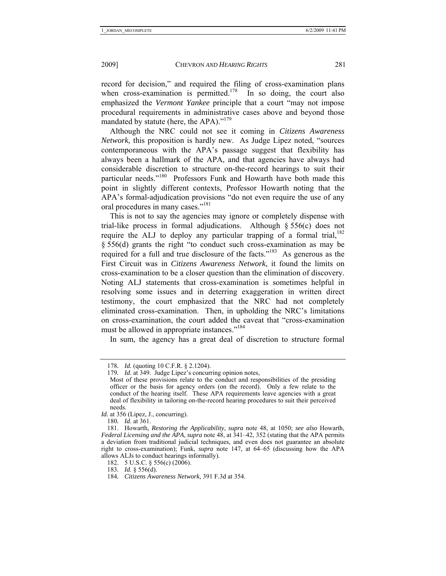record for decision," and required the filing of cross-examination plans when cross-examination is permitted.<sup>178</sup> In so doing, the court also emphasized the *Vermont Yankee* principle that a court "may not impose procedural requirements in administrative cases above and beyond those mandated by statute (here, the APA)."<sup>179</sup>

Although the NRC could not see it coming in *Citizens Awareness Network*, this proposition is hardly new. As Judge Lipez noted, "sources contemporaneous with the APA's passage suggest that flexibility has always been a hallmark of the APA, and that agencies have always had considerable discretion to structure on-the-record hearings to suit their particular needs."<sup>180</sup> Professors Funk and Howarth have both made this point in slightly different contexts, Professor Howarth noting that the APA's formal-adjudication provisions "do not even require the use of any oral procedures in many cases."181

This is not to say the agencies may ignore or completely dispense with trial-like process in formal adjudications. Although § 556(c) does not require the ALJ to deploy any particular trapping of a formal trial, $182$ § 556(d) grants the right "to conduct such cross-examination as may be required for a full and true disclosure of the facts."183 As generous as the First Circuit was in *Citizens Awareness Network*, it found the limits on cross-examination to be a closer question than the elimination of discovery. Noting ALJ statements that cross-examination is sometimes helpful in resolving some issues and in deterring exaggeration in written direct testimony, the court emphasized that the NRC had not completely eliminated cross-examination. Then, in upholding the NRC's limitations on cross-examination, the court added the caveat that "cross-examination must be allowed in appropriate instances."<sup>184</sup>

In sum, the agency has a great deal of discretion to structure formal

*Id.* at 356 (Lipez, J., concurring).

180*. Id*. at 361.

<sup>178</sup>*. Id.* (quoting 10 C.F.R. § 2.1204).

<sup>179</sup>*. Id*. at 349. Judge Lipez's concurring opinion notes,

Most of these provisions relate to the conduct and responsibilities of the presiding officer or the basis for agency orders (on the record). Only a few relate to the conduct of the hearing itself. These APA requirements leave agencies with a great deal of flexibility in tailoring on-the-record hearing procedures to suit their perceived needs.

 <sup>181.</sup> Howarth, *Restoring the Applicability*, *supra* note 48, at 1050; *see also* Howarth, *Federal Licensing and the APA*, *supra* note 48, at 341–42, 352 (stating that the APA permits a deviation from traditional judicial techniques, and even does not guarantee an absolute right to cross-examination); Funk, *supra* note 147, at 64–65 (discussing how the APA allows ALJs to conduct hearings informally).

 <sup>182. 5</sup> U.S.C. § 556(c) (2006).

<sup>183</sup>*. Id.* § 556(d).

<sup>184</sup>*. Citizens Awareness Network*, 391 F.3d at 354.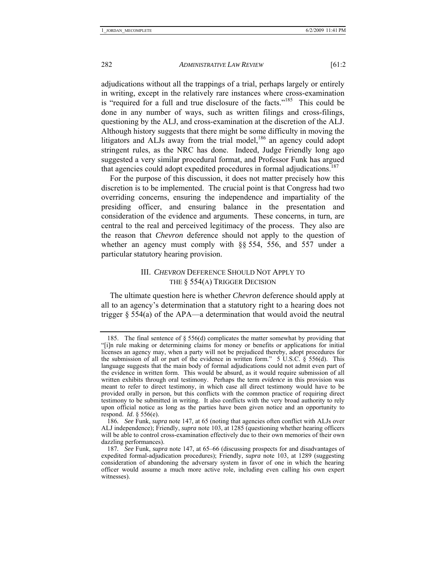adjudications without all the trappings of a trial, perhaps largely or entirely in writing, except in the relatively rare instances where cross-examination is "required for a full and true disclosure of the facts."185 This could be done in any number of ways, such as written filings and cross-filings, questioning by the ALJ, and cross-examination at the discretion of the ALJ. Although history suggests that there might be some difficulty in moving the litigators and ALJs away from the trial model, $186$  an agency could adopt stringent rules, as the NRC has done. Indeed, Judge Friendly long ago suggested a very similar procedural format, and Professor Funk has argued that agencies could adopt expedited procedures in formal adjudications.<sup>187</sup>

For the purpose of this discussion, it does not matter precisely how this discretion is to be implemented. The crucial point is that Congress had two overriding concerns, ensuring the independence and impartiality of the presiding officer, and ensuring balance in the presentation and consideration of the evidence and arguments. These concerns, in turn, are central to the real and perceived legitimacy of the process. They also are the reason that *Chevron* deference should not apply to the question of whether an agency must comply with §§ 554, 556, and 557 under a particular statutory hearing provision.

#### III. *CHEVRON* DEFERENCE SHOULD NOT APPLY TO THE § 554(A) TRIGGER DECISION

The ultimate question here is whether *Chevron* deference should apply at all to an agency's determination that a statutory right to a hearing does not trigger  $\S$  554(a) of the APA—a determination that would avoid the neutral

<sup>185.</sup> The final sentence of  $\S 556(d)$  complicates the matter somewhat by providing that "[i]n rule making or determining claims for money or benefits or applications for initial licenses an agency may, when a party will not be prejudiced thereby, adopt procedures for the submission of all or part of the evidence in written form."  $5 \text{ U.S.C.}$   $\hat{\text{S}}$   $556(d)$ . This language suggests that the main body of formal adjudications could not admit even part of the evidence in written form. This would be absurd, as it would require submission of all written exhibits through oral testimony. Perhaps the term *evidence* in this provision was meant to refer to direct testimony, in which case all direct testimony would have to be provided orally in person, but this conflicts with the common practice of requiring direct testimony to be submitted in writing. It also conflicts with the very broad authority to rely upon official notice as long as the parties have been given notice and an opportunity to respond. *Id*. § 556(e).

<sup>186</sup>*. See* Funk, *supra* note 147, at 65 (noting that agencies often conflict with ALJs over ALJ independence); Friendly, *supra* note 103, at 1285 (questioning whether hearing officers will be able to control cross-examination effectively due to their own memories of their own dazzling performances).

<sup>187</sup>*. See* Funk, *supra* note 147, at 65–66 (discussing prospects for and disadvantages of expedited formal-adjudication procedures); Friendly, *supra* note 103, at 1289 (suggesting consideration of abandoning the adversary system in favor of one in which the hearing officer would assume a much more active role, including even calling his own expert witnesses).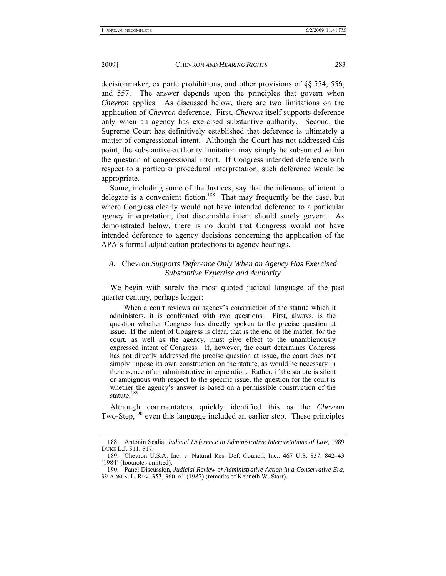decisionmaker, ex parte prohibitions, and other provisions of §§ 554, 556, and 557. The answer depends upon the principles that govern when *Chevron* applies. As discussed below, there are two limitations on the application of *Chevron* deference. First, *Chevron* itself supports deference only when an agency has exercised substantive authority. Second, the Supreme Court has definitively established that deference is ultimately a matter of congressional intent. Although the Court has not addressed this point, the substantive-authority limitation may simply be subsumed within the question of congressional intent. If Congress intended deference with respect to a particular procedural interpretation, such deference would be appropriate.

Some, including some of the Justices, say that the inference of intent to delegate is a convenient fiction.<sup>188</sup> That may frequently be the case, but where Congress clearly would not have intended deference to a particular agency interpretation, that discernable intent should surely govern. As demonstrated below, there is no doubt that Congress would not have intended deference to agency decisions concerning the application of the APA's formal-adjudication protections to agency hearings.

#### *A.* Chevron *Supports Deference Only When an Agency Has Exercised Substantive Expertise and Authority*

We begin with surely the most quoted judicial language of the past quarter century, perhaps longer:

 When a court reviews an agency's construction of the statute which it administers, it is confronted with two questions. First, always, is the question whether Congress has directly spoken to the precise question at issue. If the intent of Congress is clear, that is the end of the matter; for the court, as well as the agency, must give effect to the unambiguously expressed intent of Congress. If, however, the court determines Congress has not directly addressed the precise question at issue, the court does not simply impose its own construction on the statute, as would be necessary in the absence of an administrative interpretation. Rather, if the statute is silent or ambiguous with respect to the specific issue, the question for the court is whether the agency's answer is based on a permissible construction of the statute.<sup>189</sup>

Although commentators quickly identified this as the *Chevron*  Two-Step,<sup>190</sup> even this language included an earlier step. These principles

 <sup>188.</sup> Antonin Scalia, *Judicial Deference to Administrative Interpretations of Law*, 1989 DUKE L.J. 511, 517.

 <sup>189.</sup> Chevron U.S.A. Inc. v. Natural Res. Def. Council, Inc., 467 U.S. 837, 842–43 (1984) (footnotes omitted).

 <sup>190.</sup> Panel Discussion, *Judicial Review of Administrative Action in a Conservative Era*, 39 ADMIN. L. REV. 353, 360–61 (1987) (remarks of Kenneth W. Starr).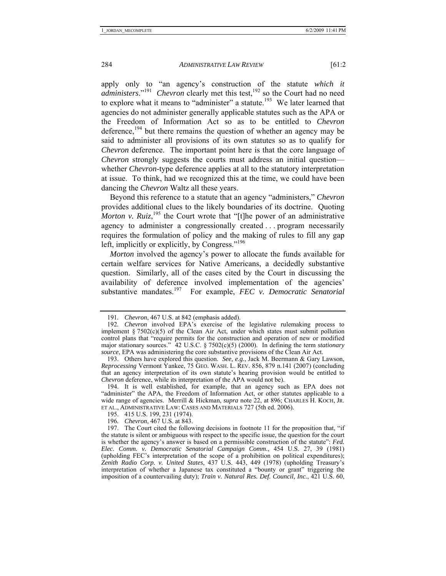apply only to "an agency's construction of the statute *which it administers.*"<sup>191</sup> *Chevron* clearly met this test,<sup>192</sup> so the Court had no need to explore what it means to "administer" a statute.<sup>193</sup> We later learned that agencies do not administer generally applicable statutes such as the APA or the Freedom of Information Act so as to be entitled to *Chevron* deference,<sup>194</sup> but there remains the question of whether an agency may be said to administer all provisions of its own statutes so as to qualify for *Chevron* deference. The important point here is that the core language of *Chevron* strongly suggests the courts must address an initial question whether *Chevron*-type deference applies at all to the statutory interpretation at issue. To think, had we recognized this at the time, we could have been dancing the *Chevron* Waltz all these years.

Beyond this reference to a statute that an agency "administers," *Chevron* provides additional clues to the likely boundaries of its doctrine. Quoting *Morton v. Ruiz*,<sup>195</sup> the Court wrote that "[t]he power of an administrative agency to administer a congressionally created . . . program necessarily requires the formulation of policy and the making of rules to fill any gap left, implicitly or explicitly, by Congress."196

*Morton* involved the agency's power to allocate the funds available for certain welfare services for Native Americans, a decidedly substantive question. Similarly, all of the cases cited by the Court in discussing the availability of deference involved implementation of the agencies' substantive mandates.<sup>197</sup> For example, *FEC v. Democratic Senatorial* 

<sup>191</sup>*. Chevron*, 467 U.S. at 842 (emphasis added).

<sup>192</sup>*. Chevron* involved EPA's exercise of the legislative rulemaking process to implement  $\S 7502(c)(5)$  of the Clean Air Act, under which states must submit pollution control plans that "require permits for the construction and operation of new or modified major stationary sources." 42 U.S.C. § 7502(c)(5) (2000). In defining the term *stationary source*, EPA was administering the core substantive provisions of the Clean Air Act.

 <sup>193.</sup> Others have explored this question. *See, e.g.*, Jack M. Beermann & Gary Lawson, *Reprocessing* Vermont Yankee, 75 GEO. WASH. L. REV. 856, 879 n.141 (2007) (concluding that an agency interpretation of its own statute's hearing provision would be entitled to *Chevron* deference, while its interpretation of the APA would not be).

 <sup>194.</sup> It is well established, for example, that an agency such as EPA does not "administer" the APA, the Freedom of Information Act, or other statutes applicable to a wide range of agencies. Merrill & Hickman, *supra* note 22, at 896; CHARLES H. KOCH, JR. ET AL., ADMINISTRATIVE LAW: CASES AND MATERIALS 727 (5th ed. 2006).

 <sup>195. 415</sup> U.S. 199, 231 (1974).

<sup>196</sup>*. Chevron*, 467 U.S. at 843.

 <sup>197.</sup> The Court cited the following decisions in footnote 11 for the proposition that, "if the statute is silent or ambiguous with respect to the specific issue, the question for the court is whether the agency's answer is based on a permissible construction of the statute": *Fed. Elec. Comm. v. Democratic Senatorial Campaign Comm.*, 454 U.S. 27, 39 (1981) (upholding FEC's interpretation of the scope of a prohibition on political expenditures); *Zenith Radio Corp. v. United States*, 437 U.S. 443, 449 (1978) (upholding Treasury's interpretation of whether a Japanese tax constituted a "bounty or grant" triggering the imposition of a countervailing duty); *Train v. Natural Res. Def. Council, Inc.*, 421 U.S. 60,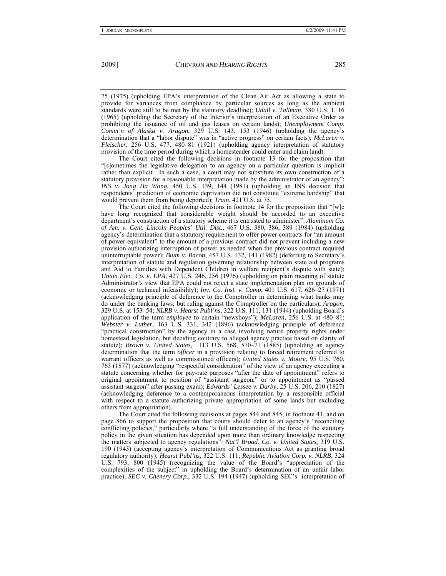75 (1975) (upholding EPA's interpretation of the Clean Air Act as allowing a state to provide for variances from compliance by particular sources as long as the ambient standards were still to be met by the statutory deadline); *Udall v. Tallman*, 380 U.S. 1, 16 (1965) (upholding the Secretary of the Interior's interpretation of an Executive Order as prohibiting the issuance of oil and gas leases on certain lands); *Unemployment Comp. Comm'n of Alaska v. Aragon*, 329 U.S. 143, 153 (1946) (upholding the agency's determination that a "labor dispute" was in "active progress" on certain facts); *McLaren v. Fleischer*, 256 U.S. 477, 480–81 (1921) (upholding agency interpretation of statutory provision of the time period during which a homesteader could enter and claim land).

The Court cited the following decisions in footnote 13 for the proposition that "[s]ometimes the legislative delegation to an agency on a particular question is implicit rather than explicit. In such a case, a court may not substitute its own construction of a statutory provision for a reasonable interpretation made by the administrator of an agency": *INS v. Jong Ha Wang*, 450 U.S. 139, 144 (1981) (upholding an INS decision that respondents' prediction of economic deprivation did not constitute "extreme hardship" that would prevent them from being deported); *Train*, 421 U.S. at 75.

The Court cited the following decisions in footnote 14 for the proposition that "[w]e have long recognized that considerable weight should be accorded to an executive department's construction of a statutory scheme it is entrusted to administer": *Aluminum Co. of Am. v. Cent. Lincoln Peoples' Util. Dist.*, 467 U.S. 380, 386, 389 (1984) (upholding agency's determination that a statutory requirement to offer power contracts for "an amount of power equivalent" to the amount of a previous contract did not prevent including a new provision authorizing interruption of power as needed when the previous contract required uninterruptable power); *Blum v. Bacon*, 457 U.S. 132, 141 (1982) (deferring to Secretary's interpretation of statute and regulation governing relationship between state aid programs and Aid to Families with Dependent Children in welfare recipient's dispute with state); *Union Elec. Co. v. EPA*, 427 U.S. 246, 256 (1976) (upholding on plain meaning of statute Administrator's view that EPA could not reject a state implementation plan on grounds of economic or technical infeasibility); *Inv. Co. Inst. v. Camp*, 401 U.S. 617, 626–27 (1971) (acknowledging principle of deference to the Comptroller in determining what banks may do under the banking laws, but ruling against the Comptroller on the particulars); *Aragon*, 329 U.S. at 153–54; *NLRB v. Hearst Publ'ns*, 322 U.S. 111, 131 (1944) (upholding Board's application of the term *employee* to certain "newsboys"); *McLaren*, 256 U.S. at 480–81; *Webster v. Luther*, 163 U.S. 331, 342 (1896) (acknowledging principle of deference "practical construction" by the agency in a case involving nature property rights under homestead legislation, but deciding contrary to alleged agency practice based on clarity of statute); *Brown v. United States*, 113 U.S. 568, 570–71 (1885) (upholding an agency determination that the term *officer* in a provision relating to forced retirement referred to warrant officers as well as commissioned officers); *United States v. Moore*, 95 U.S. 760, 763 (1877) (acknowledging "respectful consideration" of the view of an agency executing a statute concerning whether for pay-rate purposes "after the date of appointment" refers to original appointment to position of "assistant surgeon," or to appointment as "passed assistant surgeon" after passing exam); *Edwards' Lessee v. Darby*, 25 U.S. 206, 210 (1827) (acknowledging deference to a contemporaneous interpretation by a responsible official with respect to a statute authorizing private appropriation of some lands but excluding others from appropriation).

The Court cited the following decisions at pages 844 and 845, in footnote 41, and on page 866 to support the proposition that courts should defer to an agency's "reconciling conflicting policies," particularly where "a full understanding of the force of the statutory policy in the given situation has depended upon more than ordinary knowledge respecting the matters subjected to agency regulations": *Nat'l Broad. Co. v. United States*, 319 U.S. 190 (1943) (accepting agency's interpretation of Communications Act as granting broad regulatory authority); *Hearst Publ'ns*, 322 U.S. 111; *Republic Aviation Corp. v. NLRB*, 324 U.S. 793, 800 (1945) (recognizing the value of the Board's "appreciation of the complexities of the subject" in upholding the Board's determination of an unfair labor practice); *SEC v. Chenery Corp.*, 332 U.S. 194 (1947) (upholding SEC's interpretation of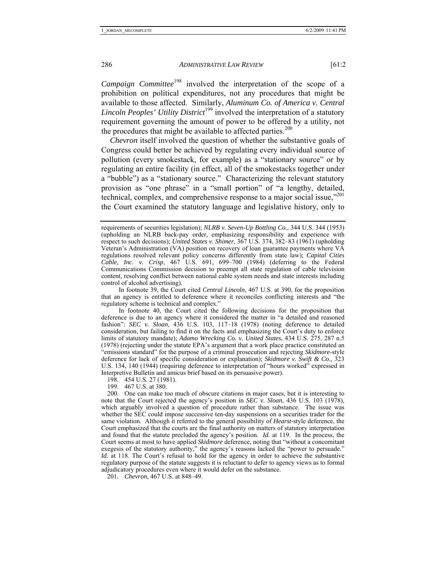*Campaign Committee*<sup>198</sup> involved the interpretation of the scope of a prohibition on political expenditures, not any procedures that might be available to those affected. Similarly, *Aluminum Co. of America v. Central Lincoln Peoples' Utility District*<sup>199</sup> involved the interpretation of a statutory requirement governing the amount of power to be offered by a utility, not the procedures that might be available to affected parties.<sup>200</sup>

*Chevron* itself involved the question of whether the substantive goals of Congress could better be achieved by regulating every individual source of pollution (every smokestack, for example) as a "stationary source" or by regulating an entire facility (in effect, all of the smokestacks together under a "bubble") as a "stationary source." Characterizing the relevant statutory provision as "one phrase" in a "small portion" of "a lengthy, detailed, technical, complex, and comprehensive response to a major social issue,"201 the Court examined the statutory language and legislative history, only to

In footnote 39, the Court cited *Central Lincoln*, 467 U.S. at 390, for the proposition that an agency is entitled to deference where it reconciles conflicting interests and "the regulatory scheme is technical and complex."

In footnote 40, the Court cited the following decisions for the proposition that deference is due to an agency where it considered the matter in "a detailed and reasoned fashion": *SEC v. Sloan*, 436 U.S. 103, 117–18 (1978) (noting deference to detailed consideration, but failing to find it on the facts and emphasizing the Court's duty to enforce limits of statutory mandate); *Adamo Wrecking Co. v. United States*, 434 U.S. 275, 287 n.5 (1978) (rejecting under the statute EPA's argument that a work place practice constituted an "emissions standard" for the purpose of a criminal prosecution and rejecting *Skidmore*-style deference for lack of specific consideration or explanation); *Skidmore v. Swift & Co.*, 323 U.S. 134, 140 (1944) (requiring deference to interpretation of "hours worked" expressed in Interpretive Bulletin and amicus brief based on its persuasive power).

198. 454 U.S. 27 (1981).

199. 467 U.S. at 380.

 200. One can make too much of obscure citations in major cases, but it is interesting to note that the Court rejected the agency's position in *SEC v. Sloan*, 436 U.S. 103 (1978), which arguably involved a question of procedure rather than substance. The issue was whether the SEC could impose successive ten-day suspensions on a securities trader for the same violation. Although it referred to the general possibility of *Hearst*-style deference, the Court emphasized that the courts are the final authority on matters of statutory interpretation and found that the statute precluded the agency's position. *Id.* at 119. In the process, the Court seems at most to have applied *Skidmore* deference, noting that "without a concomitant exegesis of the statutory authority," the agency's reasons lacked the "power to persuade." *Id.* at 118. The Court's refusal to hold for the agency in order to achieve the substantive regulatory purpose of the statute suggests it is reluctant to defer to agency views as to formal adjudicatory procedures even where it would defer on the substance.

201*. Chevron*, 467 U.S. at 848–49.

requirements of securities legislation); *NLRB v. Seven-Up Bottling Co.*, 344 U.S. 344 (1953) (upholding an NLRB back-pay order, emphasizing responsibility and experience with respect to such decisions); *United States v. Shimer*, 367 U.S. 374, 382–83 (1961) (upholding Veteran's Administration (VA) position on recovery of loan guarantee payments where VA regulations resolved relevant policy concerns differently from state law); *Capital Cities Cable, Inc. v. Crisp*, 467 U.S. 691, 699–700 (1984) (deferring to the Federal Communications Commission decision to preempt all state regulation of cable television content, resolving conflict between national cable system needs and state interests including control of alcohol advertising).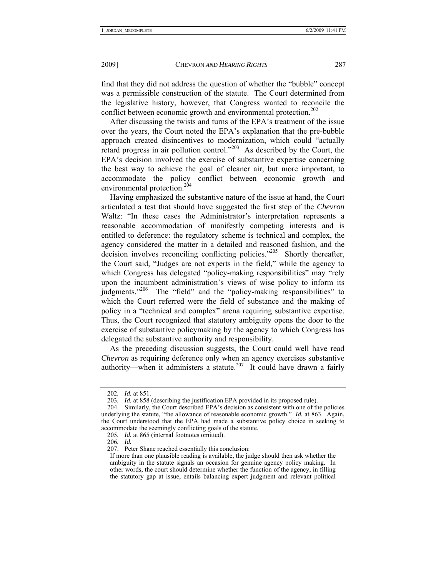find that they did not address the question of whether the "bubble" concept was a permissible construction of the statute. The Court determined from the legislative history, however, that Congress wanted to reconcile the conflict between economic growth and environmental protection.<sup>202</sup>

After discussing the twists and turns of the EPA's treatment of the issue over the years, the Court noted the EPA's explanation that the pre-bubble approach created disincentives to modernization, which could "actually retard progress in air pollution control."203 As described by the Court, the EPA's decision involved the exercise of substantive expertise concerning the best way to achieve the goal of cleaner air, but more important, to accommodate the policy conflict between economic growth and environmental protection.<sup>204</sup>

Having emphasized the substantive nature of the issue at hand, the Court articulated a test that should have suggested the first step of the *Chevron* Waltz: "In these cases the Administrator's interpretation represents a reasonable accommodation of manifestly competing interests and is entitled to deference: the regulatory scheme is technical and complex, the agency considered the matter in a detailed and reasoned fashion, and the decision involves reconciling conflicting policies.<sup>205</sup> Shortly thereafter, the Court said, "Judges are not experts in the field," while the agency to which Congress has delegated "policy-making responsibilities" may "rely upon the incumbent administration's views of wise policy to inform its judgments."206 The "field" and the "policy-making responsibilities" to which the Court referred were the field of substance and the making of policy in a "technical and complex" arena requiring substantive expertise. Thus, the Court recognized that statutory ambiguity opens the door to the exercise of substantive policymaking by the agency to which Congress has delegated the substantive authority and responsibility.

As the preceding discussion suggests, the Court could well have read *Chevron* as requiring deference only when an agency exercises substantive authority—when it administers a statute.<sup>207</sup> It could have drawn a fairly

206*. Id.*

<sup>202</sup>*. Id.* at 851.

<sup>203.</sup> *Id.* at 858 (describing the justification EPA provided in its proposed rule).

 <sup>204.</sup> Similarly, the Court described EPA's decision as consistent with one of the policies underlying the statute, "the allowance of reasonable economic growth." *Id.* at 863. Again, the Court understood that the EPA had made a substantive policy choice in seeking to accommodate the seemingly conflicting goals of the statute.

<sup>205</sup>*. Id.* at 865 (internal footnotes omitted).

 <sup>207.</sup> Peter Shane reached essentially this conclusion:

If more than one plausible reading is available, the judge should then ask whether the ambiguity in the statute signals an occasion for genuine agency policy making.In other words, the court should determine whether the function of the agency, in filling the statutory gap at issue, entails balancing expert judgment and relevant political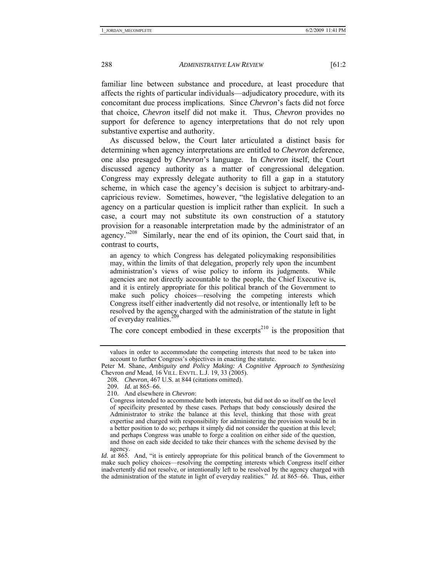familiar line between substance and procedure, at least procedure that affects the rights of particular individuals—adjudicatory procedure, with its concomitant due process implications. Since *Chevron*'s facts did not force that choice, *Chevron* itself did not make it. Thus, *Chevron* provides no support for deference to agency interpretations that do not rely upon substantive expertise and authority.

As discussed below, the Court later articulated a distinct basis for determining when agency interpretations are entitled to *Chevron* deference, one also presaged by *Chevron*'s language. In *Chevron* itself, the Court discussed agency authority as a matter of congressional delegation. Congress may expressly delegate authority to fill a gap in a statutory scheme, in which case the agency's decision is subject to arbitrary-andcapricious review. Sometimes, however, "the legislative delegation to an agency on a particular question is implicit rather than explicit. In such a case, a court may not substitute its own construction of a statutory provision for a reasonable interpretation made by the administrator of an agency."208 Similarly, near the end of its opinion, the Court said that, in contrast to courts,

an agency to which Congress has delegated policymaking responsibilities may, within the limits of that delegation, properly rely upon the incumbent administration's views of wise policy to inform its judgments. While agencies are not directly accountable to the people, the Chief Executive is, and it is entirely appropriate for this political branch of the Government to make such policy choices—resolving the competing interests which Congress itself either inadvertently did not resolve, or intentionally left to be resolved by the agency charged with the administration of the statute in light of everyday realities.<sup>209</sup>

The core concept embodied in these excerpts<sup>210</sup> is the proposition that

values in order to accommodate the competing interests that need to be taken into account to further Congress's objectives in enacting the statute.

Peter M. Shane, *Ambiguity and Policy Making: A Cognitive Approach to Synthesizing*  Chevron *and* Mead, 16 VILL. ENVTL. L.J. 19, 33 (2005).

<sup>208</sup>*. Chevron*, 467 U.S. at 844 (citations omitted).

<sup>209</sup>*. Id.* at 865–66.

 <sup>210.</sup> And elsewhere in *Chevron*:

Congress intended to accommodate both interests, but did not do so itself on the level of specificity presented by these cases. Perhaps that body consciously desired the Administrator to strike the balance at this level, thinking that those with great expertise and charged with responsibility for administering the provision would be in a better position to do so; perhaps it simply did not consider the question at this level; and perhaps Congress was unable to forge a coalition on either side of the question, and those on each side decided to take their chances with the scheme devised by the agency.

*Id.* at 865. And, "it is entirely appropriate for this political branch of the Government to make such policy choices—resolving the competing interests which Congress itself either inadvertently did not resolve, or intentionally left to be resolved by the agency charged with the administration of the statute in light of everyday realities." *Id.* at 865–66. Thus, either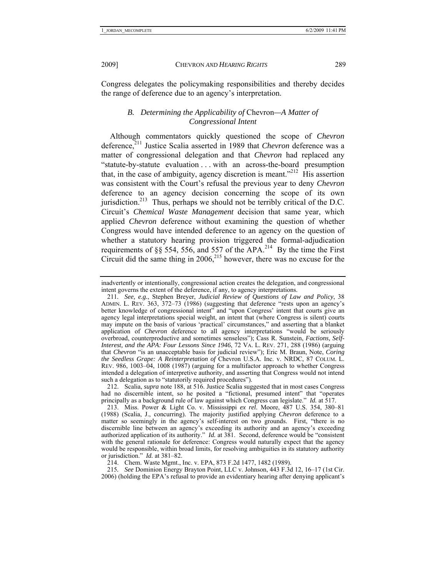Congress delegates the policymaking responsibilities and thereby decides the range of deference due to an agency's interpretation.

### *B. Determining the Applicability of* Chevron*—A Matter of Congressional Intent*

Although commentators quickly questioned the scope of *Chevron* deference,211 Justice Scalia asserted in 1989 that *Chevron* deference was a matter of congressional delegation and that *Chevron* had replaced any "statute-by-statute evaluation . . . with an across-the-board presumption that, in the case of ambiguity, agency discretion is meant."<sup>212</sup> His assertion was consistent with the Court's refusal the previous year to deny *Chevron*  deference to an agency decision concerning the scope of its own jurisdiction.<sup>213</sup> Thus, perhaps we should not be terribly critical of the D.C. Circuit's *Chemical Waste Management* decision that same year, which applied *Chevron* deference without examining the question of whether Congress would have intended deference to an agency on the question of whether a statutory hearing provision triggered the formal-adjudication requirements of §§ 554, 556, and 557 of the APA.<sup>214</sup> By the time the First Circuit did the same thing in  $2006$ <sup>215</sup> however, there was no excuse for the

215*. See* Dominion Energy Brayton Point, LLC v. Johnson, 443 F.3d 12, 16–17 (1st Cir. 2006) (holding the EPA's refusal to provide an evidentiary hearing after denying applicant's

inadvertently or intentionally, congressional action creates the delegation, and congressional intent governs the extent of the deference, if any, to agency interpretations.

<sup>211</sup>*. See, e.g.*, Stephen Breyer, *Judicial Review of Questions of Law and Policy*, 38 ADMIN. L. REV. 363, 372–73 (1986) (suggesting that deference "rests upon an agency's better knowledge of congressional intent" and "upon Congress' intent that courts give an agency legal interpretations special weight, an intent that (where Congress is silent) courts may impute on the basis of various 'practical' circumstances," and asserting that a blanket application of *Chevron* deference to all agency interpretations "would be seriously overbroad, counterproductive and sometimes senseless"); Cass R. Sunstein, *Factions, Self-Interest, and the APA: Four Lessons Since 1946*, 72 VA. L. REV. 271, 288 (1986) (arguing that *Chevron* "is an unacceptable basis for judicial review"); Eric M. Braun, Note, *Coring the Seedless Grape: A Reinterpretation of* Chevron U.S.A. Inc. v. NRDC, 87 COLUM. L. REV. 986, 1003–04, 1008 (1987) (arguing for a multifactor approach to whether Congress intended a delegation of interpretive authority, and asserting that Congress would not intend such a delegation as to "statutorily required procedures").

 <sup>212.</sup> Scalia, *supra* note 188, at 516. Justice Scalia suggested that in most cases Congress had no discernible intent, so he posited a "fictional, presumed intent" that "operates principally as a background rule of law against which Congress can legislate." *Id.* at 517.

 <sup>213.</sup> Miss. Power & Light Co. v. Mississippi *ex rel.* Moore, 487 U.S. 354, 380–81 (1988) (Scalia, J., concurring). The majority justified applying *Chevron* deference to a matter so seemingly in the agency's self-interest on two grounds. First, "there is no discernible line between an agency's exceeding its authority and an agency's exceeding authorized application of its authority." *Id.* at 381. Second, deference would be "consistent with the general rationale for deference: Congress would naturally expect that the agency would be responsible, within broad limits, for resolving ambiguities in its statutory authority or jurisdiction." *Id.* at 381–82.

 <sup>214.</sup> Chem. Waste Mgmt., Inc. v. EPA, 873 F.2d 1477, 1482 (1989).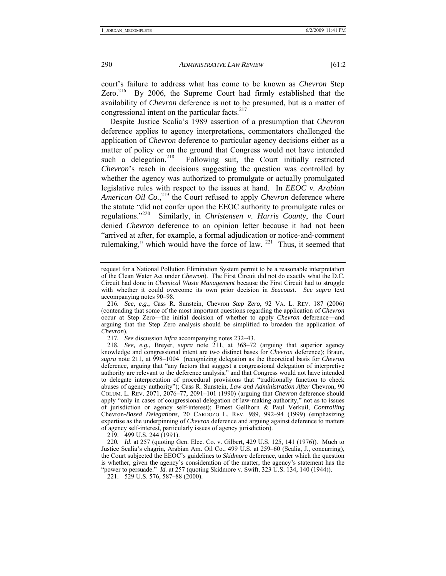court's failure to address what has come to be known as *Chevron* Step Zero.<sup>216</sup> By 2006, the Supreme Court had firmly established that the availability of *Chevron* deference is not to be presumed, but is a matter of congressional intent on the particular facts. $2^{17}$ 

Despite Justice Scalia's 1989 assertion of a presumption that *Chevron*  deference applies to agency interpretations, commentators challenged the application of *Chevron* deference to particular agency decisions either as a matter of policy or on the ground that Congress would not have intended such a delegation.<sup>218</sup> Following suit, the Court initially restricted Following suit, the Court initially restricted *Chevron*'s reach in decisions suggesting the question was controlled by whether the agency was authorized to promulgate or actually promulgated legislative rules with respect to the issues at hand. In *EEOC v. Arabian*  American Oil Co.,<sup>219</sup> the Court refused to apply *Chevron* deference where the statute "did not confer upon the EEOC authority to promulgate rules or regulations."220 Similarly, in *Christensen v. Harris County*, the Court denied *Chevron* deference to an opinion letter because it had not been "arrived at after, for example, a formal adjudication or notice-and-comment rulemaking," which would have the force of law.  $221$  Thus, it seemed that

217*. See* discussion *infra* accompanying notes 232–43.

219. 499 U.S. 244 (1991).

220*. Id*. at 257 (quoting Gen. Elec. Co. v. Gilbert, 429 U.S. 125, 141 (1976)). Much to Justice Scalia's chagrin, Arabian Am. Oil Co., 499 U.S. at 259–60 (Scalia, J., concurring), the Court subjected the EEOC's guidelines to *Skidmore* deference, under which the question is whether, given the agency's consideration of the matter, the agency's statement has the "power to persuade." *Id.* at 257 (quoting Skidmore v. Swift, 323 U.S. 134, 140 (1944)).

221. 529 U.S. 576, 587–88 (2000).

request for a National Pollution Elimination System permit to be a reasonable interpretation of the Clean Water Act under *Chevron*). The First Circuit did not do exactly what the D.C. Circuit had done in *Chemical Waste Management* because the First Circuit had to struggle with whether it could overcome its own prior decision in *Seacoast*. *See supra* text accompanying notes 90–98.

<sup>216</sup>*. See, e.g.*, Cass R. Sunstein, Chevron *Step Zero*, 92 VA. L. REV. 187 (2006) (contending that some of the most important questions regarding the application of *Chevron* occur at Step Zero—the initial decision of whether to apply *Chevron* deference—and arguing that the Step Zero analysis should be simplified to broaden the application of *Chevron*).

<sup>218</sup>*. See, e.g.*, Breyer, *supra* note 211, at 368–72 (arguing that superior agency knowledge and congressional intent are two distinct bases for *Chevron* deference); Braun, *supra* note 211, at 998–1004 (recognizing delegation as the theoretical basis for *Chevron* deference, arguing that "any factors that suggest a congressional delegation of interpretive authority are relevant to the deference analysis," and that Congress would not have intended to delegate interpretation of procedural provisions that "traditionally function to check abuses of agency authority"); Cass R. Sunstein, *Law and Administration After* Chevron, 90 COLUM. L. REV. 2071, 2076–77, 2091–101 (1990) (arguing that *Chevron* deference should apply "only in cases of congressional delegation of law-making authority," not as to issues of jurisdiction or agency self-interest); Ernest Gellhorn & Paul Verkuil, *Controlling*  Chevron*-Based Delegations*, 20 CARDOZO L. REV. 989, 992–94 (1999) (emphasizing expertise as the underpinning of *Chevron* deference and arguing against deference to matters of agency self-interest, particularly issues of agency jurisdiction).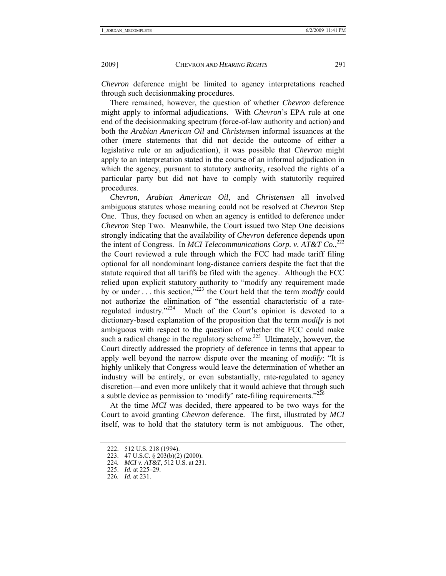*Chevron* deference might be limited to agency interpretations reached through such decisionmaking procedures.

There remained, however, the question of whether *Chevron* deference might apply to informal adjudications. With *Chevron*'s EPA rule at one end of the decisionmaking spectrum (force-of-law authority and action) and both the *Arabian American Oil* and *Christensen* informal issuances at the other (mere statements that did not decide the outcome of either a legislative rule or an adjudication), it was possible that *Chevron* might apply to an interpretation stated in the course of an informal adjudication in which the agency, pursuant to statutory authority, resolved the rights of a particular party but did not have to comply with statutorily required procedures.

*Chevron*, *Arabian American Oil*, and *Christensen* all involved ambiguous statutes whose meaning could not be resolved at *Chevron* Step One. Thus, they focused on when an agency is entitled to deference under *Chevron* Step Two. Meanwhile, the Court issued two Step One decisions strongly indicating that the availability of *Chevron* deference depends upon the intent of Congress. In *MCI Telecommunications Corp. v. AT&T Co.*,<sup>222</sup> the Court reviewed a rule through which the FCC had made tariff filing optional for all nondominant long-distance carriers despite the fact that the statute required that all tariffs be filed with the agency. Although the FCC relied upon explicit statutory authority to "modify any requirement made by or under . . . this section,"223 the Court held that the term *modify* could not authorize the elimination of "the essential characteristic of a rateregulated industry."224 Much of the Court's opinion is devoted to a dictionary-based explanation of the proposition that the term *modify* is not ambiguous with respect to the question of whether the FCC could make such a radical change in the regulatory scheme.<sup>225</sup> Ultimately, however, the Court directly addressed the propriety of deference in terms that appear to apply well beyond the narrow dispute over the meaning of *modify*: "It is highly unlikely that Congress would leave the determination of whether an industry will be entirely, or even substantially, rate-regulated to agency discretion—and even more unlikely that it would achieve that through such a subtle device as permission to 'modify' rate-filing requirements." $^{22\delta}$ 

At the time *MCI* was decided, there appeared to be two ways for the Court to avoid granting *Chevron* deference. The first, illustrated by *MCI*  itself, was to hold that the statutory term is not ambiguous. The other,

 <sup>222. 512</sup> U.S. 218 (1994).

 <sup>223. 47</sup> U.S.C. § 203(b)(2) (2000).

<sup>224</sup>*. MCI v. AT&T*, 512 U.S. at 231.

 <sup>225.</sup> *Id.* at 225–29.

<sup>226</sup>*. Id.* at 231.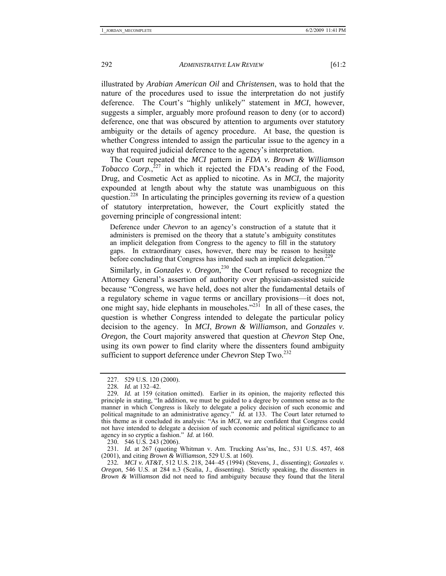illustrated by *Arabian American Oil* and *Christensen*, was to hold that the nature of the procedures used to issue the interpretation do not justify deference. The Court's "highly unlikely" statement in *MCI*, however, suggests a simpler, arguably more profound reason to deny (or to accord) deference, one that was obscured by attention to arguments over statutory ambiguity or the details of agency procedure. At base, the question is whether Congress intended to assign the particular issue to the agency in a way that required judicial deference to the agency's interpretation.

The Court repeated the *MCI* pattern in *FDA v. Brown & Williamson*  Tobacco Corp.,<sup>227</sup> in which it rejected the FDA's reading of the Food, Drug, and Cosmetic Act as applied to nicotine. As in *MCI*, the majority expounded at length about why the statute was unambiguous on this question.<sup>228</sup> In articulating the principles governing its review of a question of statutory interpretation, however, the Court explicitly stated the governing principle of congressional intent:

Deference under *Chevron* to an agency's construction of a statute that it administers is premised on the theory that a statute's ambiguity constitutes an implicit delegation from Congress to the agency to fill in the statutory gaps. In extraordinary cases, however, there may be reason to hesitate before concluding that Congress has intended such an implicit delegation.<sup>229</sup>

Similarly, in *Gonzales v. Oregon*,<sup>230</sup> the Court refused to recognize the Attorney General's assertion of authority over physician-assisted suicide because "Congress, we have held, does not alter the fundamental details of a regulatory scheme in vague terms or ancillary provisions—it does not, one might say, hide elephants in mouseholes."<sup>231</sup> In all of these cases, the question is whether Congress intended to delegate the particular policy decision to the agency. In *MCI*, *Brown & Williamson*, and *Gonzales v. Oregon*, the Court majority answered that question at *Chevron* Step One, using its own power to find clarity where the dissenters found ambiguity sufficient to support deference under *Chevron* Step Two.<sup>232</sup>

230. 546 U.S. 243 (2006).

231*. Id.* at 267 (quoting Whitman v. Am. Trucking Ass'ns, Inc., 531 U.S. 457, 468 (2001), and citing *Brown & Williamson*, 529 U.S. at 160).

232*. MCI v. AT&T*, 512 U.S. 218, 244–45 (1994) (Stevens, J., dissenting); *Gonzales v. Oregon*, 546 U.S. at 284 n.3 (Scalia, J., dissenting). Strictly speaking, the dissenters in *Brown & Williamson* did not need to find ambiguity because they found that the literal

 <sup>227. 529</sup> U.S. 120 (2000).

<sup>228</sup>*. Id.* at 132–42.

<sup>229</sup>*. Id.* at 159 (citation omitted). Earlier in its opinion, the majority reflected this principle in stating, "In addition, we must be guided to a degree by common sense as to the manner in which Congress is likely to delegate a policy decision of such economic and political magnitude to an administrative agency." *Id.* at 133. The Court later returned to this theme as it concluded its analysis: "As in *MCI*, we are confident that Congress could not have intended to delegate a decision of such economic and political significance to an agency in so cryptic a fashion." *Id.* at 160.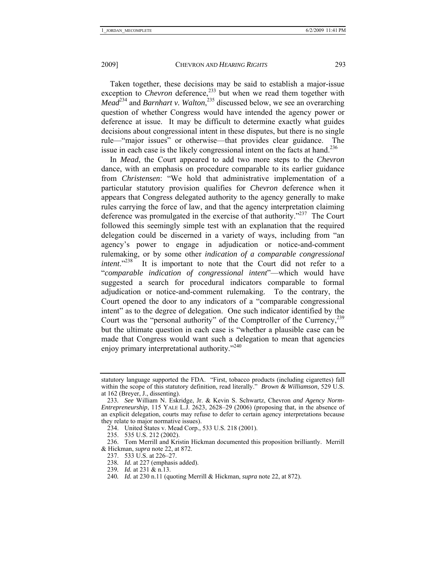Taken together, these decisions may be said to establish a major-issue exception to *Chevron* deference,<sup>233</sup> but when we read them together with *Mead*<sup>234</sup> and *Barnhart v. Walton*<sup>235</sup>, discussed below, we see an overarching question of whether Congress would have intended the agency power or deference at issue. It may be difficult to determine exactly what guides decisions about congressional intent in these disputes, but there is no single rule—"major issues" or otherwise—that provides clear guidance. The issue in each case is the likely congressional intent on the facts at hand.<sup>236</sup>

In *Mead*, the Court appeared to add two more steps to the *Chevron* dance, with an emphasis on procedure comparable to its earlier guidance from *Christensen*: "We hold that administrative implementation of a particular statutory provision qualifies for *Chevron* deference when it appears that Congress delegated authority to the agency generally to make rules carrying the force of law, and that the agency interpretation claiming deference was promulgated in the exercise of that authority."237 The Court followed this seemingly simple test with an explanation that the required delegation could be discerned in a variety of ways, including from "an agency's power to engage in adjudication or notice-and-comment rulemaking, or by some other *indication of a comparable congressional intent*."<sup>238</sup> It is important to note that the Court did not refer to a "*comparable indication of congressional intent*"—which would have suggested a search for procedural indicators comparable to formal adjudication or notice-and-comment rulemaking. To the contrary, the Court opened the door to any indicators of a "comparable congressional intent" as to the degree of delegation. One such indicator identified by the Court was the "personal authority" of the Comptroller of the Currency,239 but the ultimate question in each case is "whether a plausible case can be made that Congress would want such a delegation to mean that agencies enjoy primary interpretational authority."240

statutory language supported the FDA. "First, tobacco products (including cigarettes) fall within the scope of this statutory definition, read literally." *Brown & Williamson*, 529 U.S. at 162 (Breyer, J., dissenting).

<sup>233</sup>*. See* William N. Eskridge, Jr. & Kevin S. Schwartz, Chevron *and Agency Norm-Entrepreneurship*, 115 YALE L.J. 2623, 2628–29 (2006) (proposing that, in the absence of an explicit delegation, courts may refuse to defer to certain agency interpretations because they relate to major normative issues).

 <sup>234.</sup> United States v. Mead Corp., 533 U.S. 218 (2001).

 <sup>235. 535</sup> U.S. 212 (2002).

 <sup>236.</sup> Tom Merrill and Kristin Hickman documented this proposition brilliantly. Merrill & Hickman, *supra* note 22, at 872.

 <sup>237. 533</sup> U.S. at 226–27.

<sup>238</sup>*. Id.* at 227 (emphasis added).

<sup>239</sup>*. Id.* at 231 & n.13.

<sup>240</sup>*. Id.* at 230 n.11 (quoting Merrill & Hickman, *supra* note 22, at 872).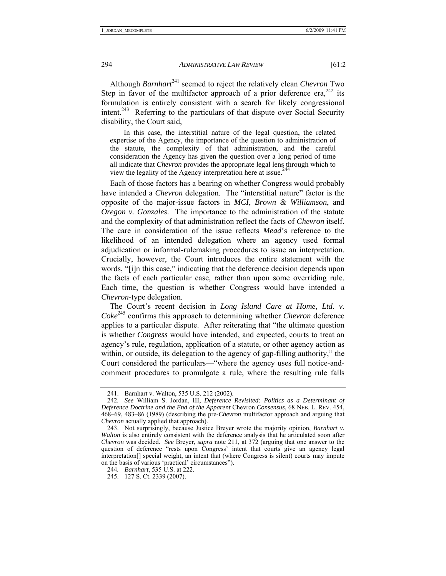Although *Barnhart*<sup>241</sup> seemed to reject the relatively clean *Chevron* Two Step in favor of the multifactor approach of a prior deference era,  $242$  its formulation is entirely consistent with a search for likely congressional intent.<sup>243</sup> Referring to the particulars of that dispute over Social Security disability, the Court said,

 In this case, the interstitial nature of the legal question, the related expertise of the Agency, the importance of the question to administration of the statute, the complexity of that administration, and the careful consideration the Agency has given the question over a long period of time all indicate that *Chevron* provides the appropriate legal lens through which to view the legality of the Agency interpretation here at issue.<sup>244</sup>

Each of those factors has a bearing on whether Congress would probably have intended a *Chevron* delegation. The "interstitial nature" factor is the opposite of the major-issue factors in *MCI*, *Brown & Williamson*, and *Oregon v. Gonzales*. The importance to the administration of the statute and the complexity of that administration reflect the facts of *Chevron* itself. The care in consideration of the issue reflects *Mead*'s reference to the likelihood of an intended delegation where an agency used formal adjudication or informal-rulemaking procedures to issue an interpretation. Crucially, however, the Court introduces the entire statement with the words, "[i]n this case," indicating that the deference decision depends upon the facts of each particular case, rather than upon some overriding rule. Each time, the question is whether Congress would have intended a *Chevron*-type delegation.

The Court's recent decision in *Long Island Care at Home, Ltd. v. Coke*245 confirms this approach to determining whether *Chevron* deference applies to a particular dispute. After reiterating that "the ultimate question is whether *Congress* would have intended, and expected, courts to treat an agency's rule, regulation, application of a statute, or other agency action as within, or outside, its delegation to the agency of gap-filling authority," the Court considered the particulars—"where the agency uses full notice-andcomment procedures to promulgate a rule, where the resulting rule falls

 <sup>241.</sup> Barnhart v. Walton, 535 U.S. 212 (2002).

<sup>242</sup>*. See* William S. Jordan, III, *Deference Revisited: Politics as a Determinant of Deference Doctrine and the End of the Apparent* Chevron *Consensus*, 68 NEB. L. REV. 454, 468–69, 483–86 (1989) (describing the pre-*Chevron* multifactor approach and arguing that *Chevron* actually applied that approach).

 <sup>243.</sup> Not surprisingly, because Justice Breyer wrote the majority opinion, *Barnhart v. Walton* is also entirely consistent with the deference analysis that he articulated soon after *Chevron* was decided. *See* Breyer, *supra* note 211, at 372 (arguing that one answer to the question of deference "rests upon Congress' intent that courts give an agency legal interpretation[] special weight, an intent that (where Congress is silent) courts may impute on the basis of various 'practical' circumstances").

<sup>244</sup>*. Barnhart*, 535 U.S. at 222.

 <sup>245. 127</sup> S. Ct. 2339 (2007).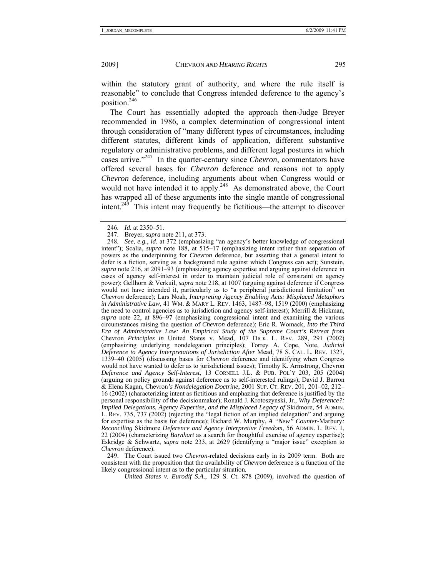within the statutory grant of authority, and where the rule itself is reasonable" to conclude that Congress intended deference to the agency's position.246

The Court has essentially adopted the approach then-Judge Breyer recommended in 1986, a complex determination of congressional intent through consideration of "many different types of circumstances, including different statutes, different kinds of application, different substantive regulatory or administrative problems, and different legal postures in which cases arrive."247 In the quarter-century since *Chevron*, commentators have offered several bases for *Chevron* deference and reasons not to apply *Chevron* deference, including arguments about when Congress would or would not have intended it to apply.<sup>248</sup> As demonstrated above, the Court has wrapped all of these arguments into the single mantle of congressional intent.<sup>249</sup> This intent may frequently be fictitious—the attempt to discover

 249. The Court issued two *Chevron*-related decisions early in its 2009 term. Both are consistent with the proposition that the availability of *Chevron* deference is a function of the likely congressional intent as to the particular situation.

 *United States v. Eurodif S.A.*, 129 S. Ct. 878 (2009), involved the question of

<sup>246</sup>*. Id.* at 2350–51.

 <sup>247.</sup> Breyer, *supra* note 211, at 373.

<sup>248</sup>*. See, e.g.*, *id.* at 372 (emphasizing "an agency's better knowledge of congressional intent"); Scalia, *supra* note 188, at 515–17 (emphasizing intent rather than separation of powers as the underpinning for *Chevron* deference, but asserting that a general intent to defer is a fiction, serving as a background rule against which Congress can act); Sunstein, *supra* note 216, at 2091–93 (emphasizing agency expertise and arguing against deference in cases of agency self-interest in order to maintain judicial role of constraint on agency power); Gellhorn & Verkuil, *supra* note 218, at 1007 (arguing against deference if Congress would not have intended it, particularly as to "a peripheral jurisdictional limitation" on *Chevron* deference); Lars Noah, *Interpreting Agency Enabling Acts: Misplaced Metaphors in Administrative Law*, 41 WM. & MARY L. REV. 1463, 1487–98, 1519 (2000) (emphasizing the need to control agencies as to jurisdiction and agency self-interest); Merrill  $\&$  Hickman, *supra* note 22, at 896–97 (emphasizing congressional intent and examining the various circumstances raising the question of *Chevron* deference); Eric R. Womack, *Into the Third Era of Administrative Law: An Empirical Study of the Supreme Court's Retreat from*  Chevron *Principles in* United States v. Mead, 107 DICK. L. REV. 289, 291 (2002) (emphasizing underlying nondelegation principles); Torrey A. Cope, Note, *Judicial Deference to Agency Interpretations of Jurisdiction After* Mead, 78 S. CAL. L. REV. 1327, 1339–40 (2005) (discussing bases for *Chevron* deference and identifying when Congress would not have wanted to defer as to jurisdictional issues); Timothy K. Armstrong, Chevron *Deference and Agency Self-Interest*, 13 CORNELL J.L. & PUB. POL'Y 203, 205 (2004) (arguing on policy grounds against deference as to self-interested rulings); David J. Barron & Elena Kagan, Chevron*'s Nondelegation Doctrine*, 2001 SUP. CT. REV. 201, 201–02, 212– 16 (2002) (characterizing intent as fictitious and emphazing that deference is justified by the personal responsibility of the decisionmaker); Ronald J. Krotoszynski, Jr., *Why Deference?: Implied Delegations, Agency Expertise, and the Misplaced Legacy of* Skidmore, 54 ADMIN. L. REV. 735, 737 (2002) (rejecting the "legal fiction of an implied delegation" and arguing for expertise as the basis for deference); Richard W. Murphy, *A "New" Counter-*Marbury*: Reconciling* Skidmore *Deference and Agency Interpretive Freedom*, 56 ADMIN. L. REV. 1, 22 (2004) (characterizing *Barnhart* as a search for thoughtful exercise of agency expertise); Eskridge & Schwartz, *supra* note 233, at 2629 (identifying a "major issue" exception to *Chevron* deference).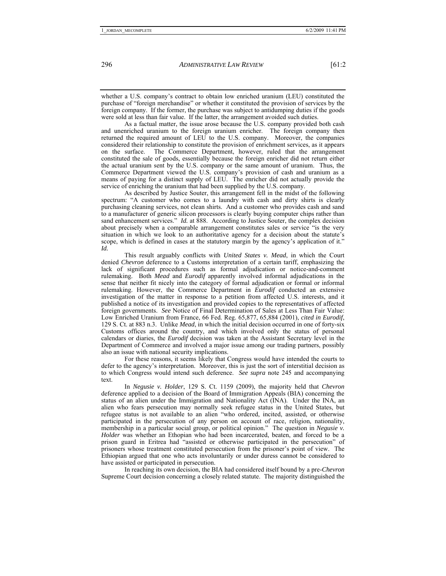whether a U.S. company's contract to obtain low enriched uranium (LEU) constituted the purchase of "foreign merchandise" or whether it constituted the provision of services by the foreign company. If the former, the purchase was subject to antidumping duties if the goods were sold at less than fair value. If the latter, the arrangement avoided such duties.

 As a factual matter, the issue arose because the U.S. company provided both cash and unenriched uranium to the foreign uranium enricher. The foreign company then returned the required amount of LEU to the U.S. company. Moreover, the companies considered their relationship to constitute the provision of enrichment services, as it appears The Commerce Department, however, ruled that the arrangement constituted the sale of goods, essentially because the foreign enricher did not return either the actual uranium sent by the U.S. company or the same amount of uranium. Thus, the Commerce Department viewed the U.S. company's provision of cash and uranium as a means of paying for a distinct supply of LEU. The enricher did not actually provide the service of enriching the uranium that had been supplied by the U.S. company.

 As described by Justice Souter, this arrangement fell in the midst of the following spectrum: "A customer who comes to a laundry with cash and dirty shirts is clearly purchasing cleaning services, not clean shirts. And a customer who provides cash and sand to a manufacturer of generic silicon processors is clearly buying computer chips rather than sand enhancement services." *Id.* at 888. According to Justice Souter, the complex decision about precisely when a comparable arrangement constitutes sales or service "is the very situation in which we look to an authoritative agency for a decision about the statute's scope, which is defined in cases at the statutory margin by the agency's application of it." *Id.*

 This result arguably conflicts with *United States v. Mead*, in which the Court denied *Chevron* deference to a Customs interpretation of a certain tariff, emphasizing the lack of significant procedures such as formal adjudication or notice-and-comment rulemaking. Both *Mead* and *Eurodif* apparently involved informal adjudications in the sense that neither fit nicely into the category of formal adjudication or formal or informal rulemaking. However, the Commerce Department in *Eurodif* conducted an extensive investigation of the matter in response to a petition from affected U.S. interests, and it published a notice of its investigation and provided copies to the representatives of affected foreign governments. *See* Notice of Final Determination of Sales at Less Than Fair Value: Low Enriched Uranium from France, 66 Fed. Reg. 65,877, 65,884 (2001), *cited in Eurodif*, 129 S. Ct. at 883 n.3. Unlike *Mead*, in which the initial decision occurred in one of forty-six Customs offices around the country, and which involved only the status of personal calendars or diaries, the *Eurodif* decision was taken at the Assistant Secretary level in the Department of Commerce and involved a major issue among our trading partners, possibly also an issue with national security implications.

 For these reasons, it seems likely that Congress would have intended the courts to defer to the agency's interpretation. Moreover, this is just the sort of interstitial decision as to which Congress would intend such deference. *See supra* note 245 and accompanying text.

 In *Negusie v. Holder*, 129 S. Ct. 1159 (2009), the majority held that *Chevron* deference applied to a decision of the Board of Immigration Appeals (BIA) concerning the status of an alien under the Immigration and Nationality Act (INA). Under the INA, an alien who fears persecution may normally seek refugee status in the United States, but refugee status is not available to an alien "who ordered, incited, assisted, or otherwise participated in the persecution of any person on account of race, religion, nationality, membership in a particular social group, or political opinion." The question in *Negusie v. Holder* was whether an Ethopian who had been incarcerated, beaten, and forced to be a prison guard in Eritrea had "assisted or otherwise participated in the persecution" of prisoners whose treatment constituted persecution from the prisoner's point of view. The Ethiopian argued that one who acts involuntarily or under duress cannot be considered to have assisted or participated in persecution.

 In reaching its own decision, the BIA had considered itself bound by a pre-*Chevron* Supreme Court decision concerning a closely related statute. The majority distinguished the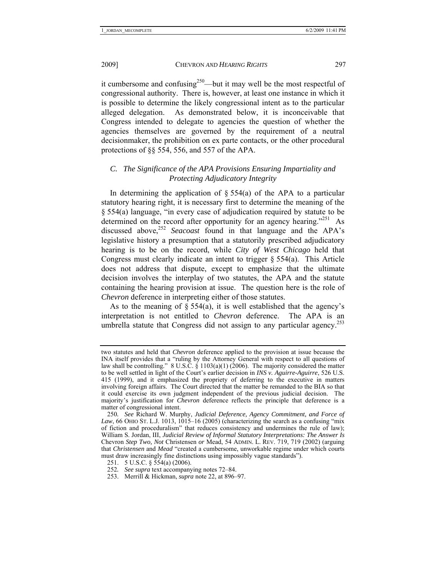it cumbersome and confusing<sup>250</sup>—but it may well be the most respectful of congressional authority. There is, however, at least one instance in which it is possible to determine the likely congressional intent as to the particular alleged delegation. As demonstrated below, it is inconceivable that Congress intended to delegate to agencies the question of whether the agencies themselves are governed by the requirement of a neutral decisionmaker, the prohibition on ex parte contacts, or the other procedural protections of §§ 554, 556, and 557 of the APA.

# *C. The Significance of the APA Provisions Ensuring Impartiality and Protecting Adjudicatory Integrity*

In determining the application of  $\S$  554(a) of the APA to a particular statutory hearing right, it is necessary first to determine the meaning of the § 554(a) language, "in every case of adjudication required by statute to be determined on the record after opportunity for an agency hearing.<sup>"251</sup> As discussed above,<sup>252</sup> *Seacoast* found in that language and the APA's legislative history a presumption that a statutorily prescribed adjudicatory hearing is to be on the record, while *City of West Chicago* held that Congress must clearly indicate an intent to trigger  $\S 554(a)$ . This Article does not address that dispute, except to emphasize that the ultimate decision involves the interplay of two statutes, the APA and the statute containing the hearing provision at issue. The question here is the role of *Chevron* deference in interpreting either of those statutes.

As to the meaning of  $\S 554(a)$ , it is well established that the agency's interpretation is not entitled to *Chevron* deference. The APA is an umbrella statute that Congress did not assign to any particular agency.<sup>253</sup>

two statutes and held that *Chevron* deference applied to the provision at issue because the INA itself provides that a "ruling by the Attorney General with respect to all questions of law shall be controlling."  $8 \text{ U.S.}$ C.  $\frac{8}{9}$  1103(a)(1) (2006). The majority considered the matter to be well settled in light of the Court's earlier decision in *INS v. Aguirre-Aguirre*, 526 U.S. 415 (1999), and it emphasized the propriety of deferring to the executive in matters involving foreign affairs. The Court directed that the matter be remanded to the BIA so that it could exercise its own judgment independent of the previous judicial decision. The majority's justification for *Chevron* deference reflects the principle that deference is a matter of congressional intent.

<sup>250</sup>*. See* Richard W. Murphy, *Judicial Deference, Agency Commitment, and Force of*   $Law$ , 66 OHIO ST. L.J. 1013, 1015–16 (2005) (characterizing the search as a confusing "mix of fiction and proceduralism" that reduces consistency and undermines the rule of law); William S. Jordan, III, *Judicial Review of Informal Statutory Interpretations: The Answer Is*  Chevron *Step Two, Not* Christensen *or* Mead, 54 ADMIN. L. REV. 719, 719 (2002) (arguing that *Christensen* and *Mead* "created a cumbersome, unworkable regime under which courts must draw increasingly fine distinctions using impossibly vague standards").

 <sup>251. 5</sup> U.S.C. § 554(a) (2006).

<sup>252</sup>*. See supra* text accompanying notes 72–84.

 <sup>253.</sup> Merrill & Hickman, *supra* note 22, at 896–97.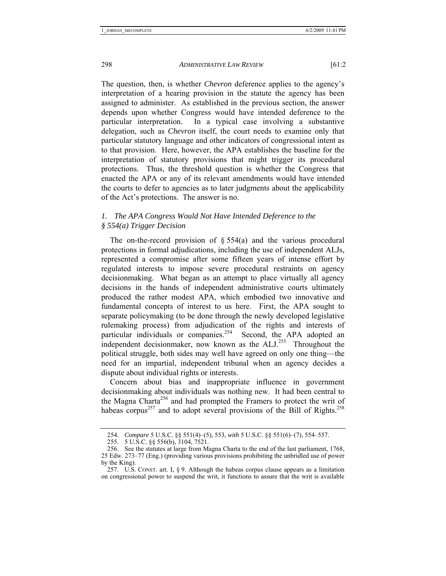The question, then, is whether *Chevron* deference applies to the agency's interpretation of a hearing provision in the statute the agency has been assigned to administer. As established in the previous section, the answer depends upon whether Congress would have intended deference to the particular interpretation. In a typical case involving a substantive delegation, such as *Chevron* itself, the court needs to examine only that particular statutory language and other indicators of congressional intent as to that provision. Here, however, the APA establishes the baseline for the interpretation of statutory provisions that might trigger its procedural protections. Thus, the threshold question is whether the Congress that enacted the APA or any of its relevant amendments would have intended the courts to defer to agencies as to later judgments about the applicability of the Act's protections. The answer is no.

### *1. The APA Congress Would Not Have Intended Deference to the § 554(a) Trigger Decision*

The on-the-record provision of  $\S 554(a)$  and the various procedural protections in formal adjudications, including the use of independent ALJs, represented a compromise after some fifteen years of intense effort by regulated interests to impose severe procedural restraints on agency decisionmaking. What began as an attempt to place virtually all agency decisions in the hands of independent administrative courts ultimately produced the rather modest APA, which embodied two innovative and fundamental concepts of interest to us here. First, the APA sought to separate policymaking (to be done through the newly developed legislative rulemaking process) from adjudication of the rights and interests of particular individuals or companies.<sup>254</sup> Second, the APA adopted an independent decisionmaker, now known as the  $ALJ<sup>255</sup>$  Throughout the political struggle, both sides may well have agreed on only one thing—the need for an impartial, independent tribunal when an agency decides a dispute about individual rights or interests.

Concern about bias and inappropriate influence in government decisionmaking about individuals was nothing new. It had been central to the Magna Charta<sup>256</sup> and had prompted the Framers to protect the writ of habeas corpus<sup>257</sup> and to adopt several provisions of the Bill of Rights.<sup>258</sup>

<sup>254</sup>*. Compare* 5 U.S.C. §§ 551(4)–(5), 553, *with* 5 U.S.C. §§ 551(6)–(7), 554–557.

 <sup>255. 5</sup> U.S.C. §§ 556(b), 3104, 7521.

 <sup>256.</sup> See the statutes at large from Magna Charta to the end of the last parliament, 1768, 25 Edw. 273–77 (Eng.) (providing various provisions prohibiting the unbridled use of power by the King).

<sup>257.</sup> U.S. CONST. art. I,  $\S$  9. Although the habeas corpus clause appears as a limitation on congressional power to suspend the writ, it functions to assure that the writ is available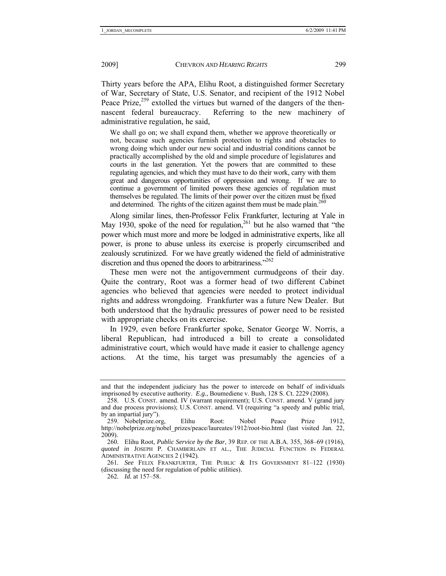Thirty years before the APA, Elihu Root, a distinguished former Secretary of War, Secretary of State, U.S. Senator, and recipient of the 1912 Nobel Peace Prize,<sup>259</sup> extolled the virtues but warned of the dangers of the thennascent federal bureaucracy. Referring to the new machinery of administrative regulation, he said,

We shall go on; we shall expand them, whether we approve theoretically or not, because such agencies furnish protection to rights and obstacles to wrong doing which under our new social and industrial conditions cannot be practically accomplished by the old and simple procedure of legislatures and courts in the last generation. Yet the powers that are committed to these regulating agencies, and which they must have to do their work, carry with them great and dangerous opportunities of oppression and wrong. If we are to continue a government of limited powers these agencies of regulation must themselves be regulated. The limits of their power over the citizen must be fixed and determined. The rights of the citizen against them must be made plain.<sup>260</sup>

Along similar lines, then-Professor Felix Frankfurter, lecturing at Yale in May 1930, spoke of the need for regulation,<sup>261</sup> but he also warned that "the power which must more and more be lodged in administrative experts, like all power, is prone to abuse unless its exercise is properly circumscribed and zealously scrutinized. For we have greatly widened the field of administrative discretion and thus opened the doors to arbitrariness."<sup>262</sup>

These men were not the antigovernment curmudgeons of their day. Quite the contrary, Root was a former head of two different Cabinet agencies who believed that agencies were needed to protect individual rights and address wrongdoing. Frankfurter was a future New Dealer. But both understood that the hydraulic pressures of power need to be resisted with appropriate checks on its exercise.

In 1929, even before Frankfurter spoke, Senator George W. Norris, a liberal Republican, had introduced a bill to create a consolidated administrative court, which would have made it easier to challenge agency actions. At the time, his target was presumably the agencies of a

and that the independent judiciary has the power to intercede on behalf of individuals imprisoned by executive authority. *E.g.*, Boumediene v. Bush, 128 S. Ct. 2229 (2008).

 <sup>258.</sup> U.S. CONST. amend. IV (warrant requirement); U.S. CONST. amend. V (grand jury and due process provisions); U.S. CONST. amend. VI (requiring "a speedy and public trial, by an impartial jury").

 <sup>259.</sup> Nobelprize.org, Elihu Root: Nobel Peace Prize 1912, http://nobelprize.org/nobel\_prizes/peace/laureates/1912/root-bio.html (last visited Jan. 22, 2009).

 <sup>260.</sup> Elihu Root, *Public Service by the Bar*, 39 REP. OF THE A.B.A. 355, 368–69 (1916), *quoted in* JOSEPH P. CHAMBERLAIN ET AL., THE JUDICIAL FUNCTION IN FEDERAL ADMINISTRATIVE AGENCIES 2 (1942).

<sup>261</sup>*. See* FELIX FRANKFURTER, THE PUBLIC & ITS GOVERNMENT 81–122 (1930) (discussing the need for regulation of public utilities).

<sup>262</sup>*. Id.* at 157–58.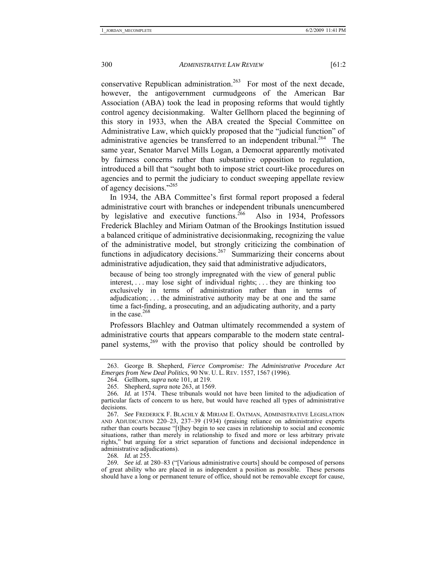conservative Republican administration.<sup>263</sup> For most of the next decade, however, the antigovernment curmudgeons of the American Bar Association (ABA) took the lead in proposing reforms that would tightly control agency decisionmaking. Walter Gellhorn placed the beginning of this story in 1933, when the ABA created the Special Committee on Administrative Law, which quickly proposed that the "judicial function" of administrative agencies be transferred to an independent tribunal.<sup>264</sup> The same year, Senator Marvel Mills Logan, a Democrat apparently motivated by fairness concerns rather than substantive opposition to regulation, introduced a bill that "sought both to impose strict court-like procedures on agencies and to permit the judiciary to conduct sweeping appellate review of agency decisions."265

In 1934, the ABA Committee's first formal report proposed a federal administrative court with branches or independent tribunals unencumbered<br>by legislative and executive functions.<sup>266</sup> Also in 1934, Professors by legislative and executive functions.<sup>266</sup> Frederick Blachley and Miriam Oatman of the Brookings Institution issued a balanced critique of administrative decisionmaking, recognizing the value of the administrative model, but strongly criticizing the combination of functions in adjudicatory decisions.<sup>267</sup> Summarizing their concerns about administrative adjudication, they said that administrative adjudicators,

because of being too strongly impregnated with the view of general public interest, . . . may lose sight of individual rights; . . . they are thinking too exclusively in terms of administration rather than in terms of adjudication; . . . the administrative authority may be at one and the same time a fact-finding, a prosecuting, and an adjudicating authority, and a party in the case. $268$ 

Professors Blachley and Oatman ultimately recommended a system of administrative courts that appears comparable to the modern state centralpanel systems,<sup>269</sup> with the proviso that policy should be controlled by

268*. Id.* at 255.

 <sup>263.</sup> George B. Shepherd, *Fierce Compromise: The Administrative Procedure Act Emerges from New Deal Politics*, 90 NW. U. L. REV. 1557, 1567 (1996).

 <sup>264.</sup> Gellhorn, *supra* note 101, at 219.

 <sup>265.</sup> Shepherd, *supra* note 263, at 1569.

<sup>266</sup>*. Id.* at 1574. These tribunals would not have been limited to the adjudication of particular facts of concern to us here, but would have reached all types of administrative decisions.

<sup>267</sup>*. See* FREDERICK F. BLACHLY & MIRIAM E. OATMAN, ADMINISTRATIVE LEGISLATION AND ADJUDICATION 220–23, 237–39 (1934) (praising reliance on administrative experts rather than courts because "[t]hey begin to see cases in relationship to social and economic situations, rather than merely in relationship to fixed and more or less arbitrary private rights," but arguing for a strict separation of functions and decisional independence in administrative adjudications).

<sup>269</sup>*. See id.* at 280–83 ("[Various administrative courts] should be composed of persons of great ability who are placed in as independent a position as possible. These persons should have a long or permanent tenure of office, should not be removable except for cause,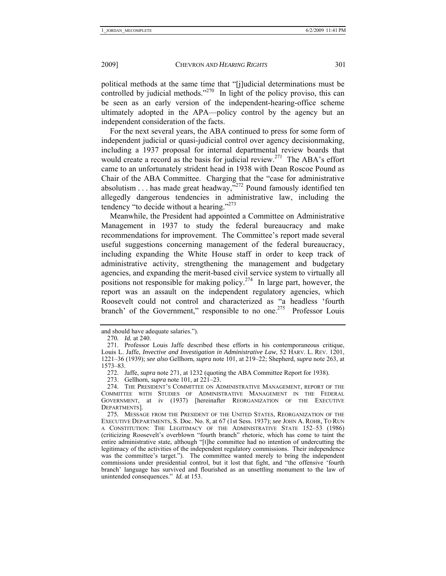political methods at the same time that "[j]udicial determinations must be controlled by judicial methods."<sup>270</sup> In light of the policy proviso, this can be seen as an early version of the independent-hearing-office scheme ultimately adopted in the APA—policy control by the agency but an independent consideration of the facts.

For the next several years, the ABA continued to press for some form of independent judicial or quasi-judicial control over agency decisionmaking, including a 1937 proposal for internal departmental review boards that would create a record as the basis for judicial review.<sup>271</sup> The ABA's effort came to an unfortunately strident head in 1938 with Dean Roscoe Pound as Chair of the ABA Committee. Charging that the "case for administrative absolutism  $\dots$  has made great headway," $^{272}$  Pound famously identified ten allegedly dangerous tendencies in administrative law, including the tendency "to decide without a hearing."<sup>273</sup>

Meanwhile, the President had appointed a Committee on Administrative Management in 1937 to study the federal bureaucracy and make recommendations for improvement. The Committee's report made several useful suggestions concerning management of the federal bureaucracy, including expanding the White House staff in order to keep track of administrative activity, strengthening the management and budgetary agencies, and expanding the merit-based civil service system to virtually all positions not responsible for making policy.<sup>274</sup> In large part, however, the report was an assault on the independent regulatory agencies, which Roosevelt could not control and characterized as "a headless 'fourth branch' of the Government," responsible to no one.<sup>275</sup> Professor Louis

and should have adequate salaries.").

<sup>270</sup>*. Id.* at 240.

 <sup>271.</sup> Professor Louis Jaffe described these efforts in his contemporaneous critique, Louis L. Jaffe, *Invective and Investigation in Administrative Law*, 52 HARV. L. REV. 1201, 1221–36 (1939); *see also* Gellhorn, *supra* note 101, at 219–22; Shepherd, *supra* note 263, at 1573–83.

 <sup>272.</sup> Jaffe, *supra* note 271, at 1232 (quoting the ABA Committee Report for 1938).

 <sup>273.</sup> Gellhorn, *supra* note 101, at 221–23.

 <sup>274.</sup> THE PRESIDENT'S COMMITTEE ON ADMINISTRATIVE MANAGEMENT, REPORT OF THE COMMITTEE WITH STUDIES OF ADMINISTRATIVE MANAGEMENT IN THE FEDERAL GOVERNMENT, at iv (1937) [hereinafter REORGANIZATION OF THE EXECUTIVE DEPARTMENTS].

<sup>275</sup>*.* MESSAGE FROM THE PRESIDENT OF THE UNITED STATES, REORGANIZATION OF THE EXECUTIVE DEPARTMENTS, S. Doc. No. 8, at 67 (1st Sess. 1937); *see* JOHN A. ROHR, TO RUN A CONSTITUTION: THE LEGITIMACY OF THE ADMINISTRATIVE STATE 152–53 (1986) (criticizing Roosevelt's overblown "fourth branch" rhetoric, which has come to taint the entire administrative state, although "[t]he committee had no intention of undercutting the legitimacy of the activities of the independent regulatory commissions. Their independence was the committee's target."). The committee wanted merely to bring the independent commissions under presidential control, but it lost that fight, and "the offensive 'fourth branch' language has survived and flourished as an unsettling monument to the law of unintended consequences." *Id.* at 153.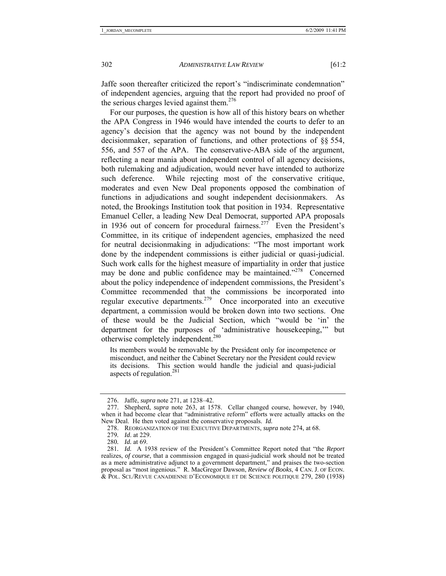Jaffe soon thereafter criticized the report's "indiscriminate condemnation" of independent agencies, arguing that the report had provided no proof of the serious charges levied against them. $276$ 

For our purposes, the question is how all of this history bears on whether the APA Congress in 1946 would have intended the courts to defer to an agency's decision that the agency was not bound by the independent decisionmaker, separation of functions, and other protections of §§ 554, 556, and 557 of the APA. The conservative-ABA side of the argument, reflecting a near mania about independent control of all agency decisions, both rulemaking and adjudication, would never have intended to authorize such deference. While rejecting most of the conservative critique, moderates and even New Deal proponents opposed the combination of functions in adjudications and sought independent decisionmakers. As noted, the Brookings Institution took that position in 1934. Representative Emanuel Celler, a leading New Deal Democrat, supported APA proposals in 1936 out of concern for procedural fairness.<sup>277</sup> Even the President's Committee, in its critique of independent agencies, emphasized the need for neutral decisionmaking in adjudications: "The most important work done by the independent commissions is either judicial or quasi-judicial. Such work calls for the highest measure of impartiality in order that justice may be done and public confidence may be maintained."<sup>278</sup> Concerned about the policy independence of independent commissions, the President's Committee recommended that the commissions be incorporated into regular executive departments.279 Once incorporated into an executive department, a commission would be broken down into two sections. One of these would be the Judicial Section, which "would be 'in' the department for the purposes of 'administrative housekeeping,'" but otherwise completely independent.<sup>280</sup>

Its members would be removable by the President only for incompetence or misconduct, and neither the Cabinet Secretary nor the President could review its decisions. This section would handle the judicial and quasi-judicial aspects of regulation.<sup>281</sup>

 <sup>276.</sup> Jaffe, *supra* note 271, at 1238–42.

 <sup>277.</sup> Shepherd, *supra* note 263, at 1578. Cellar changed course, however, by 1940, when it had become clear that "administrative reform" efforts were actually attacks on the New Deal. He then voted against the conservative proposals. *Id.*

 <sup>278.</sup> REORGANIZATION OF THE EXECUTIVE DEPARTMENTS, *supra* note 274, at 68.

<sup>279</sup>*. Id*. at 229.

<sup>280</sup>*. Id.* at 69.

<sup>281</sup>*. Id.* A 1938 review of the President's Committee Report noted that "the *Report* realizes, *of course*, that a commission engaged in quasi-judicial work should not be treated as a mere administrative adjunct to a government department," and praises the two-section proposal as "most ingenious." R. MacGregor Dawson, *Review of Books*, 4 CAN. J. OF ECON. & POL. SCI./REVUE CANADIENNE D'ECONOMIQUE ET DE SCIENCE POLITIQUE 279, 280 (1938)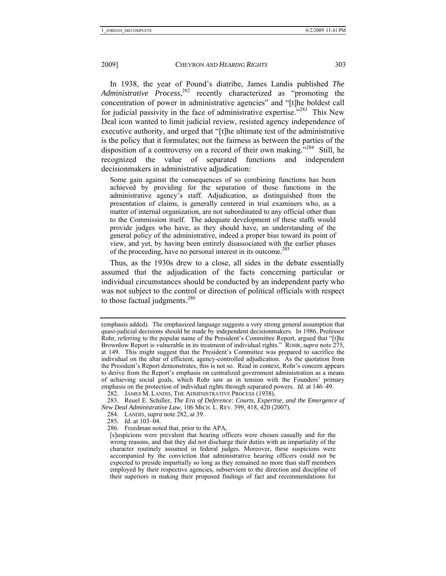In 1938, the year of Pound's diatribe, James Landis published *The Administrative Process*, 282 recently characterized as "promoting the concentration of power in administrative agencies" and "[t]he boldest call for judicial passivity in the face of administrative expertise.<sup>7283</sup> This New Deal icon wanted to limit judicial review, resisted agency independence of executive authority, and urged that "[t]he ultimate test of the administrative is the policy that it formulates; not the fairness as between the parties of the disposition of a controversy on a record of their own making.<sup> $284$ </sup> Still, he recognized the value of separated functions and independent decisionmakers in administrative adjudication:

Some gain against the consequences of so combining functions has been achieved by providing for the separation of those functions in the administrative agency's staff. Adjudication, as distinguished from the presentation of claims, is generally centered in trial examiners who, as a matter of internal organization, are not subordinated to any official other than to the Commission itself. The adequate development of these staffs would provide judges who have, as they should have, an understanding of the general policy of the administrative, indeed a proper bias toward its point of view, and yet, by having been entirely disassociated with the earlier phases of the proceeding, have no personal interest in its outcome.<sup>285</sup>

Thus, as the 1930s drew to a close, all sides in the debate essentially assumed that the adjudication of the facts concerning particular or individual circumstances should be conducted by an independent party who was not subject to the control or direction of political officials with respect to those factual judgments.<sup>286</sup>

- 284. LANDIS, *supra* note 282, at 39.
- 285*. Id.* at 103–04.

<sup>(</sup>emphasis added). The emphasized language suggests a very strong general assumption that quasi-judicial decisions should be made by independent decisionmakers. In 1986, Professor Rohr, referring to the popular name of the President's Committee Report, argued that "[t]he Brownlow Report is vulnerable in its treatment of individual rights." ROHR, *supra* note 275, at 149. This might suggest that the President's Committee was prepared to sacrifice the individual on the altar of efficient, agency-controlled adjudication. As the quotation from the President's Report demonstrates, this is not so. Read in context, Rohr's concern appears to derive from the Report's emphasis on centralized government administration as a means of achieving social goals, which Rohr saw as in tension with the Founders' primary emphasis on the protection of individual rights through separated powers. *Id.* at 146–49.

 <sup>282.</sup> JAMES M. LANDIS, THE ADMINISTRATIVE PROCESS (1938).

 <sup>283.</sup> Reuel E. Schiller, *The Era of Deference: Courts, Expertise, and the Emergence of New Deal Administrative Law*, 106 MICH. L. REV. 399, 418, 420 (2007).

 <sup>286.</sup> Freedman noted that, prior to the APA,

<sup>[</sup>s]uspicions were prevalent that hearing officers were chosen casually and for the wrong reasons, and that they did not discharge their duties with an impartiality of the character routinely assumed in federal judges. Moreover, these suspicions were accompanied by the conviction that administrative hearing officers could not be expected to preside impartially so long as they remained no more than staff members employed by their respective agencies, subservient to the direction and discipline of their superiors in making their proposed findings of fact and recommendations for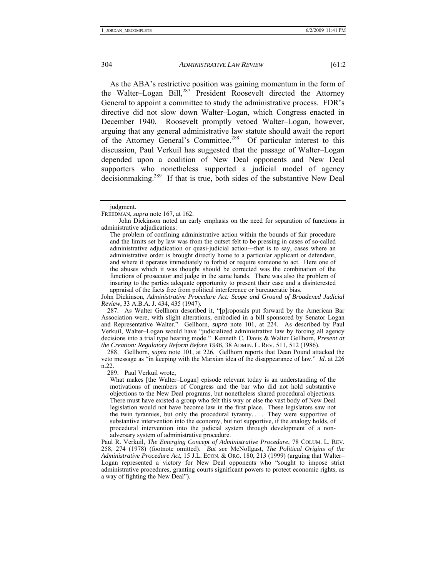As the ABA's restrictive position was gaining momentum in the form of the Walter–Logan Bill,287 President Roosevelt directed the Attorney General to appoint a committee to study the administrative process. FDR's directive did not slow down Walter–Logan, which Congress enacted in December 1940. Roosevelt promptly vetoed Walter–Logan, however, arguing that any general administrative law statute should await the report of the Attorney General's Committee.288 Of particular interest to this discussion, Paul Verkuil has suggested that the passage of Walter–Logan depended upon a coalition of New Deal opponents and New Deal supporters who nonetheless supported a judicial model of agency decisionmaking.<sup>289</sup> If that is true, both sides of the substantive New Deal

The problem of confining administrative action within the bounds of fair procedure and the limits set by law was from the outset felt to be pressing in cases of so-called administrative adjudication or quasi-judicial action—that is to say, cases where an administrative order is brought directly home to a particular applicant or defendant, and where it operates immediately to forbid or require someone to act. Here one of the abuses which it was thought should be corrected was the combination of the functions of prosecutor and judge in the same hands. There was also the problem of insuring to the parties adequate opportunity to present their case and a disinterested appraisal of the facts free from political interference or bureaucratic bias.

John Dickinson, *Administrative Procedure Act: Scope and Ground of Broadened Judicial Review*, 33 A.B.A. J. 434, 435 (1947).

 287. As Walter Gellhorn described it, "[p]roposals put forward by the American Bar Association were, with slight alterations, embodied in a bill sponsored by Senator Logan and Representative Walter." Gellhorn, *supra* note 101, at 224. As described by Paul Verkuil, Walter–Logan would have "judicialized administrative law by forcing all agency decisions into a trial type hearing mode." Kenneth C. Davis & Walter Gellhorn, *Present at the Creation: Regulatory Reform Before 1946*, 38 ADMIN. L. REV. 511, 512 (1986).

 288. Gellhorn, *supra* note 101, at 226. Gellhorn reports that Dean Pound attacked the veto message as "in keeping with the Marxian idea of the disappearance of law." *Id*. at 226 n.22.

289. Paul Verkuil wrote,

What makes [the Walter–Logan] episode relevant today is an understanding of the motivations of members of Congress and the bar who did not hold substantive objections to the New Deal programs, but nonetheless shared procedural objections. There must have existed a group who felt this way or else the vast body of New Deal legislation would not have become law in the first place. These legislators saw not the twin tyrannies, but only the procedural tyranny.... They were supportive of substantive intervention into the economy, but not supportive, if the analogy holds, of procedural intervention into the judicial system through development of a nonadversary system of administrative procedure.

Paul R. Verkuil, *The Emerging Concept of Administrative Procedure*, 78 COLUM. L. REV. 258, 274 (1978) (footnote omitted). *But see* McNollgast, *The Political Origins of the Administrative Procedure Act*, 15 J.L. ECON. & ORG. 180, 213 (1999) (arguing that Walter– Logan represented a victory for New Deal opponents who "sought to impose strict administrative procedures, granting courts significant powers to protect economic rights, as a way of fighting the New Deal").

judgment.

FREEDMAN, *supra* note 167, at 162.

John Dickinson noted an early emphasis on the need for separation of functions in administrative adjudications: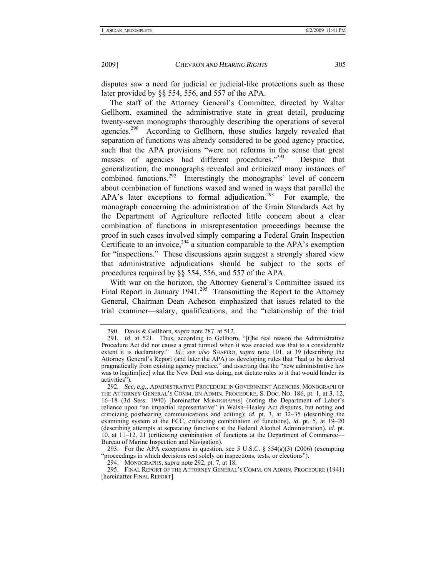disputes saw a need for judicial or judicial-like protections such as those later provided by §§ 554, 556, and 557 of the APA.

The staff of the Attorney General's Committee, directed by Walter Gellhorn, examined the administrative state in great detail, producing twenty-seven monographs thoroughly describing the operations of several agencies.<sup>290</sup> According to Gellhorn, those studies largely revealed that separation of functions was already considered to be good agency practice, such that the APA provisions "were not reforms in the sense that great masses of agencies had different procedures."<sup>291</sup> Despite that generalization, the monographs revealed and criticized many instances of combined functions.<sup>292</sup> Interestingly the monographs' level of concern about combination of functions waxed and waned in ways that parallel the  $APA$ 's later exceptions to formal adjudication.<sup>293</sup> For example, the monograph concerning the administration of the Grain Standards Act by the Department of Agriculture reflected little concern about a clear combination of functions in misrepresentation proceedings because the proof in such cases involved simply comparing a Federal Grain Inspection Certificate to an invoice,  $294$  a situation comparable to the APA's exemption for "inspections." These discussions again suggest a strongly shared view that administrative adjudications should be subject to the sorts of procedures required by §§ 554, 556, and 557 of the APA.

With war on the horizon, the Attorney General's Committee issued its Final Report in January  $1941^{295}$  Transmitting the Report to the Attorney General, Chairman Dean Acheson emphasized that issues related to the trial examiner—salary, qualifications, and the "relationship of the trial

293. For the APA exceptions in question, see 5 U.S.C.  $\S$  554(a)(3) (2006) (exempting "proceedings in which decisions rest solely on inspections, tests, or elections").

 295. FINAL REPORT OF THE ATTORNEY GENERAL'S COMM. ON ADMIN. PROCEDURE (1941) [hereinafter FINAL REPORT].

 <sup>290.</sup> Davis & Gellhorn, *supra* note 287, at 512.

<sup>291</sup>*. Id*. at 521. Thus, according to Gellhorn, "[t]he real reason the Administrative Procedure Act did not cause a great turmoil when it was enacted was that to a considerable extent it is declaratory." *Id*.; *see also* SHAPIRO, *supra* note 101, at 39 (describing the Attorney General's Report (and later the APA) as developing rules that "had to be derived pragmatically from existing agency practice," and asserting that the "new administrative law was to legitim[ize] what the New Deal was doing, not dictate rules to it that would hinder its activities").

<sup>292</sup>*. See, e.g.*, ADMINISTRATIVE PROCEDURE IN GOVERNMENT AGENCIES: MONOGRAPH OF THE ATTORNEY GENERAL'S COMM. ON ADMIN. PROCEDURE, S. DOC. NO. 186, pt. 1, at 3, 12, 16–18 (3d Sess. 1940) [hereinafter MONOGRAPHS] (noting the Department of Labor's reliance upon "an impartial representative" in Walsh–Healey Act disputes, but noting and criticizing posthearing communications and editing); *id*. pt. 3, at 32–35 (describing the examining system at the FCC, criticizing combination of functions), *id*. pt. 5, at 19–20 (describing attempts at separating functions at the Federal Alcohol Administration), *id*. pt. 10, at 11–12, 21 (criticizing combination of functions at the Department of Commerce— Bureau of Marine Inspection and Navigation).

 <sup>294.</sup> MONOGRAPHS, *supra* note 292, pt. 7, at 18.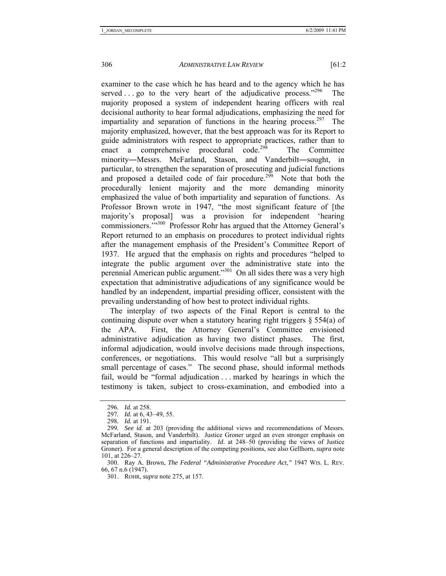examiner to the case which he has heard and to the agency which he has served . . . . go to the very heart of the adjudicative process."<sup>296</sup> The majority proposed a system of independent hearing officers with real decisional authority to hear formal adjudications, emphasizing the need for impartiality and separation of functions in the hearing process.<sup>297</sup> The majority emphasized, however, that the best approach was for its Report to guide administrators with respect to appropriate practices, rather than to enact a comprehensive procedural code.<sup>298</sup> The Committee minority―Messrs. McFarland, Stason, and Vanderbilt―sought, in particular, to strengthen the separation of prosecuting and judicial functions and proposed a detailed code of fair procedure.<sup>299</sup> Note that both the procedurally lenient majority and the more demanding minority emphasized the value of both impartiality and separation of functions. As Professor Brown wrote in 1947, "the most significant feature of [the majority's proposal] was a provision for independent 'hearing commissioners.'"300 Professor Rohr has argued that the Attorney General's Report returned to an emphasis on procedures to protect individual rights after the management emphasis of the President's Committee Report of 1937. He argued that the emphasis on rights and procedures "helped to integrate the public argument over the administrative state into the perennial American public argument."301 On all sides there was a very high expectation that administrative adjudications of any significance would be handled by an independent, impartial presiding officer, consistent with the prevailing understanding of how best to protect individual rights.

The interplay of two aspects of the Final Report is central to the continuing dispute over when a statutory hearing right triggers § 554(a) of the APA. First, the Attorney General's Committee envisioned administrative adjudication as having two distinct phases. The first, informal adjudication, would involve decisions made through inspections, conferences, or negotiations. This would resolve "all but a surprisingly small percentage of cases." The second phase, should informal methods fail, would be "formal adjudication . . . marked by hearings in which the testimony is taken, subject to cross-examination, and embodied into a

<sup>296</sup>*. Id.* at 258.

<sup>297</sup>*. Id.* at 6, 43–49, 55.

<sup>298</sup>*. Id.* at 191.

<sup>299</sup>*. See id.* at 203 (providing the additional views and recommendations of Messrs. McFarland, Stason, and Vanderbilt). Justice Groner urged an even stronger emphasis on separation of functions and impartiality. *Id*. at 248–50 (providing the views of Justice Groner). For a general description of the competing positions, see also Gellhorn, *supra* note 101, at 226–27.

 <sup>300.</sup> Ray A. Brown, *The Federal "Administrative Procedure Act*,*"* 1947 WIS. L. REV. 66, 67 n.6 (1947).

 <sup>301.</sup> ROHR, *supra* note 275, at 157.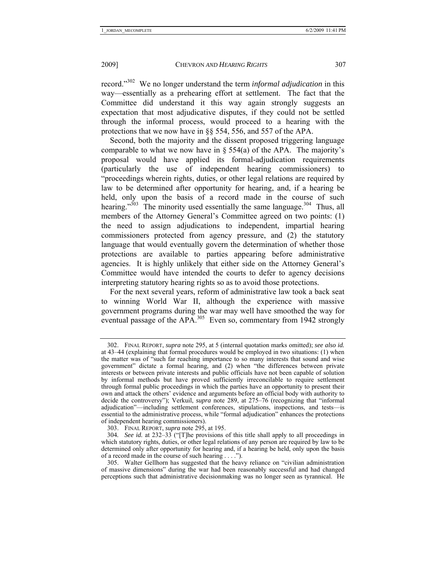record."302 We no longer understand the term *informal adjudication* in this way—essentially as a prehearing effort at settlement. The fact that the Committee did understand it this way again strongly suggests an expectation that most adjudicative disputes, if they could not be settled through the informal process, would proceed to a hearing with the protections that we now have in §§ 554, 556, and 557 of the APA.

Second, both the majority and the dissent proposed triggering language comparable to what we now have in  $\S$  554(a) of the APA. The majority's proposal would have applied its formal-adjudication requirements (particularly the use of independent hearing commissioners) to "proceedings wherein rights, duties, or other legal relations are required by law to be determined after opportunity for hearing, and, if a hearing be held, only upon the basis of a record made in the course of such hearing." $3^{03}$  The minority used essentially the same language. $3^{04}$  Thus, all members of the Attorney General's Committee agreed on two points: (1) the need to assign adjudications to independent, impartial hearing commissioners protected from agency pressure, and (2) the statutory language that would eventually govern the determination of whether those protections are available to parties appearing before administrative agencies. It is highly unlikely that either side on the Attorney General's Committee would have intended the courts to defer to agency decisions interpreting statutory hearing rights so as to avoid those protections.

For the next several years, reform of administrative law took a back seat to winning World War II, although the experience with massive government programs during the war may well have smoothed the way for eventual passage of the APA. $^{305}$  Even so, commentary from 1942 strongly

 <sup>302.</sup> FINAL REPORT, *supra* note 295, at 5 (internal quotation marks omitted); *see also id.* at 43–44 (explaining that formal procedures would be employed in two situations: (1) when the matter was of "such far reaching importance to so many interests that sound and wise government" dictate a formal hearing, and (2) when "the differences between private interests or between private interests and public officials have not been capable of solution by informal methods but have proved sufficiently irreconcilable to require settlement through formal public proceedings in which the parties have an opportunity to present their own and attack the others' evidence and arguments before an official body with authority to decide the controversy"); Verkuil, *supra* note 289, at 275–76 (recognizing that "informal adjudication"—including settlement conferences, stipulations, inspections, and tests—is essential to the administrative process, while "formal adjudication" enhances the protections of independent hearing commissioners).

 <sup>303.</sup> FINAL REPORT, *supra* note 295, at 195.

<sup>304</sup>*. See id.* at 232–33 ("[T]he provisions of this title shall apply to all proceedings in which statutory rights, duties, or other legal relations of any person are required by law to be determined only after opportunity for hearing and, if a hearing be held, only upon the basis of a record made in the course of such hearing . . . .").

 <sup>305.</sup> Walter Gellhorn has suggested that the heavy reliance on "civilian administration of massive dimensions" during the war had been reasonably successful and had changed perceptions such that administrative decisionmaking was no longer seen as tyrannical. He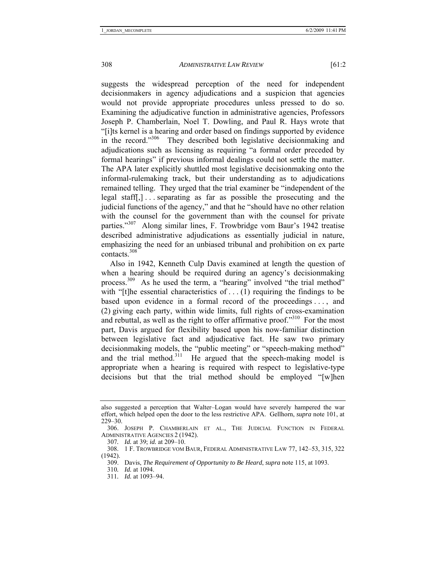suggests the widespread perception of the need for independent decisionmakers in agency adjudications and a suspicion that agencies would not provide appropriate procedures unless pressed to do so. Examining the adjudicative function in administrative agencies, Professors Joseph P. Chamberlain, Noel T. Dowling, and Paul R. Hays wrote that "[i]ts kernel is a hearing and order based on findings supported by evidence in the record."<sup>306</sup> They described both legislative decisionmaking and adjudications such as licensing as requiring "a formal order preceded by formal hearings" if previous informal dealings could not settle the matter. The APA later explicitly shuttled most legislative decisionmaking onto the informal-rulemaking track, but their understanding as to adjudications remained telling. They urged that the trial examiner be "independent of the legal staff[,] . . . separating as far as possible the prosecuting and the judicial functions of the agency," and that he "should have no other relation with the counsel for the government than with the counsel for private parties."307 Along similar lines, F. Trowbridge vom Baur's 1942 treatise described administrative adjudications as essentially judicial in nature, emphasizing the need for an unbiased tribunal and prohibition on ex parte contacts.<sup>308</sup>

Also in 1942, Kenneth Culp Davis examined at length the question of when a hearing should be required during an agency's decisionmaking process.<sup>309</sup> As he used the term, a "hearing" involved "the trial method" with "[t]he essential characteristics of  $\dots$  (1) requiring the findings to be based upon evidence in a formal record of the proceedings . . . , and (2) giving each party, within wide limits, full rights of cross-examination and rebuttal, as well as the right to offer affirmative proof."<sup>310</sup> For the most part, Davis argued for flexibility based upon his now-familiar distinction between legislative fact and adjudicative fact. He saw two primary decisionmaking models, the "public meeting" or "speech-making method" and the trial method.<sup>311</sup> He argued that the speech-making model is appropriate when a hearing is required with respect to legislative-type decisions but that the trial method should be employed "[w]hen

also suggested a perception that Walter–Logan would have severely hampered the war effort, which helped open the door to the less restrictive APA. Gellhorn, *supra* note 101, at 229–30.

 <sup>306.</sup> JOSEPH P. CHAMBERLAIN ET AL., THE JUDICIAL FUNCTION IN FEDERAL ADMINISTRATIVE AGENCIES 2 (1942).

<sup>307</sup>*. Id.* at 39; *id.* at 209–10.

 <sup>308. 1</sup> F. TROWBRIDGE VOM BAUR, FEDERAL ADMINISTRATIVE LAW 77, 142–53, 315, 322 (1942).

 <sup>309.</sup> Davis, *The Requirement of Opportunity to Be Heard*, *supra* note 115, at 1093.

<sup>310</sup>*. Id.* at 1094.

<sup>311</sup>*. Id.* at 1093–94.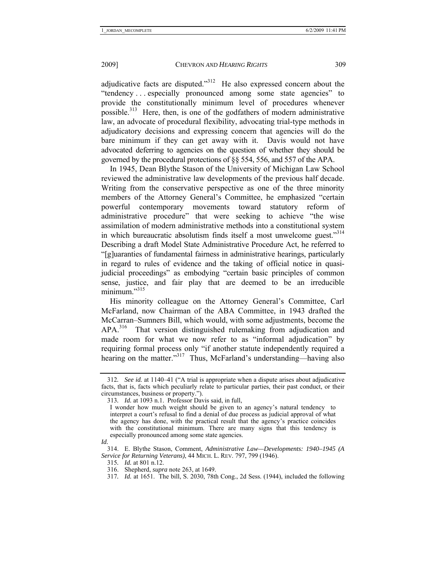adjudicative facts are disputed."312 He also expressed concern about the "tendency . . . especially pronounced among some state agencies" to provide the constitutionally minimum level of procedures whenever possible.<sup>313</sup> Here, then, is one of the godfathers of modern administrative law, an advocate of procedural flexibility, advocating trial-type methods in adjudicatory decisions and expressing concern that agencies will do the bare minimum if they can get away with it. Davis would not have advocated deferring to agencies on the question of whether they should be governed by the procedural protections of §§ 554, 556, and 557 of the APA.

In 1945, Dean Blythe Stason of the University of Michigan Law School reviewed the administrative law developments of the previous half decade. Writing from the conservative perspective as one of the three minority members of the Attorney General's Committee, he emphasized "certain powerful contemporary movements toward statutory reform of administrative procedure" that were seeking to achieve "the wise assimilation of modern administrative methods into a constitutional system in which bureaucratic absolutism finds itself a most unwelcome guest."<sup>314</sup> Describing a draft Model State Administrative Procedure Act, he referred to "[g]uaranties of fundamental fairness in administrative hearings, particularly in regard to rules of evidence and the taking of official notice in quasijudicial proceedings" as embodying "certain basic principles of common sense, justice, and fair play that are deemed to be an irreducible  $minimum$ <sup>315</sup>

His minority colleague on the Attorney General's Committee, Carl McFarland, now Chairman of the ABA Committee, in 1943 drafted the McCarran–Sumners Bill, which would, with some adjustments, become the APA.<sup>316</sup> That version distinguished rulemaking from adjudication and made room for what we now refer to as "informal adjudication" by requiring formal process only "if another statute independently required a hearing on the matter."<sup>317</sup> Thus, McFarland's understanding—having also

<sup>312</sup>*. See id.* at 1140–41 ("A trial is appropriate when a dispute arises about adjudicative facts, that is, facts which peculiarly relate to particular parties, their past conduct, or their circumstances, business or property.").

<sup>313</sup>*. Id.* at 1093 n.1. Professor Davis said, in full,

I wonder how much weight should be given to an agency's natural tendency to interpret a court's refusal to find a denial of due process as judicial approval of what the agency has done, with the practical result that the agency's practice coincides with the constitutional minimum. There are many signs that this tendency is especially pronounced among some state agencies.

*Id.*

 <sup>314.</sup> E. Blythe Stason, Comment, *Administrative Law—Developments: 1940–1945 (A Service for Returning Veterans)*, 44 MICH. L. REV. 797, 799 (1946).

<sup>315</sup>*. Id.* at 801 n.12.

 <sup>316.</sup> Shepherd, *supra* note 263, at 1649.

<sup>317</sup>*. Id.* at 1651. The bill, S. 2030, 78th Cong., 2d Sess. (1944), included the following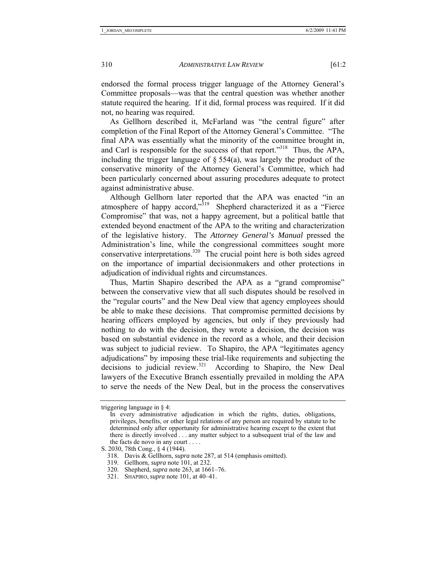endorsed the formal process trigger language of the Attorney General's Committee proposals—was that the central question was whether another statute required the hearing. If it did, formal process was required. If it did not, no hearing was required.

As Gellhorn described it, McFarland was "the central figure" after completion of the Final Report of the Attorney General's Committee. "The final APA was essentially what the minority of the committee brought in, and Carl is responsible for the success of that report."<sup>318</sup> Thus, the APA, including the trigger language of  $\S$  554(a), was largely the product of the conservative minority of the Attorney General's Committee, which had been particularly concerned about assuring procedures adequate to protect against administrative abuse.

Although Gellhorn later reported that the APA was enacted "in an atmosphere of happy accord, $3^{319}$  Shepherd characterized it as a "Fierce" Compromise" that was, not a happy agreement, but a political battle that extended beyond enactment of the APA to the writing and characterization of the legislative history. The *Attorney General's Manual* pressed the Administration's line, while the congressional committees sought more conservative interpretations.<sup>320</sup> The crucial point here is both sides agreed on the importance of impartial decisionmakers and other protections in adjudication of individual rights and circumstances.

Thus, Martin Shapiro described the APA as a "grand compromise" between the conservative view that all such disputes should be resolved in the "regular courts" and the New Deal view that agency employees should be able to make these decisions. That compromise permitted decisions by hearing officers employed by agencies, but only if they previously had nothing to do with the decision, they wrote a decision, the decision was based on substantial evidence in the record as a whole, and their decision was subject to judicial review. To Shapiro, the APA "legitimates agency adjudications" by imposing these trial-like requirements and subjecting the decisions to judicial review.<sup>321</sup> According to Shapiro, the New Deal lawyers of the Executive Branch essentially prevailed in molding the APA to serve the needs of the New Deal, but in the process the conservatives

triggering language in § 4:

In every administrative adjudication in which the rights, duties, obligations, privileges, benefits, or other legal relations of any person are required by statute to be determined only after opportunity for administrative hearing except to the extent that there is directly involved . . . any matter subject to a subsequent trial of the law and the facts de novo in any court . . . .

S. 2030, 78th Cong., § 4 (1944).

 <sup>318.</sup> Davis & Gellhorn, *supra* note 287, at 514 (emphasis omitted).

 <sup>319.</sup> Gellhorn, *supra* note 101, at 232.

 <sup>320.</sup> Shepherd, *supra* note 263, at 1661–76.

 <sup>321.</sup> SHAPIRO, *supra* note 101, at 40–41.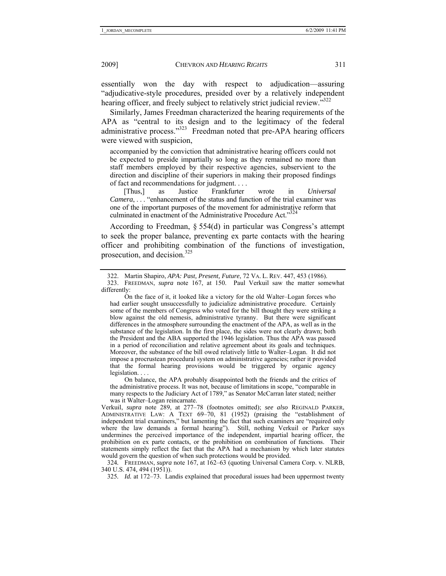essentially won the day with respect to adjudication—assuring "adjudicative-style procedures, presided over by a relatively independent hearing officer, and freely subject to relatively strict judicial review.<sup>3322</sup>

Similarly, James Freedman characterized the hearing requirements of the APA as "central to its design and to the legitimacy of the federal administrative process."<sup>323</sup> Freedman noted that pre-APA hearing officers were viewed with suspicion,

accompanied by the conviction that administrative hearing officers could not be expected to preside impartially so long as they remained no more than staff members employed by their respective agencies, subservient to the direction and discipline of their superiors in making their proposed findings of fact and recommendations for judgment. . . .

 [Thus,] as Justice Frankfurter wrote in *Universal Camera*, . . . "enhancement of the status and function of the trial examiner was one of the important purposes of the movement for administrative reform that culminated in enactment of the Administrative Procedure Act."324

According to Freedman, § 554(d) in particular was Congress's attempt to seek the proper balance, preventing ex parte contacts with the hearing officer and prohibiting combination of the functions of investigation, prosecution, and decision. $325$ 

 On the face of it, it looked like a victory for the old Walter–Logan forces who had earlier sought unsuccessfully to judicialize administrative procedure. Certainly some of the members of Congress who voted for the bill thought they were striking a blow against the old nemesis, administrative tyranny. But there were significant differences in the atmosphere surrounding the enactment of the APA, as well as in the substance of the legislation. In the first place, the sides were not clearly drawn; both the President and the ABA supported the 1946 legislation. Thus the APA was passed in a period of reconciliation and relative agreement about its goals and techniques. Moreover, the substance of the bill owed relatively little to Walter–Logan. It did not impose a procrustean procedural system on administrative agencies; rather it provided that the formal hearing provisions would be triggered by organic agency legislation. . . .

 On balance, the APA probably disappointed both the friends and the critics of the administrative process. It was not, because of limitations in scope, "comparable in many respects to the Judiciary Act of 1789," as Senator McCarran later stated; neither was it Walter–Logan reincarnate.

Verkuil, *supra* note 289, at 277–78 (footnotes omitted); *see also* REGINALD PARKER, ADMINISTRATIVE LAW: A TEXT 69–70, 81 (1952) (praising the "establishment of independent trial examiners," but lamenting the fact that such examiners are "required only where the law demands a formal hearing"). Still, nothing Verkuil or Parker says undermines the perceived importance of the independent, impartial hearing officer, the prohibition on ex parte contacts, or the prohibition on combination of functions. Their statements simply reflect the fact that the APA had a mechanism by which later statutes would govern the question of when such protections would be provided.

324*.* FREEDMAN, *supra* note 167, at 162–63 (quoting Universal Camera Corp. v. NLRB, 340 U.S. 474, 494 (1951)).

325*. Id.* at 172–73. Landis explained that procedural issues had been uppermost twenty

 <sup>322.</sup> Martin Shapiro, *APA: Past, Present, Future*, 72 VA. L. REV. 447, 453 (1986).

 <sup>323.</sup> FREEDMAN, *supra* note 167, at 150. Paul Verkuil saw the matter somewhat differently: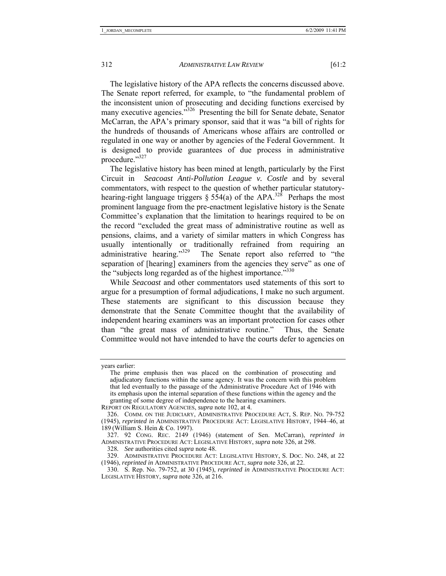The legislative history of the APA reflects the concerns discussed above. The Senate report referred, for example, to "the fundamental problem of the inconsistent union of prosecuting and deciding functions exercised by many executive agencies.<sup>"326</sup> Presenting the bill for Senate debate, Senator McCarran, the APA's primary sponsor, said that it was "a bill of rights for the hundreds of thousands of Americans whose affairs are controlled or regulated in one way or another by agencies of the Federal Government. It is designed to provide guarantees of due process in administrative procedure."327

The legislative history has been mined at length, particularly by the First Circuit in *Seacoast Anti-Pollution League v. Costle* and by several commentators, with respect to the question of whether particular statutoryhearing-right language triggers  $\S$  554(a) of the APA.<sup>328</sup> Perhaps the most prominent language from the pre-enactment legislative history is the Senate Committee's explanation that the limitation to hearings required to be on the record "excluded the great mass of administrative routine as well as pensions, claims, and a variety of similar matters in which Congress has usually intentionally or traditionally refrained from requiring an administrative hearing."<sup>329</sup> The Senate report also referred to "the separation of [hearing] examiners from the agencies they serve" as one of the "subjects long regarded as of the highest importance."<sup>330</sup>

While *Seacoast* and other commentators used statements of this sort to argue for a presumption of formal adjudications, I make no such argument. These statements are significant to this discussion because they demonstrate that the Senate Committee thought that the availability of independent hearing examiners was an important protection for cases other than "the great mass of administrative routine." Thus, the Senate Committee would not have intended to have the courts defer to agencies on

years earlier:

The prime emphasis then was placed on the combination of prosecuting and adjudicatory functions within the same agency. It was the concern with this problem that led eventually to the passage of the Administrative Procedure Act of 1946 with its emphasis upon the internal separation of these functions within the agency and the granting of some degree of independence to the hearing examiners.

REPORT ON REGULATORY AGENCIES, *supra* note 102, at 4.

 <sup>326.</sup> COMM. ON THE JUDICIARY, ADMINISTRATIVE PROCEDURE ACT, S. REP. NO. 79-752 (1945), *reprinted in* ADMINISTRATIVE PROCEDURE ACT: LEGISLATIVE HISTORY, 1944–46, at 189 (William S. Hein & Co. 1997).

 <sup>327. 92</sup> CONG. REC. 2149 (1946) (statement of Sen. McCarran), *reprinted in*  ADMINISTRATIVE PROCEDURE ACT: LEGISLATIVE HISTORY, *supra* note 326, at 298.

<sup>328</sup>*. See* authorities cited *supra* note 48.

 <sup>329.</sup> ADMINISTRATIVE PROCEDURE ACT: LEGISLATIVE HISTORY, S. DOC. NO. 248, at 22 (1946), *reprinted in* ADMINISTRATIVE PROCEDURE ACT, *supra* note 326, at 22.

 <sup>330.</sup> S. Rep. No. 79-752, at 30 (1945), *reprinted in* ADMINISTRATIVE PROCEDURE ACT: LEGISLATIVE HISTORY, *supra* note 326, at 216.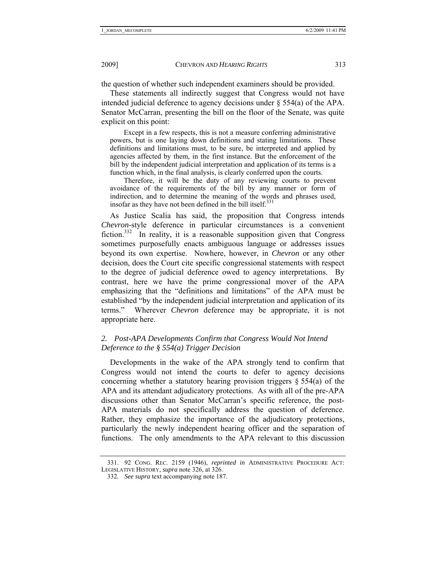the question of whether such independent examiners should be provided.

These statements all indirectly suggest that Congress would not have intended judicial deference to agency decisions under § 554(a) of the APA. Senator McCarran, presenting the bill on the floor of the Senate, was quite explicit on this point:

 Except in a few respects, this is not a measure conferring administrative powers, but is one laying down definitions and stating limitations. These definitions and limitations must, to be sure, be interpreted and applied by agencies affected by them, in the first instance. But the enforcement of the bill by the independent judicial interpretation and application of its terms is a function which, in the final analysis, is clearly conferred upon the courts.

 Therefore, it will be the duty of any reviewing courts to prevent avoidance of the requirements of the bill by any manner or form of indirection, and to determine the meaning of the words and phrases used, insofar as they have not been defined in the bill itself. $^{331}$ 

As Justice Scalia has said, the proposition that Congress intends *Chevron*-style deference in particular circumstances is a convenient fiction.<sup>332</sup> In reality, it is a reasonable supposition given that Congress sometimes purposefully enacts ambiguous language or addresses issues beyond its own expertise. Nowhere, however, in *Chevron* or any other decision, does the Court cite specific congressional statements with respect to the degree of judicial deference owed to agency interpretations. By contrast, here we have the prime congressional mover of the APA emphasizing that the "definitions and limitations" of the APA must be established "by the independent judicial interpretation and application of its terms." Wherever *Chevron* deference may be appropriate, it is not appropriate here.

## *2. Post-APA Developments Confirm that Congress Would Not Intend Deference to the § 554(a) Trigger Decision*

Developments in the wake of the APA strongly tend to confirm that Congress would not intend the courts to defer to agency decisions concerning whether a statutory hearing provision triggers  $\S$  554(a) of the APA and its attendant adjudicatory protections. As with all of the pre-APA discussions other than Senator McCarran's specific reference, the post-APA materials do not specifically address the question of deference. Rather, they emphasize the importance of the adjudicatory protections, particularly the newly independent hearing officer and the separation of functions. The only amendments to the APA relevant to this discussion

 <sup>331. 92</sup> CONG. REC. 2159 (1946), *reprinted in* ADMINISTRATIVE PROCEDURE ACT: LEGISLATIVE HISTORY, *supra* note 326, at 326.

<sup>332</sup>*. See supra* text accompanying note 187.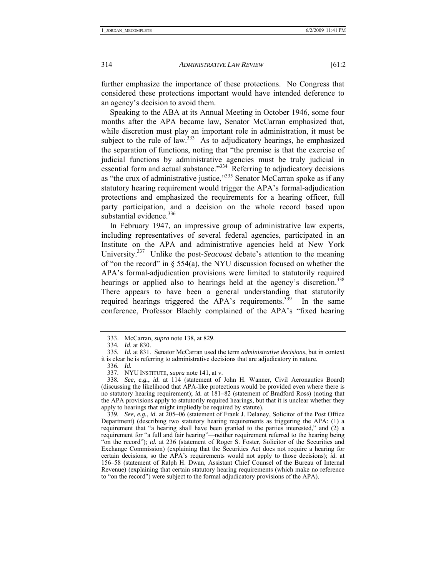further emphasize the importance of these protections. No Congress that considered these protections important would have intended deference to an agency's decision to avoid them.

Speaking to the ABA at its Annual Meeting in October 1946, some four months after the APA became law, Senator McCarran emphasized that, while discretion must play an important role in administration, it must be subject to the rule of law. $333$  As to adjudicatory hearings, he emphasized the separation of functions, noting that "the premise is that the exercise of judicial functions by administrative agencies must be truly judicial in essential form and actual substance.<sup>"334</sup> Referring to adjudicatory decisions as "the crux of administrative justice,"335 Senator McCarran spoke as if any statutory hearing requirement would trigger the APA's formal-adjudication protections and emphasized the requirements for a hearing officer, full party participation, and a decision on the whole record based upon substantial evidence.<sup>336</sup>

In February 1947, an impressive group of administrative law experts, including representatives of several federal agencies, participated in an Institute on the APA and administrative agencies held at New York University.337 Unlike the post-*Seacoast* debate's attention to the meaning of "on the record" in  $\S$  554(a), the NYU discussion focused on whether the APA's formal-adjudication provisions were limited to statutorily required hearings or applied also to hearings held at the agency's discretion.<sup>338</sup> There appears to have been a general understanding that statutorily required hearings triggered the APA's requirements.<sup>339</sup> In the same conference, Professor Blachly complained of the APA's "fixed hearing

 <sup>333.</sup> McCarran, *supra* note 138, at 829.

<sup>334</sup>*. Id*. at 830.

<sup>335</sup>*. Id.* at 831. Senator McCarran used the term *administrative decisions*, but in context it is clear he is referring to administrative decisions that are adjudicatory in nature.

<sup>336</sup>*. Id.*

 <sup>337.</sup> NYU INSTITUTE, *supra* note 141, at v.

<sup>338</sup>*. See, e.g.*, *id*. at 114 (statement of John H. Wanner, Civil Aeronautics Board) (discussing the likelihood that APA-like protections would be provided even where there is no statutory hearing requirement); *id.* at 181–82 (statement of Bradford Ross) (noting that the APA provisions apply to statutorily required hearings, but that it is unclear whether they apply to hearings that might impliedly be required by statute).

<sup>339</sup>*. See, e.g.*, *id.* at 205–06 (statement of Frank J. Delaney, Solicitor of the Post Office Department) (describing two statutory hearing requirements as triggering the APA: (1) a requirement that "a hearing shall have been granted to the parties interested," and (2) a requirement for "a full and fair hearing"—neither requirement referred to the hearing being "on the record"); *id.* at 236 (statement of Roger S. Foster, Solicitor of the Securities and Exchange Commission) (explaining that the Securities Act does not require a hearing for certain decisions, so the APA's requirements would not apply to those decisions); *id.* at 156–58 (statement of Ralph H. Dwan, Assistant Chief Counsel of the Bureau of Internal Revenue) (explaining that certain statutory hearing requirements (which make no reference to "on the record") were subject to the formal adjudicatory provisions of the APA).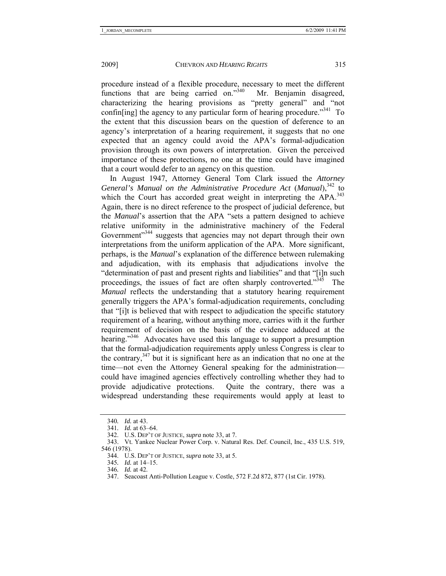procedure instead of a flexible procedure, necessary to meet the different functions that are being carried on."<sup>340</sup> Mr. Benjamin disagreed, characterizing the hearing provisions as "pretty general" and "not confinating] the agency to any particular form of hearing procedure.<sup>3341</sup> To the extent that this discussion bears on the question of deference to an agency's interpretation of a hearing requirement, it suggests that no one expected that an agency could avoid the APA's formal-adjudication provision through its own powers of interpretation. Given the perceived importance of these protections, no one at the time could have imagined that a court would defer to an agency on this question.

In August 1947, Attorney General Tom Clark issued the *Attorney General's Manual on the Administrative Procedure Act (Manual)*<sup>342</sup> to which the Court has accorded great weight in interpreting the APA.<sup>343</sup> Again, there is no direct reference to the prospect of judicial deference, but the *Manual*'s assertion that the APA "sets a pattern designed to achieve relative uniformity in the administrative machinery of the Federal Government"<sup>344</sup> suggests that agencies may not depart through their own interpretations from the uniform application of the APA. More significant, perhaps, is the *Manual*'s explanation of the difference between rulemaking and adjudication, with its emphasis that adjudications involve the "determination of past and present rights and liabilities" and that "[i]n such proceedings, the issues of fact are often sharply controverted."<sup>345</sup> The *Manual* reflects the understanding that a statutory hearing requirement generally triggers the APA's formal-adjudication requirements, concluding that "[i]t is believed that with respect to adjudication the specific statutory requirement of a hearing, without anything more, carries with it the further requirement of decision on the basis of the evidence adduced at the hearing."<sup>346</sup> Advocates have used this language to support a presumption that the formal-adjudication requirements apply unless Congress is clear to the contrary,  $347$  but it is significant here as an indication that no one at the time—not even the Attorney General speaking for the administration could have imagined agencies effectively controlling whether they had to provide adjudicative protections. Quite the contrary, there was a widespread understanding these requirements would apply at least to

<sup>340</sup>*. Id.* at 43.

<sup>341</sup>*. Id.* at 63–64.

 <sup>342.</sup> U.S. DEP'T OF JUSTICE, *supra* note 33, at 7.

 <sup>343.</sup> Vt. Yankee Nuclear Power Corp. v. Natural Res. Def. Council, Inc., 435 U.S. 519, 546 (1978).

 <sup>344.</sup> U.S. DEP'T OF JUSTICE, *supra* note 33, at 5.

<sup>345</sup>*. Id.* at 14–15.

<sup>346</sup>*. Id.* at 42.

 <sup>347.</sup> Seacoast Anti-Pollution League v. Costle, 572 F.2d 872, 877 (1st Cir. 1978).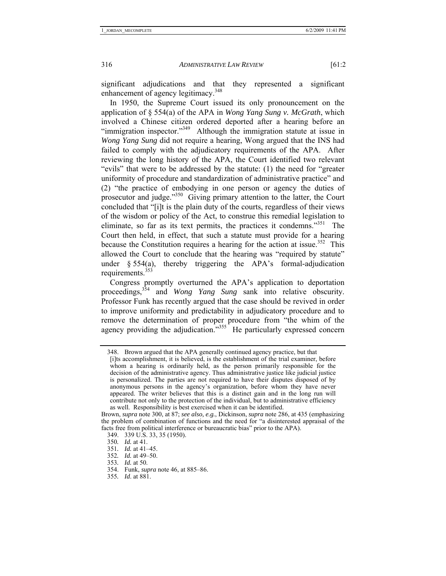significant adjudications and that they represented a significant enhancement of agency legitimacy.<sup>348</sup>

In 1950, the Supreme Court issued its only pronouncement on the application of § 554(a) of the APA in *Wong Yang Sung v. McGrath*, which involved a Chinese citizen ordered deported after a hearing before an "immigration inspector."349 Although the immigration statute at issue in *Wong Yang Sung* did not require a hearing, Wong argued that the INS had failed to comply with the adjudicatory requirements of the APA. After reviewing the long history of the APA, the Court identified two relevant "evils" that were to be addressed by the statute: (1) the need for "greater uniformity of procedure and standardization of administrative practice" and (2) "the practice of embodying in one person or agency the duties of prosecutor and judge."350 Giving primary attention to the latter, the Court concluded that "[i]t is the plain duty of the courts, regardless of their views of the wisdom or policy of the Act, to construe this remedial legislation to eliminate, so far as its text permits, the practices it condemns.<sup> $351$ </sup> The Court then held, in effect, that such a statute must provide for a hearing because the Constitution requires a hearing for the action at issue.<sup>352</sup> This allowed the Court to conclude that the hearing was "required by statute" under  $§$  554(a), thereby triggering the APA's formal-adjudication requirements. $353$ 

Congress promptly overturned the APA's application to deportation proceedings,<sup>354</sup> and *Wong Yang Sung* sank into relative obscurity. Professor Funk has recently argued that the case should be revived in order to improve uniformity and predictability in adjudicatory procedure and to remove the determination of proper procedure from "the whim of the agency providing the adjudication."<sup>355</sup> He particularly expressed concern

351*. Id.* at 41–45.

 <sup>348.</sup> Brown argued that the APA generally continued agency practice, but that [i]ts accomplishment, it is believed, is the establishment of the trial examiner, before whom a hearing is ordinarily held, as the person primarily responsible for the decision of the administrative agency. Thus administrative justice like judicial justice is personalized. The parties are not required to have their disputes disposed of by anonymous persons in the agency's organization, before whom they have never appeared. The writer believes that this is a distinct gain and in the long run will contribute not only to the protection of the individual, but to administrative efficiency as well. Responsibility is best exercised when it can be identified.

Brown, *supra* note 300, at 87; *see also, e.g.*, Dickinson, *supra* note 286, at 435 (emphasizing the problem of combination of functions and the need for "a disinterested appraisal of the facts free from political interference or bureaucratic bias" prior to the APA).

 <sup>349. 339</sup> U.S. 33, 35 (1950).

<sup>350</sup>*. Id.* at 41.

<sup>352</sup>*. Id.* at 49–50.

<sup>353</sup>*. Id.* at 50.

 <sup>354.</sup> Funk, *supra* note 46, at 885–86.

<sup>355</sup>*. Id*. at 881.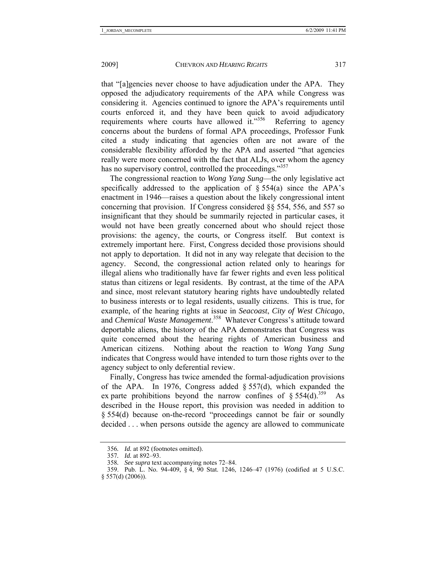that "[a]gencies never choose to have adjudication under the APA. They opposed the adjudicatory requirements of the APA while Congress was considering it. Agencies continued to ignore the APA's requirements until courts enforced it, and they have been quick to avoid adjudicatory requirements where courts have allowed it."<sup>356</sup> Referring to agency concerns about the burdens of formal APA proceedings, Professor Funk cited a study indicating that agencies often are not aware of the considerable flexibility afforded by the APA and asserted "that agencies really were more concerned with the fact that ALJs, over whom the agency has no supervisory control, controlled the proceedings."<sup>357</sup>

The congressional reaction to *Wong Yang Sung*—the only legislative act specifically addressed to the application of  $\S$  554(a) since the APA's enactment in 1946—raises a question about the likely congressional intent concerning that provision. If Congress considered §§ 554, 556, and 557 so insignificant that they should be summarily rejected in particular cases, it would not have been greatly concerned about who should reject those provisions: the agency, the courts, or Congress itself. But context is extremely important here. First, Congress decided those provisions should not apply to deportation. It did not in any way relegate that decision to the agency. Second, the congressional action related only to hearings for illegal aliens who traditionally have far fewer rights and even less political status than citizens or legal residents. By contrast, at the time of the APA and since, most relevant statutory hearing rights have undoubtedly related to business interests or to legal residents, usually citizens. This is true, for example, of the hearing rights at issue in *Seacoast*, *City of West Chicago*, and *Chemical Waste Management*. 358 Whatever Congress's attitude toward deportable aliens, the history of the APA demonstrates that Congress was quite concerned about the hearing rights of American business and American citizens. Nothing about the reaction to *Wong Yang Sung* indicates that Congress would have intended to turn those rights over to the agency subject to only deferential review.

Finally, Congress has twice amended the formal-adjudication provisions of the APA. In 1976, Congress added § 557(d), which expanded the ex parte prohibitions beyond the narrow confines of §  $554(d).$ <sup>359</sup> As described in the House report, this provision was needed in addition to § 554(d) because on-the-record "proceedings cannot be fair or soundly decided . . . when persons outside the agency are allowed to communicate

<sup>356</sup>*. Id.* at 892 (footnotes omitted).

<sup>357</sup>*. Id.* at 892–93.

<sup>358</sup>*. See supra* text accompanying notes 72–84.

 <sup>359.</sup> Pub. L. No. 94-409, § 4, 90 Stat. 1246, 1246–47 (1976) (codified at 5 U.S.C. § 557(d) (2006)).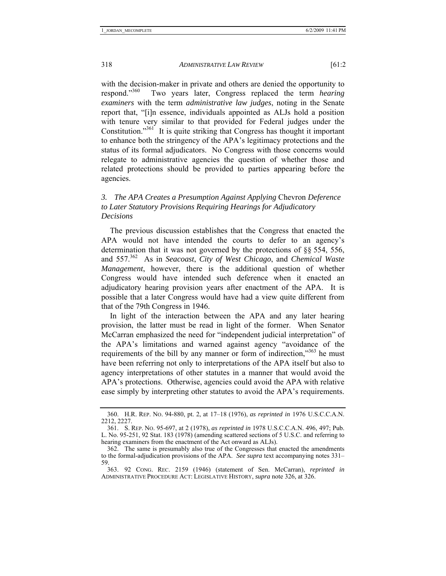with the decision-maker in private and others are denied the opportunity to respond.<sup>3560</sup> Two vears later. Congress replaced the term *hearing* Two years later, Congress replaced the term *hearing examiners* with the term *administrative law judges*, noting in the Senate report that, "[i]n essence, individuals appointed as ALJs hold a position with tenure very similar to that provided for Federal judges under the Constitution."<sup>361</sup> It is quite striking that Congress has thought it important to enhance both the stringency of the APA's legitimacy protections and the status of its formal adjudicators. No Congress with those concerns would relegate to administrative agencies the question of whether those and related protections should be provided to parties appearing before the agencies.

# *3. The APA Creates a Presumption Against Applying* Chevron *Deference to Later Statutory Provisions Requiring Hearings for Adjudicatory Decisions*

The previous discussion establishes that the Congress that enacted the APA would not have intended the courts to defer to an agency's determination that it was not governed by the protections of §§ 554, 556, and 557.362 As in *Seacoast*, *City of West Chicago*, and *Chemical Waste Management*, however, there is the additional question of whether Congress would have intended such deference when it enacted an adjudicatory hearing provision years after enactment of the APA. It is possible that a later Congress would have had a view quite different from that of the 79th Congress in 1946.

In light of the interaction between the APA and any later hearing provision, the latter must be read in light of the former. When Senator McCarran emphasized the need for "independent judicial interpretation" of the APA's limitations and warned against agency "avoidance of the requirements of the bill by any manner or form of indirection,<sup>363</sup> he must have been referring not only to interpretations of the APA itself but also to agency interpretations of other statutes in a manner that would avoid the APA's protections. Otherwise, agencies could avoid the APA with relative ease simply by interpreting other statutes to avoid the APA's requirements.

 <sup>360.</sup> H.R. REP. NO. 94-880, pt. 2, at 17–18 (1976), *as reprinted in* 1976 U.S.C.C.A.N. 2212, 2227.

 <sup>361.</sup> S. REP. NO. 95-697, at 2 (1978), *as reprinted in* 1978 U.S.C.C.A.N. 496, 497; Pub. L. No. 95-251, 92 Stat. 183 (1978) (amending scattered sections of 5 U.S.C. and referring to hearing examiners from the enactment of the Act onward as ALJs).

 <sup>362.</sup> The same is presumably also true of the Congresses that enacted the amendments to the formal-adjudication provisions of the APA. *See supra* text accompanying notes 331– 59.

 <sup>363. 92</sup> CONG. REC. 2159 (1946) (statement of Sen. McCarran), *reprinted in*  ADMINISTRATIVE PROCEDURE ACT: LEGISLATIVE HISTORY, *supra* note 326, at 326.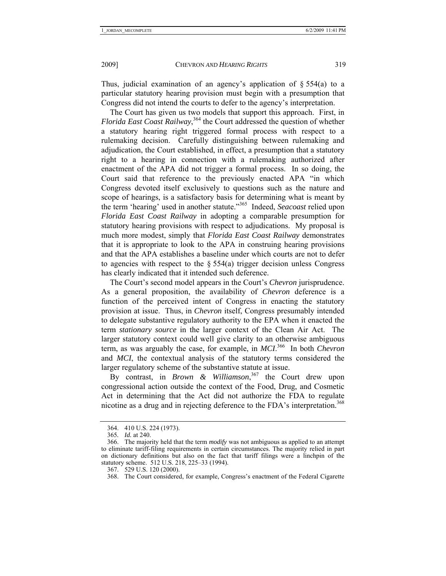Thus, judicial examination of an agency's application of  $\S 554(a)$  to a particular statutory hearing provision must begin with a presumption that Congress did not intend the courts to defer to the agency's interpretation.

The Court has given us two models that support this approach. First, in *Florida East Coast Railway*, <sup>364</sup> the Court addressed the question of whether a statutory hearing right triggered formal process with respect to a rulemaking decision. Carefully distinguishing between rulemaking and adjudication, the Court established, in effect, a presumption that a statutory right to a hearing in connection with a rulemaking authorized after enactment of the APA did not trigger a formal process. In so doing, the Court said that reference to the previously enacted APA "in which Congress devoted itself exclusively to questions such as the nature and scope of hearings, is a satisfactory basis for determining what is meant by the term 'hearing' used in another statute."365 Indeed, *Seacoast* relied upon *Florida East Coast Railway* in adopting a comparable presumption for statutory hearing provisions with respect to adjudications. My proposal is much more modest, simply that *Florida East Coast Railway* demonstrates that it is appropriate to look to the APA in construing hearing provisions and that the APA establishes a baseline under which courts are not to defer to agencies with respect to the  $\S$  554(a) trigger decision unless Congress has clearly indicated that it intended such deference.

The Court's second model appears in the Court's *Chevron* jurisprudence. As a general proposition, the availability of *Chevron* deference is a function of the perceived intent of Congress in enacting the statutory provision at issue. Thus, in *Chevron* itself, Congress presumably intended to delegate substantive regulatory authority to the EPA when it enacted the term *stationary source* in the larger context of the Clean Air Act. The larger statutory context could well give clarity to an otherwise ambiguous term, as was arguably the case, for example, in *MCI*. 366 In both *Chevron* and *MCI*, the contextual analysis of the statutory terms considered the larger regulatory scheme of the substantive statute at issue.

By contrast, in *Brown & Williamson*, 367 the Court drew upon congressional action outside the context of the Food, Drug, and Cosmetic Act in determining that the Act did not authorize the FDA to regulate nicotine as a drug and in rejecting deference to the FDA's interpretation.<sup>368</sup>

 <sup>364. 410</sup> U.S. 224 (1973).

<sup>365</sup>*. Id.* at 240.

 <sup>366.</sup> The majority held that the term *modify* was not ambiguous as applied to an attempt to eliminate tariff-filing requirements in certain circumstances. The majority relied in part on dictionary definitions but also on the fact that tariff filings were a linchpin of the statutory scheme. 512 U.S. 218, 225–33 (1994).

 <sup>367. 529</sup> U.S. 120 (2000).

 <sup>368.</sup> The Court considered, for example, Congress's enactment of the Federal Cigarette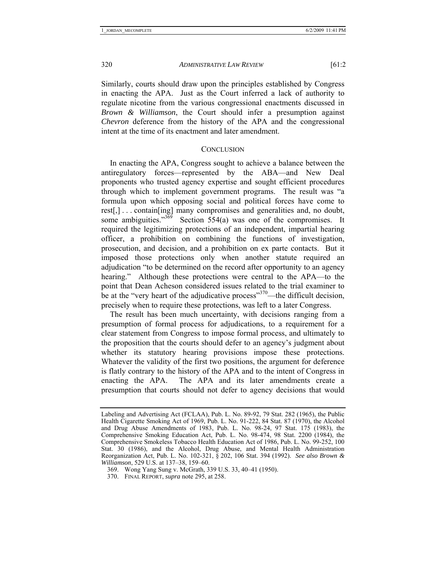Similarly, courts should draw upon the principles established by Congress in enacting the APA. Just as the Court inferred a lack of authority to regulate nicotine from the various congressional enactments discussed in *Brown & Williamson*, the Court should infer a presumption against *Chevron* deference from the history of the APA and the congressional intent at the time of its enactment and later amendment.

#### **CONCLUSION**

In enacting the APA, Congress sought to achieve a balance between the antiregulatory forces—represented by the ABA—and New Deal proponents who trusted agency expertise and sought efficient procedures through which to implement government programs. The result was "a formula upon which opposing social and political forces have come to rest[,] . . . contain[ing] many compromises and generalities and, no doubt, some ambiguities." $369$  Section 554(a) was one of the compromises. It required the legitimizing protections of an independent, impartial hearing officer, a prohibition on combining the functions of investigation, prosecution, and decision, and a prohibition on ex parte contacts. But it imposed those protections only when another statute required an adjudication "to be determined on the record after opportunity to an agency hearing." Although these protections were central to the APA—to the point that Dean Acheson considered issues related to the trial examiner to be at the "very heart of the adjudicative process"<sup>370</sup>—the difficult decision, precisely when to require these protections, was left to a later Congress.

The result has been much uncertainty, with decisions ranging from a presumption of formal process for adjudications, to a requirement for a clear statement from Congress to impose formal process, and ultimately to the proposition that the courts should defer to an agency's judgment about whether its statutory hearing provisions impose these protections. Whatever the validity of the first two positions, the argument for deference is flatly contrary to the history of the APA and to the intent of Congress in enacting the APA. The APA and its later amendments create a presumption that courts should not defer to agency decisions that would

Labeling and Advertising Act (FCLAA), Pub. L. No. 89-92, 79 Stat. 282 (1965), the Public Health Cigarette Smoking Act of 1969, Pub. L. No. 91-222, 84 Stat. 87 (1970), the Alcohol and Drug Abuse Amendments of 1983, Pub. L. No. 98-24, 97 Stat. 175 (1983), the Comprehensive Smoking Education Act, Pub. L. No. 98-474, 98 Stat. 2200 (1984), the Comprehensive Smokeless Tobacco Health Education Act of 1986, Pub. L. No. 99-252, 100 Stat. 30 (1986), and the Alcohol, Drug Abuse, and Mental Health Administration Reorganization Act, Pub. L. No. 102-321, § 202, 106 Stat. 394 (1992). *See also Brown & Williamson*, 529 U.S. at 137–38, 159–60.

 <sup>369.</sup> Wong Yang Sung v. McGrath, 339 U.S. 33, 40–41 (1950).

 <sup>370.</sup> FINAL REPORT, *supra* note 295, at 258.